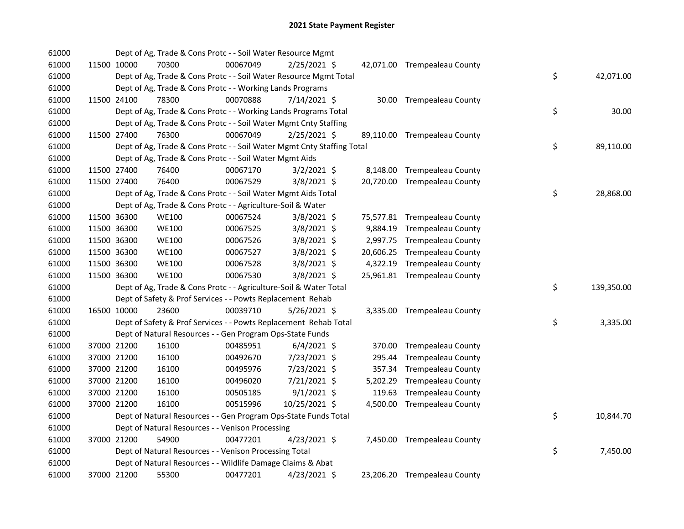| 61000 |             | Dept of Ag, Trade & Cons Protc - - Soil Water Resource Mgmt            |          |               |  |                              |    |            |
|-------|-------------|------------------------------------------------------------------------|----------|---------------|--|------------------------------|----|------------|
| 61000 | 11500 10000 | 70300                                                                  | 00067049 | 2/25/2021 \$  |  | 42,071.00 Trempealeau County |    |            |
| 61000 |             | Dept of Ag, Trade & Cons Protc - - Soil Water Resource Mgmt Total      |          |               |  |                              | \$ | 42,071.00  |
| 61000 |             | Dept of Ag, Trade & Cons Protc - - Working Lands Programs              |          |               |  |                              |    |            |
| 61000 | 11500 24100 | 78300                                                                  | 00070888 | 7/14/2021 \$  |  | 30.00 Trempealeau County     |    |            |
| 61000 |             | Dept of Ag, Trade & Cons Protc - - Working Lands Programs Total        |          |               |  |                              | \$ | 30.00      |
| 61000 |             | Dept of Ag, Trade & Cons Protc - - Soil Water Mgmt Cnty Staffing       |          |               |  |                              |    |            |
| 61000 | 11500 27400 | 76300                                                                  | 00067049 | 2/25/2021 \$  |  | 89,110.00 Trempealeau County |    |            |
| 61000 |             | Dept of Ag, Trade & Cons Protc - - Soil Water Mgmt Cnty Staffing Total |          |               |  |                              | \$ | 89,110.00  |
| 61000 |             | Dept of Ag, Trade & Cons Protc - - Soil Water Mgmt Aids                |          |               |  |                              |    |            |
| 61000 | 11500 27400 | 76400                                                                  | 00067170 | $3/2/2021$ \$ |  | 8,148.00 Trempealeau County  |    |            |
| 61000 | 11500 27400 | 76400                                                                  | 00067529 | $3/8/2021$ \$ |  | 20,720.00 Trempealeau County |    |            |
| 61000 |             | Dept of Ag, Trade & Cons Protc - - Soil Water Mgmt Aids Total          |          |               |  |                              | \$ | 28,868.00  |
| 61000 |             | Dept of Ag, Trade & Cons Protc - - Agriculture-Soil & Water            |          |               |  |                              |    |            |
| 61000 | 11500 36300 | <b>WE100</b>                                                           | 00067524 | 3/8/2021 \$   |  | 75,577.81 Trempealeau County |    |            |
| 61000 | 11500 36300 | <b>WE100</b>                                                           | 00067525 | 3/8/2021 \$   |  | 9,884.19 Trempealeau County  |    |            |
| 61000 | 11500 36300 | <b>WE100</b>                                                           | 00067526 | 3/8/2021 \$   |  | 2,997.75 Trempealeau County  |    |            |
| 61000 | 11500 36300 | <b>WE100</b>                                                           | 00067527 | 3/8/2021 \$   |  | 20,606.25 Trempealeau County |    |            |
| 61000 | 11500 36300 | <b>WE100</b>                                                           | 00067528 | 3/8/2021 \$   |  | 4,322.19 Trempealeau County  |    |            |
| 61000 | 11500 36300 | <b>WE100</b>                                                           | 00067530 | 3/8/2021 \$   |  | 25,961.81 Trempealeau County |    |            |
| 61000 |             | Dept of Ag, Trade & Cons Protc - - Agriculture-Soil & Water Total      |          |               |  |                              | \$ | 139,350.00 |
| 61000 |             | Dept of Safety & Prof Services - - Powts Replacement Rehab             |          |               |  |                              |    |            |
| 61000 | 16500 10000 | 23600                                                                  | 00039710 | 5/26/2021 \$  |  | 3,335.00 Trempealeau County  |    |            |
| 61000 |             | Dept of Safety & Prof Services - - Powts Replacement Rehab Total       |          |               |  |                              | \$ | 3,335.00   |
| 61000 |             | Dept of Natural Resources - - Gen Program Ops-State Funds              |          |               |  |                              |    |            |
| 61000 | 37000 21200 | 16100                                                                  | 00485951 | $6/4/2021$ \$ |  | 370.00 Trempealeau County    |    |            |
| 61000 | 37000 21200 | 16100                                                                  | 00492670 | 7/23/2021 \$  |  | 295.44 Trempealeau County    |    |            |
| 61000 | 37000 21200 | 16100                                                                  | 00495976 | 7/23/2021 \$  |  | 357.34 Trempealeau County    |    |            |
| 61000 | 37000 21200 | 16100                                                                  | 00496020 | 7/21/2021 \$  |  | 5,202.29 Trempealeau County  |    |            |
| 61000 | 37000 21200 | 16100                                                                  | 00505185 | $9/1/2021$ \$ |  | 119.63 Trempealeau County    |    |            |
| 61000 | 37000 21200 | 16100                                                                  | 00515996 | 10/25/2021 \$ |  | 4,500.00 Trempealeau County  |    |            |
| 61000 |             | Dept of Natural Resources - - Gen Program Ops-State Funds Total        |          |               |  |                              | \$ | 10,844.70  |
| 61000 |             | Dept of Natural Resources - - Venison Processing                       |          |               |  |                              |    |            |
| 61000 | 37000 21200 | 54900                                                                  | 00477201 | 4/23/2021 \$  |  | 7,450.00 Trempealeau County  |    |            |
| 61000 |             | Dept of Natural Resources - - Venison Processing Total                 |          |               |  |                              | \$ | 7,450.00   |
| 61000 |             | Dept of Natural Resources - - Wildlife Damage Claims & Abat            |          |               |  |                              |    |            |
| 61000 | 37000 21200 | 55300                                                                  | 00477201 | 4/23/2021 \$  |  | 23,206.20 Trempealeau County |    |            |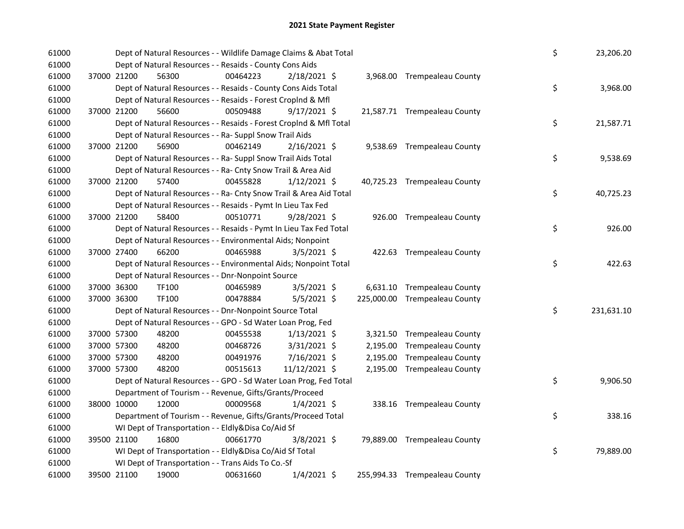| 61000 |             | Dept of Natural Resources - - Wildlife Damage Claims & Abat Total  |          |                |          |                               | \$ | 23,206.20  |
|-------|-------------|--------------------------------------------------------------------|----------|----------------|----------|-------------------------------|----|------------|
| 61000 |             | Dept of Natural Resources - - Resaids - County Cons Aids           |          |                |          |                               |    |            |
| 61000 | 37000 21200 | 56300                                                              | 00464223 | 2/18/2021 \$   |          | 3,968.00 Trempealeau County   |    |            |
| 61000 |             | Dept of Natural Resources - - Resaids - County Cons Aids Total     |          |                |          |                               | \$ | 3,968.00   |
| 61000 |             | Dept of Natural Resources - - Resaids - Forest CropInd & Mfl       |          |                |          |                               |    |            |
| 61000 | 37000 21200 | 56600                                                              | 00509488 | $9/17/2021$ \$ |          | 21,587.71 Trempealeau County  |    |            |
| 61000 |             | Dept of Natural Resources - - Resaids - Forest CropInd & Mfl Total |          |                |          |                               | \$ | 21,587.71  |
| 61000 |             | Dept of Natural Resources - - Ra- Suppl Snow Trail Aids            |          |                |          |                               |    |            |
| 61000 | 37000 21200 | 56900                                                              | 00462149 | $2/16/2021$ \$ |          | 9,538.69 Trempealeau County   |    |            |
| 61000 |             | Dept of Natural Resources - - Ra- Suppl Snow Trail Aids Total      |          |                |          |                               | \$ | 9,538.69   |
| 61000 |             | Dept of Natural Resources - - Ra- Cnty Snow Trail & Area Aid       |          |                |          |                               |    |            |
| 61000 | 37000 21200 | 57400                                                              | 00455828 | $1/12/2021$ \$ |          | 40,725.23 Trempealeau County  |    |            |
| 61000 |             | Dept of Natural Resources - - Ra- Cnty Snow Trail & Area Aid Total |          |                |          |                               | \$ | 40,725.23  |
| 61000 |             | Dept of Natural Resources - - Resaids - Pymt In Lieu Tax Fed       |          |                |          |                               |    |            |
| 61000 | 37000 21200 | 58400                                                              | 00510771 | 9/28/2021 \$   |          | 926.00 Trempealeau County     |    |            |
| 61000 |             | Dept of Natural Resources - - Resaids - Pymt In Lieu Tax Fed Total |          |                |          |                               | \$ | 926.00     |
| 61000 |             | Dept of Natural Resources - - Environmental Aids; Nonpoint         |          |                |          |                               |    |            |
| 61000 | 37000 27400 | 66200                                                              | 00465988 | $3/5/2021$ \$  |          | 422.63 Trempealeau County     |    |            |
| 61000 |             | Dept of Natural Resources - - Environmental Aids; Nonpoint Total   |          |                |          |                               | \$ | 422.63     |
| 61000 |             | Dept of Natural Resources - - Dnr-Nonpoint Source                  |          |                |          |                               |    |            |
| 61000 | 37000 36300 | TF100                                                              | 00465989 | 3/5/2021 \$    |          | 6,631.10 Trempealeau County   |    |            |
| 61000 | 37000 36300 | TF100                                                              | 00478884 | $5/5/2021$ \$  |          | 225,000.00 Trempealeau County |    |            |
| 61000 |             | Dept of Natural Resources - - Dnr-Nonpoint Source Total            |          |                |          |                               | \$ | 231,631.10 |
| 61000 |             | Dept of Natural Resources - - GPO - Sd Water Loan Prog, Fed        |          |                |          |                               |    |            |
| 61000 | 37000 57300 | 48200                                                              | 00455538 | $1/13/2021$ \$ |          | 3,321.50 Trempealeau County   |    |            |
| 61000 | 37000 57300 | 48200                                                              | 00468726 | $3/31/2021$ \$ | 2,195.00 | <b>Trempealeau County</b>     |    |            |
| 61000 | 37000 57300 | 48200                                                              | 00491976 | 7/16/2021 \$   | 2,195.00 | <b>Trempealeau County</b>     |    |            |
| 61000 | 37000 57300 | 48200                                                              | 00515613 | 11/12/2021 \$  |          | 2,195.00 Trempealeau County   |    |            |
| 61000 |             | Dept of Natural Resources - - GPO - Sd Water Loan Prog, Fed Total  |          |                |          |                               | \$ | 9,906.50   |
| 61000 |             | Department of Tourism - - Revenue, Gifts/Grants/Proceed            |          |                |          |                               |    |            |
| 61000 | 38000 10000 | 12000                                                              | 00009568 | $1/4/2021$ \$  |          | 338.16 Trempealeau County     |    |            |
| 61000 |             | Department of Tourism - - Revenue, Gifts/Grants/Proceed Total      |          |                |          |                               | \$ | 338.16     |
| 61000 |             | WI Dept of Transportation - - Eldly&Disa Co/Aid Sf                 |          |                |          |                               |    |            |
| 61000 | 39500 21100 | 16800                                                              | 00661770 | 3/8/2021 \$    |          | 79,889.00 Trempealeau County  |    |            |
| 61000 |             | WI Dept of Transportation - - Eldly&Disa Co/Aid Sf Total           |          |                |          |                               | \$ | 79,889.00  |
| 61000 |             | WI Dept of Transportation - - Trans Aids To Co.-Sf                 |          |                |          |                               |    |            |
| 61000 | 39500 21100 | 19000                                                              | 00631660 | 1/4/2021 \$    |          | 255,994.33 Trempealeau County |    |            |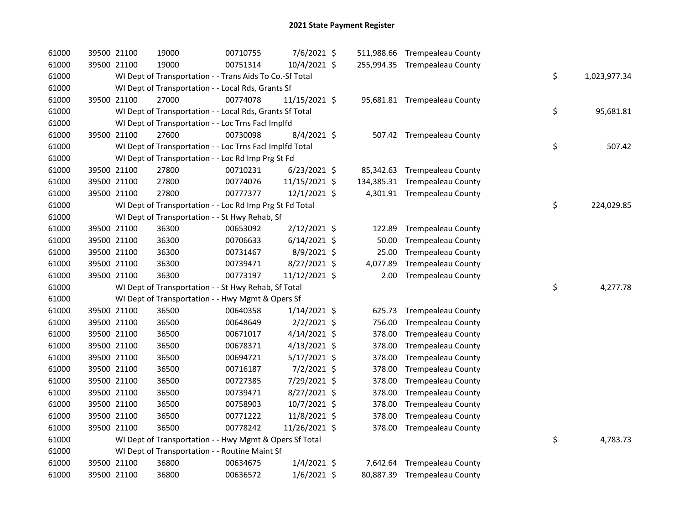| 61000 | 39500 21100 | 19000                                                    | 00710755 | 7/6/2021 \$    |          | 511,988.66 Trempealeau County |                    |
|-------|-------------|----------------------------------------------------------|----------|----------------|----------|-------------------------------|--------------------|
| 61000 | 39500 21100 | 19000                                                    | 00751314 | 10/4/2021 \$   |          | 255,994.35 Trempealeau County |                    |
| 61000 |             | WI Dept of Transportation - - Trans Aids To Co.-Sf Total |          |                |          |                               | \$<br>1,023,977.34 |
| 61000 |             | WI Dept of Transportation - - Local Rds, Grants Sf       |          |                |          |                               |                    |
| 61000 | 39500 21100 | 27000                                                    | 00774078 | 11/15/2021 \$  |          | 95,681.81 Trempealeau County  |                    |
| 61000 |             | WI Dept of Transportation - - Local Rds, Grants Sf Total |          |                |          |                               | \$<br>95,681.81    |
| 61000 |             | WI Dept of Transportation - - Loc Trns Facl Implfd       |          |                |          |                               |                    |
| 61000 | 39500 21100 | 27600                                                    | 00730098 | $8/4/2021$ \$  |          | 507.42 Trempealeau County     |                    |
| 61000 |             | WI Dept of Transportation - - Loc Trns Facl Implfd Total |          |                |          |                               | \$<br>507.42       |
| 61000 |             | WI Dept of Transportation - - Loc Rd Imp Prg St Fd       |          |                |          |                               |                    |
| 61000 | 39500 21100 | 27800                                                    | 00710231 | $6/23/2021$ \$ |          | 85,342.63 Trempealeau County  |                    |
| 61000 | 39500 21100 | 27800                                                    | 00774076 | 11/15/2021 \$  |          | 134,385.31 Trempealeau County |                    |
| 61000 | 39500 21100 | 27800                                                    | 00777377 | 12/1/2021 \$   |          | 4,301.91 Trempealeau County   |                    |
| 61000 |             | WI Dept of Transportation - - Loc Rd Imp Prg St Fd Total |          |                |          |                               | \$<br>224,029.85   |
| 61000 |             | WI Dept of Transportation - - St Hwy Rehab, Sf           |          |                |          |                               |                    |
| 61000 | 39500 21100 | 36300                                                    | 00653092 | $2/12/2021$ \$ | 122.89   | <b>Trempealeau County</b>     |                    |
| 61000 | 39500 21100 | 36300                                                    | 00706633 | $6/14/2021$ \$ | 50.00    | <b>Trempealeau County</b>     |                    |
| 61000 | 39500 21100 | 36300                                                    | 00731467 | 8/9/2021 \$    | 25.00    | <b>Trempealeau County</b>     |                    |
| 61000 | 39500 21100 | 36300                                                    | 00739471 | 8/27/2021 \$   | 4,077.89 | Trempealeau County            |                    |
| 61000 | 39500 21100 | 36300                                                    | 00773197 | 11/12/2021 \$  | 2.00     | <b>Trempealeau County</b>     |                    |
| 61000 |             | WI Dept of Transportation - - St Hwy Rehab, Sf Total     |          |                |          |                               | \$<br>4,277.78     |
| 61000 |             | WI Dept of Transportation - - Hwy Mgmt & Opers Sf        |          |                |          |                               |                    |
| 61000 | 39500 21100 | 36500                                                    | 00640358 | $1/14/2021$ \$ | 625.73   | <b>Trempealeau County</b>     |                    |
| 61000 | 39500 21100 | 36500                                                    | 00648649 | $2/2/2021$ \$  | 756.00   | <b>Trempealeau County</b>     |                    |
| 61000 | 39500 21100 | 36500                                                    | 00671017 | $4/14/2021$ \$ | 378.00   | <b>Trempealeau County</b>     |                    |
| 61000 | 39500 21100 | 36500                                                    | 00678371 | $4/13/2021$ \$ | 378.00   | <b>Trempealeau County</b>     |                    |
| 61000 | 39500 21100 | 36500                                                    | 00694721 | 5/17/2021 \$   | 378.00   | <b>Trempealeau County</b>     |                    |
| 61000 | 39500 21100 | 36500                                                    | 00716187 | $7/2/2021$ \$  | 378.00   | <b>Trempealeau County</b>     |                    |
| 61000 | 39500 21100 | 36500                                                    | 00727385 | 7/29/2021 \$   | 378.00   | <b>Trempealeau County</b>     |                    |
| 61000 | 39500 21100 | 36500                                                    | 00739471 | $8/27/2021$ \$ | 378.00   | <b>Trempealeau County</b>     |                    |
| 61000 | 39500 21100 | 36500                                                    | 00758903 | 10/7/2021 \$   | 378.00   | <b>Trempealeau County</b>     |                    |
| 61000 | 39500 21100 | 36500                                                    | 00771222 | $11/8/2021$ \$ | 378.00   | <b>Trempealeau County</b>     |                    |
| 61000 | 39500 21100 | 36500                                                    | 00778242 | 11/26/2021 \$  |          | 378.00 Trempealeau County     |                    |
| 61000 |             | WI Dept of Transportation - - Hwy Mgmt & Opers Sf Total  |          |                |          |                               | \$<br>4,783.73     |
| 61000 |             | WI Dept of Transportation - - Routine Maint Sf           |          |                |          |                               |                    |
| 61000 | 39500 21100 | 36800                                                    | 00634675 | $1/4/2021$ \$  |          | 7,642.64 Trempealeau County   |                    |
| 61000 | 39500 21100 | 36800                                                    | 00636572 | $1/6/2021$ \$  |          | 80,887.39 Trempealeau County  |                    |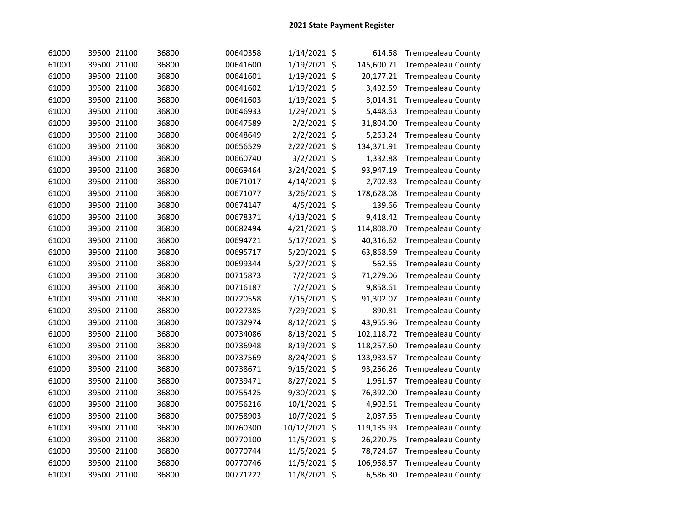| 61000 | 39500 21100 | 36800 | 00640358 | 1/14/2021 \$ |         | 614.58     | <b>Trempealeau County</b> |
|-------|-------------|-------|----------|--------------|---------|------------|---------------------------|
| 61000 | 39500 21100 | 36800 | 00641600 | 1/19/2021    | \$      | 145,600.71 | <b>Trempealeau County</b> |
| 61000 | 39500 21100 | 36800 | 00641601 | 1/19/2021    | \$      | 20,177.21  | <b>Trempealeau County</b> |
| 61000 | 39500 21100 | 36800 | 00641602 | 1/19/2021    | \$      | 3,492.59   | <b>Trempealeau County</b> |
| 61000 | 39500 21100 | 36800 | 00641603 | 1/19/2021    | \$      | 3,014.31   | <b>Trempealeau County</b> |
| 61000 | 39500 21100 | 36800 | 00646933 | 1/29/2021    | \$      | 5,448.63   | <b>Trempealeau County</b> |
| 61000 | 39500 21100 | 36800 | 00647589 | 2/2/2021     | \$      | 31,804.00  | <b>Trempealeau County</b> |
| 61000 | 39500 21100 | 36800 | 00648649 | 2/2/2021     | \$      | 5,263.24   | <b>Trempealeau County</b> |
| 61000 | 39500 21100 | 36800 | 00656529 | 2/22/2021    | \$      | 134,371.91 | <b>Trempealeau County</b> |
| 61000 | 39500 21100 | 36800 | 00660740 | 3/2/2021     | \$      | 1,332.88   | <b>Trempealeau County</b> |
| 61000 | 39500 21100 | 36800 | 00669464 | 3/24/2021    | \$      | 93,947.19  | <b>Trempealeau County</b> |
| 61000 | 39500 21100 | 36800 | 00671017 | 4/14/2021    | \$      | 2,702.83   | <b>Trempealeau County</b> |
| 61000 | 39500 21100 | 36800 | 00671077 | 3/26/2021    | \$      | 178,628.08 | <b>Trempealeau County</b> |
| 61000 | 39500 21100 | 36800 | 00674147 | 4/5/2021 \$  |         | 139.66     | <b>Trempealeau County</b> |
| 61000 | 39500 21100 | 36800 | 00678371 | 4/13/2021 \$ |         | 9,418.42   | <b>Trempealeau County</b> |
| 61000 | 39500 21100 | 36800 | 00682494 | 4/21/2021    | \$      | 114,808.70 | <b>Trempealeau County</b> |
| 61000 | 39500 21100 | 36800 | 00694721 | 5/17/2021 \$ |         | 40,316.62  | <b>Trempealeau County</b> |
| 61000 | 39500 21100 | 36800 | 00695717 | 5/20/2021 \$ |         | 63,868.59  | <b>Trempealeau County</b> |
| 61000 | 39500 21100 | 36800 | 00699344 | 5/27/2021 \$ |         | 562.55     | <b>Trempealeau County</b> |
| 61000 | 39500 21100 | 36800 | 00715873 | 7/2/2021 \$  |         | 71,279.06  | <b>Trempealeau County</b> |
| 61000 | 39500 21100 | 36800 | 00716187 | 7/2/2021 \$  |         | 9,858.61   | <b>Trempealeau County</b> |
| 61000 | 39500 21100 | 36800 | 00720558 | 7/15/2021 \$ |         | 91,302.07  | <b>Trempealeau County</b> |
| 61000 | 39500 21100 | 36800 | 00727385 | 7/29/2021 \$ |         | 890.81     | <b>Trempealeau County</b> |
| 61000 | 39500 21100 | 36800 | 00732974 | 8/12/2021 \$ |         | 43,955.96  | <b>Trempealeau County</b> |
| 61000 | 39500 21100 | 36800 | 00734086 | 8/13/2021 \$ |         | 102,118.72 | <b>Trempealeau County</b> |
| 61000 | 39500 21100 | 36800 | 00736948 | 8/19/2021    | \$      | 118,257.60 | <b>Trempealeau County</b> |
| 61000 | 39500 21100 | 36800 | 00737569 | 8/24/2021    | \$      | 133,933.57 | <b>Trempealeau County</b> |
| 61000 | 39500 21100 | 36800 | 00738671 | 9/15/2021    | \$      | 93,256.26  | <b>Trempealeau County</b> |
| 61000 | 39500 21100 | 36800 | 00739471 | 8/27/2021    | \$      | 1,961.57   | <b>Trempealeau County</b> |
| 61000 | 39500 21100 | 36800 | 00755425 | 9/30/2021    | \$      | 76,392.00  | <b>Trempealeau County</b> |
| 61000 | 39500 21100 | 36800 | 00756216 | 10/1/2021    | \$      | 4,902.51   | <b>Trempealeau County</b> |
| 61000 | 39500 21100 | 36800 | 00758903 | 10/7/2021    | -\$     | 2,037.55   | <b>Trempealeau County</b> |
| 61000 | 39500 21100 | 36800 | 00760300 | 10/12/2021   | \$      | 119,135.93 | <b>Trempealeau County</b> |
| 61000 | 39500 21100 | 36800 | 00770100 | 11/5/2021    | $\zeta$ | 26,220.75  | <b>Trempealeau County</b> |
| 61000 | 39500 21100 | 36800 | 00770744 | 11/5/2021    | \$      | 78,724.67  | <b>Trempealeau County</b> |
| 61000 | 39500 21100 | 36800 | 00770746 | 11/5/2021    | \$      | 106,958.57 | <b>Trempealeau County</b> |
| 61000 | 39500 21100 | 36800 | 00771222 | 11/8/2021 \$ |         | 6,586.30   | <b>Trempealeau County</b> |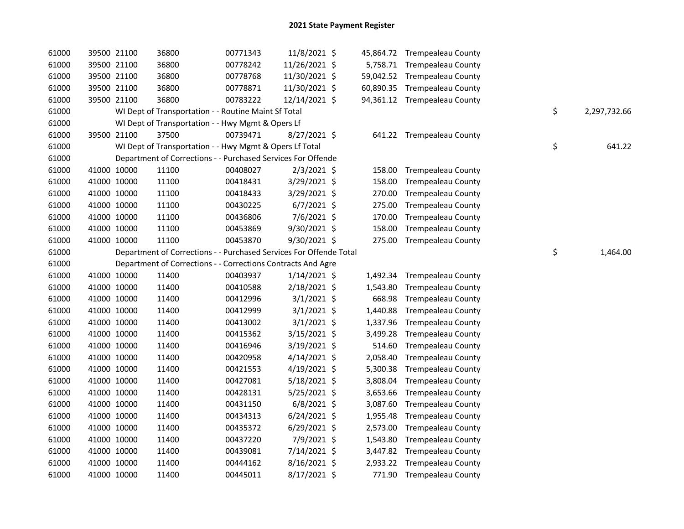| 61000 |             | 39500 21100 | 36800                                                              | 00771343 | 11/8/2021 \$   |          | 45,864.72 Trempealeau County |                    |
|-------|-------------|-------------|--------------------------------------------------------------------|----------|----------------|----------|------------------------------|--------------------|
| 61000 |             | 39500 21100 | 36800                                                              | 00778242 | 11/26/2021 \$  |          | 5,758.71 Trempealeau County  |                    |
| 61000 |             | 39500 21100 | 36800                                                              | 00778768 | 11/30/2021 \$  |          | 59,042.52 Trempealeau County |                    |
| 61000 | 39500 21100 |             | 36800                                                              | 00778871 | 11/30/2021 \$  |          | 60,890.35 Trempealeau County |                    |
| 61000 | 39500 21100 |             | 36800                                                              | 00783222 | 12/14/2021 \$  |          | 94,361.12 Trempealeau County |                    |
| 61000 |             |             | WI Dept of Transportation - - Routine Maint Sf Total               |          |                |          |                              | \$<br>2,297,732.66 |
| 61000 |             |             | WI Dept of Transportation - - Hwy Mgmt & Opers Lf                  |          |                |          |                              |                    |
| 61000 | 39500 21100 |             | 37500                                                              | 00739471 | 8/27/2021 \$   |          | 641.22 Trempealeau County    |                    |
| 61000 |             |             | WI Dept of Transportation - - Hwy Mgmt & Opers Lf Total            |          |                |          |                              | \$<br>641.22       |
| 61000 |             |             | Department of Corrections - - Purchased Services For Offende       |          |                |          |                              |                    |
| 61000 | 41000 10000 |             | 11100                                                              | 00408027 | $2/3/2021$ \$  | 158.00   | <b>Trempealeau County</b>    |                    |
| 61000 | 41000 10000 |             | 11100                                                              | 00418431 | 3/29/2021 \$   | 158.00   | <b>Trempealeau County</b>    |                    |
| 61000 | 41000 10000 |             | 11100                                                              | 00418433 | 3/29/2021 \$   | 270.00   | Trempealeau County           |                    |
| 61000 | 41000 10000 |             | 11100                                                              | 00430225 | $6/7/2021$ \$  | 275.00   | <b>Trempealeau County</b>    |                    |
| 61000 | 41000 10000 |             | 11100                                                              | 00436806 | 7/6/2021 \$    | 170.00   | <b>Trempealeau County</b>    |                    |
| 61000 | 41000 10000 |             | 11100                                                              | 00453869 | 9/30/2021 \$   | 158.00   | <b>Trempealeau County</b>    |                    |
| 61000 | 41000 10000 |             | 11100                                                              | 00453870 | 9/30/2021 \$   |          | 275.00 Trempealeau County    |                    |
| 61000 |             |             | Department of Corrections - - Purchased Services For Offende Total |          |                |          |                              | \$<br>1,464.00     |
| 61000 |             |             | Department of Corrections - - Corrections Contracts And Agre       |          |                |          |                              |                    |
| 61000 | 41000 10000 |             | 11400                                                              | 00403937 | $1/14/2021$ \$ | 1,492.34 | <b>Trempealeau County</b>    |                    |
| 61000 | 41000 10000 |             | 11400                                                              | 00410588 | 2/18/2021 \$   | 1,543.80 | <b>Trempealeau County</b>    |                    |
| 61000 | 41000 10000 |             | 11400                                                              | 00412996 | $3/1/2021$ \$  | 668.98   | <b>Trempealeau County</b>    |                    |
| 61000 | 41000 10000 |             | 11400                                                              | 00412999 | $3/1/2021$ \$  | 1,440.88 | <b>Trempealeau County</b>    |                    |
| 61000 | 41000 10000 |             | 11400                                                              | 00413002 | $3/1/2021$ \$  | 1,337.96 | <b>Trempealeau County</b>    |                    |
| 61000 | 41000 10000 |             | 11400                                                              | 00415362 | 3/15/2021 \$   | 3,499.28 | <b>Trempealeau County</b>    |                    |
| 61000 | 41000 10000 |             | 11400                                                              | 00416946 | $3/19/2021$ \$ | 514.60   | <b>Trempealeau County</b>    |                    |
| 61000 | 41000 10000 |             | 11400                                                              | 00420958 | $4/14/2021$ \$ | 2,058.40 | <b>Trempealeau County</b>    |                    |
| 61000 | 41000 10000 |             | 11400                                                              | 00421553 | 4/19/2021 \$   | 5,300.38 | <b>Trempealeau County</b>    |                    |
| 61000 | 41000 10000 |             | 11400                                                              | 00427081 | $5/18/2021$ \$ | 3,808.04 | <b>Trempealeau County</b>    |                    |
| 61000 | 41000 10000 |             | 11400                                                              | 00428131 | $5/25/2021$ \$ | 3,653.66 | <b>Trempealeau County</b>    |                    |
| 61000 | 41000 10000 |             | 11400                                                              | 00431150 | $6/8/2021$ \$  | 3,087.60 | <b>Trempealeau County</b>    |                    |
| 61000 | 41000 10000 |             | 11400                                                              | 00434313 | $6/24/2021$ \$ | 1,955.48 | <b>Trempealeau County</b>    |                    |
| 61000 | 41000 10000 |             | 11400                                                              | 00435372 | $6/29/2021$ \$ | 2,573.00 | <b>Trempealeau County</b>    |                    |
| 61000 | 41000 10000 |             | 11400                                                              | 00437220 | 7/9/2021 \$    | 1,543.80 | <b>Trempealeau County</b>    |                    |
| 61000 | 41000 10000 |             | 11400                                                              | 00439081 | 7/14/2021 \$   | 3,447.82 | Trempealeau County           |                    |
| 61000 | 41000 10000 |             | 11400                                                              | 00444162 | 8/16/2021 \$   | 2,933.22 | <b>Trempealeau County</b>    |                    |
| 61000 |             | 41000 10000 | 11400                                                              | 00445011 | 8/17/2021 \$   |          | 771.90 Trempealeau County    |                    |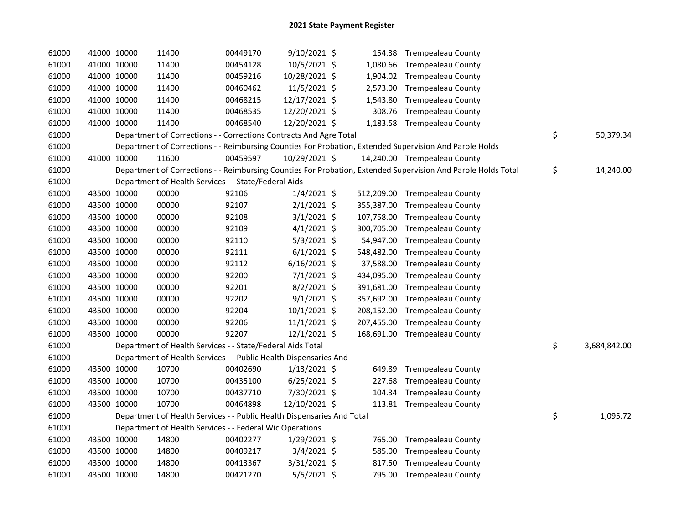| 61000 | 41000 10000 | 11400                                                                  | 00449170 | 9/10/2021 \$   |            | 154.38 Trempealeau County                                                                                     |                    |
|-------|-------------|------------------------------------------------------------------------|----------|----------------|------------|---------------------------------------------------------------------------------------------------------------|--------------------|
| 61000 | 41000 10000 | 11400                                                                  | 00454128 | 10/5/2021 \$   |            | 1,080.66 Trempealeau County                                                                                   |                    |
| 61000 | 41000 10000 | 11400                                                                  | 00459216 | 10/28/2021 \$  |            | 1,904.02 Trempealeau County                                                                                   |                    |
| 61000 | 41000 10000 | 11400                                                                  | 00460462 | $11/5/2021$ \$ |            | 2,573.00 Trempealeau County                                                                                   |                    |
| 61000 | 41000 10000 | 11400                                                                  | 00468215 | 12/17/2021 \$  |            | 1,543.80 Trempealeau County                                                                                   |                    |
| 61000 | 41000 10000 | 11400                                                                  | 00468535 | 12/20/2021 \$  |            | 308.76 Trempealeau County                                                                                     |                    |
| 61000 | 41000 10000 | 11400                                                                  | 00468540 | 12/20/2021 \$  |            | 1,183.58 Trempealeau County                                                                                   |                    |
| 61000 |             | Department of Corrections - - Corrections Contracts And Agre Total     |          |                |            |                                                                                                               | \$<br>50,379.34    |
| 61000 |             |                                                                        |          |                |            | Department of Corrections - - Reimbursing Counties For Probation, Extended Supervision And Parole Holds       |                    |
| 61000 | 41000 10000 | 11600                                                                  | 00459597 | 10/29/2021 \$  |            | 14,240.00 Trempealeau County                                                                                  |                    |
| 61000 |             |                                                                        |          |                |            | Department of Corrections - - Reimbursing Counties For Probation, Extended Supervision And Parole Holds Total | \$<br>14,240.00    |
| 61000 |             | Department of Health Services - - State/Federal Aids                   |          |                |            |                                                                                                               |                    |
| 61000 | 43500 10000 | 00000                                                                  | 92106    | $1/4/2021$ \$  |            | 512,209.00 Trempealeau County                                                                                 |                    |
| 61000 | 43500 10000 | 00000                                                                  | 92107    | $2/1/2021$ \$  | 355,387.00 | <b>Trempealeau County</b>                                                                                     |                    |
| 61000 | 43500 10000 | 00000                                                                  | 92108    | $3/1/2021$ \$  | 107,758.00 | <b>Trempealeau County</b>                                                                                     |                    |
| 61000 | 43500 10000 | 00000                                                                  | 92109    | $4/1/2021$ \$  | 300,705.00 | <b>Trempealeau County</b>                                                                                     |                    |
| 61000 | 43500 10000 | 00000                                                                  | 92110    | $5/3/2021$ \$  | 54,947.00  | <b>Trempealeau County</b>                                                                                     |                    |
| 61000 | 43500 10000 | 00000                                                                  | 92111    | $6/1/2021$ \$  | 548,482.00 | <b>Trempealeau County</b>                                                                                     |                    |
| 61000 | 43500 10000 | 00000                                                                  | 92112    | $6/16/2021$ \$ | 37,588.00  | <b>Trempealeau County</b>                                                                                     |                    |
| 61000 | 43500 10000 | 00000                                                                  | 92200    | 7/1/2021 \$    | 434,095.00 | <b>Trempealeau County</b>                                                                                     |                    |
| 61000 | 43500 10000 | 00000                                                                  | 92201    | $8/2/2021$ \$  | 391,681.00 | <b>Trempealeau County</b>                                                                                     |                    |
| 61000 | 43500 10000 | 00000                                                                  | 92202    | $9/1/2021$ \$  | 357,692.00 | <b>Trempealeau County</b>                                                                                     |                    |
| 61000 | 43500 10000 | 00000                                                                  | 92204    | $10/1/2021$ \$ |            | 208,152.00 Trempealeau County                                                                                 |                    |
| 61000 | 43500 10000 | 00000                                                                  | 92206    | $11/1/2021$ \$ | 207,455.00 | <b>Trempealeau County</b>                                                                                     |                    |
| 61000 | 43500 10000 | 00000                                                                  | 92207    | 12/1/2021 \$   |            | 168,691.00 Trempealeau County                                                                                 |                    |
| 61000 |             | Department of Health Services - - State/Federal Aids Total             |          |                |            |                                                                                                               | \$<br>3,684,842.00 |
| 61000 |             | Department of Health Services - - Public Health Dispensaries And       |          |                |            |                                                                                                               |                    |
| 61000 | 43500 10000 | 10700                                                                  | 00402690 | $1/13/2021$ \$ | 649.89     | <b>Trempealeau County</b>                                                                                     |                    |
| 61000 | 43500 10000 | 10700                                                                  | 00435100 | $6/25/2021$ \$ | 227.68     | <b>Trempealeau County</b>                                                                                     |                    |
| 61000 | 43500 10000 | 10700                                                                  | 00437710 | 7/30/2021 \$   | 104.34     | <b>Trempealeau County</b>                                                                                     |                    |
| 61000 | 43500 10000 | 10700                                                                  | 00464898 | 12/10/2021 \$  |            | 113.81 Trempealeau County                                                                                     |                    |
| 61000 |             | Department of Health Services - - Public Health Dispensaries And Total |          |                |            |                                                                                                               | \$<br>1,095.72     |
| 61000 |             | Department of Health Services - - Federal Wic Operations               |          |                |            |                                                                                                               |                    |
| 61000 | 43500 10000 | 14800                                                                  | 00402277 | $1/29/2021$ \$ |            | 765.00 Trempealeau County                                                                                     |                    |
| 61000 | 43500 10000 | 14800                                                                  | 00409217 | 3/4/2021 \$    |            | 585.00 Trempealeau County                                                                                     |                    |
| 61000 | 43500 10000 | 14800                                                                  | 00413367 | 3/31/2021 \$   | 817.50     | <b>Trempealeau County</b>                                                                                     |                    |
| 61000 | 43500 10000 | 14800                                                                  | 00421270 | 5/5/2021 \$    |            | 795.00 Trempealeau County                                                                                     |                    |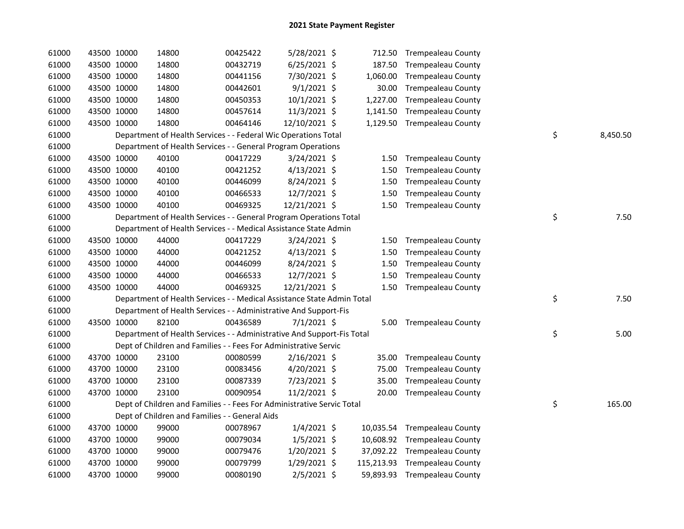| 61000 | 43500 10000 |             | 14800                                                                  | 00425422 | 5/28/2021 \$   |           | 712.50 Trempealeau County     |                |
|-------|-------------|-------------|------------------------------------------------------------------------|----------|----------------|-----------|-------------------------------|----------------|
| 61000 | 43500 10000 |             | 14800                                                                  | 00432719 | $6/25/2021$ \$ |           | 187.50 Trempealeau County     |                |
| 61000 | 43500 10000 |             | 14800                                                                  | 00441156 | 7/30/2021 \$   |           | 1,060.00 Trempealeau County   |                |
| 61000 | 43500 10000 |             | 14800                                                                  | 00442601 | $9/1/2021$ \$  | 30.00     | <b>Trempealeau County</b>     |                |
| 61000 | 43500 10000 |             | 14800                                                                  | 00450353 | $10/1/2021$ \$ | 1,227.00  | <b>Trempealeau County</b>     |                |
| 61000 | 43500 10000 |             | 14800                                                                  | 00457614 | 11/3/2021 \$   | 1,141.50  | <b>Trempealeau County</b>     |                |
| 61000 |             | 43500 10000 | 14800                                                                  | 00464146 | 12/10/2021 \$  |           | 1,129.50 Trempealeau County   |                |
| 61000 |             |             | Department of Health Services - - Federal Wic Operations Total         |          |                |           |                               | \$<br>8,450.50 |
| 61000 |             |             | Department of Health Services - - General Program Operations           |          |                |           |                               |                |
| 61000 |             | 43500 10000 | 40100                                                                  | 00417229 | 3/24/2021 \$   | 1.50      | <b>Trempealeau County</b>     |                |
| 61000 |             | 43500 10000 | 40100                                                                  | 00421252 | $4/13/2021$ \$ | 1.50      | <b>Trempealeau County</b>     |                |
| 61000 |             | 43500 10000 | 40100                                                                  | 00446099 | $8/24/2021$ \$ | 1.50      | Trempealeau County            |                |
| 61000 |             | 43500 10000 | 40100                                                                  | 00466533 | 12/7/2021 \$   | 1.50      | <b>Trempealeau County</b>     |                |
| 61000 | 43500 10000 |             | 40100                                                                  | 00469325 | 12/21/2021 \$  |           | 1.50 Trempealeau County       |                |
| 61000 |             |             | Department of Health Services - - General Program Operations Total     |          |                |           |                               | \$<br>7.50     |
| 61000 |             |             | Department of Health Services - - Medical Assistance State Admin       |          |                |           |                               |                |
| 61000 | 43500 10000 |             | 44000                                                                  | 00417229 | 3/24/2021 \$   |           | 1.50 Trempealeau County       |                |
| 61000 | 43500 10000 |             | 44000                                                                  | 00421252 | $4/13/2021$ \$ | 1.50      | <b>Trempealeau County</b>     |                |
| 61000 | 43500 10000 |             | 44000                                                                  | 00446099 | 8/24/2021 \$   | 1.50      | <b>Trempealeau County</b>     |                |
| 61000 | 43500 10000 |             | 44000                                                                  | 00466533 | 12/7/2021 \$   | 1.50      | <b>Trempealeau County</b>     |                |
| 61000 | 43500 10000 |             | 44000                                                                  | 00469325 | 12/21/2021 \$  | 1.50      | <b>Trempealeau County</b>     |                |
| 61000 |             |             | Department of Health Services - - Medical Assistance State Admin Total |          |                |           |                               | \$<br>7.50     |
| 61000 |             |             | Department of Health Services - - Administrative And Support-Fis       |          |                |           |                               |                |
| 61000 | 43500 10000 |             | 82100                                                                  | 00436589 | $7/1/2021$ \$  |           | 5.00 Trempealeau County       |                |
| 61000 |             |             | Department of Health Services - - Administrative And Support-Fis Total |          |                |           |                               | \$<br>5.00     |
| 61000 |             |             | Dept of Children and Families - - Fees For Administrative Servic       |          |                |           |                               |                |
| 61000 |             | 43700 10000 | 23100                                                                  | 00080599 | $2/16/2021$ \$ |           | 35.00 Trempealeau County      |                |
| 61000 |             | 43700 10000 | 23100                                                                  | 00083456 | 4/20/2021 \$   | 75.00     | <b>Trempealeau County</b>     |                |
| 61000 | 43700 10000 |             | 23100                                                                  | 00087339 | 7/23/2021 \$   | 35.00     | <b>Trempealeau County</b>     |                |
| 61000 | 43700 10000 |             | 23100                                                                  | 00090954 | 11/2/2021 \$   |           | 20.00 Trempealeau County      |                |
| 61000 |             |             | Dept of Children and Families - - Fees For Administrative Servic Total |          |                |           |                               | \$<br>165.00   |
| 61000 |             |             | Dept of Children and Families - - General Aids                         |          |                |           |                               |                |
| 61000 |             | 43700 10000 | 99000                                                                  | 00078967 | $1/4/2021$ \$  | 10,035.54 | <b>Trempealeau County</b>     |                |
| 61000 |             | 43700 10000 | 99000                                                                  | 00079034 | $1/5/2021$ \$  |           | 10,608.92 Trempealeau County  |                |
| 61000 | 43700 10000 |             | 99000                                                                  | 00079476 | 1/20/2021 \$   |           | 37,092.22 Trempealeau County  |                |
| 61000 |             | 43700 10000 | 99000                                                                  | 00079799 | 1/29/2021 \$   |           | 115,213.93 Trempealeau County |                |
| 61000 |             | 43700 10000 | 99000                                                                  | 00080190 | 2/5/2021 \$    |           | 59,893.93 Trempealeau County  |                |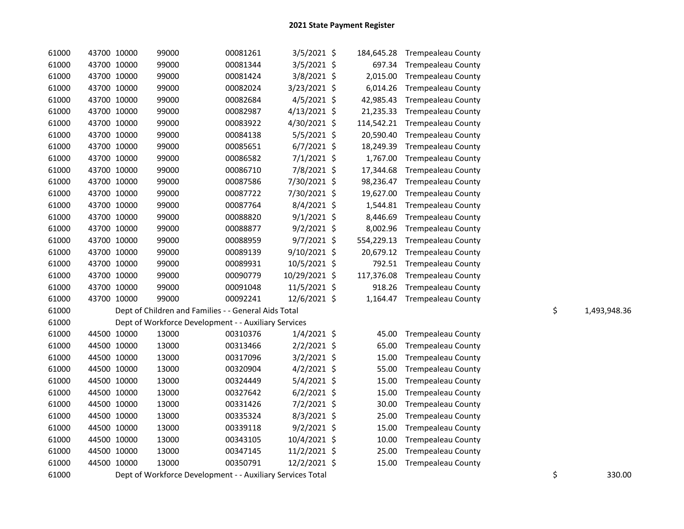| 61000 | 43700 10000 | 99000                                                      | 00081261 | $3/5/2021$ \$  | 184,645.28 | Trempealeau County          |    |              |
|-------|-------------|------------------------------------------------------------|----------|----------------|------------|-----------------------------|----|--------------|
| 61000 | 43700 10000 | 99000                                                      | 00081344 | 3/5/2021 \$    | 697.34     | <b>Trempealeau County</b>   |    |              |
| 61000 | 43700 10000 | 99000                                                      | 00081424 | $3/8/2021$ \$  | 2,015.00   | <b>Trempealeau County</b>   |    |              |
| 61000 | 43700 10000 | 99000                                                      | 00082024 | 3/23/2021 \$   | 6,014.26   | <b>Trempealeau County</b>   |    |              |
| 61000 | 43700 10000 | 99000                                                      | 00082684 | $4/5/2021$ \$  | 42,985.43  | <b>Trempealeau County</b>   |    |              |
| 61000 | 43700 10000 | 99000                                                      | 00082987 | 4/13/2021 \$   | 21,235.33  | <b>Trempealeau County</b>   |    |              |
| 61000 | 43700 10000 | 99000                                                      | 00083922 | 4/30/2021 \$   | 114,542.21 | <b>Trempealeau County</b>   |    |              |
| 61000 | 43700 10000 | 99000                                                      | 00084138 | $5/5/2021$ \$  | 20,590.40  | <b>Trempealeau County</b>   |    |              |
| 61000 | 43700 10000 | 99000                                                      | 00085651 | $6/7/2021$ \$  | 18,249.39  | <b>Trempealeau County</b>   |    |              |
| 61000 | 43700 10000 | 99000                                                      | 00086582 | $7/1/2021$ \$  | 1,767.00   | <b>Trempealeau County</b>   |    |              |
| 61000 | 43700 10000 | 99000                                                      | 00086710 | 7/8/2021 \$    | 17,344.68  | <b>Trempealeau County</b>   |    |              |
| 61000 | 43700 10000 | 99000                                                      | 00087586 | 7/30/2021 \$   | 98,236.47  | <b>Trempealeau County</b>   |    |              |
| 61000 | 43700 10000 | 99000                                                      | 00087722 | 7/30/2021 \$   | 19,627.00  | <b>Trempealeau County</b>   |    |              |
| 61000 | 43700 10000 | 99000                                                      | 00087764 | 8/4/2021 \$    | 1,544.81   | <b>Trempealeau County</b>   |    |              |
| 61000 | 43700 10000 | 99000                                                      | 00088820 | $9/1/2021$ \$  | 8,446.69   | <b>Trempealeau County</b>   |    |              |
| 61000 | 43700 10000 | 99000                                                      | 00088877 | $9/2/2021$ \$  | 8,002.96   | <b>Trempealeau County</b>   |    |              |
| 61000 | 43700 10000 | 99000                                                      | 00088959 | $9/7/2021$ \$  | 554,229.13 | <b>Trempealeau County</b>   |    |              |
| 61000 | 43700 10000 | 99000                                                      | 00089139 | $9/10/2021$ \$ | 20,679.12  | <b>Trempealeau County</b>   |    |              |
| 61000 | 43700 10000 | 99000                                                      | 00089931 | 10/5/2021 \$   | 792.51     | <b>Trempealeau County</b>   |    |              |
| 61000 | 43700 10000 | 99000                                                      | 00090779 | 10/29/2021 \$  | 117,376.08 | <b>Trempealeau County</b>   |    |              |
| 61000 | 43700 10000 | 99000                                                      | 00091048 | 11/5/2021 \$   | 918.26     | <b>Trempealeau County</b>   |    |              |
| 61000 | 43700 10000 | 99000                                                      | 00092241 | 12/6/2021 \$   |            | 1,164.47 Trempealeau County |    |              |
| 61000 |             | Dept of Children and Families - - General Aids Total       |          |                |            |                             | \$ | 1,493,948.36 |
| 61000 |             | Dept of Workforce Development - - Auxiliary Services       |          |                |            |                             |    |              |
| 61000 | 44500 10000 | 13000                                                      | 00310376 | $1/4/2021$ \$  | 45.00      | <b>Trempealeau County</b>   |    |              |
| 61000 | 44500 10000 | 13000                                                      | 00313466 | $2/2/2021$ \$  | 65.00      | <b>Trempealeau County</b>   |    |              |
| 61000 | 44500 10000 | 13000                                                      | 00317096 | $3/2/2021$ \$  | 15.00      | <b>Trempealeau County</b>   |    |              |
| 61000 | 44500 10000 | 13000                                                      | 00320904 | $4/2/2021$ \$  | 55.00      | <b>Trempealeau County</b>   |    |              |
| 61000 | 44500 10000 | 13000                                                      | 00324449 | $5/4/2021$ \$  | 15.00      | <b>Trempealeau County</b>   |    |              |
| 61000 | 44500 10000 | 13000                                                      | 00327642 | $6/2/2021$ \$  | 15.00      | <b>Trempealeau County</b>   |    |              |
| 61000 | 44500 10000 | 13000                                                      | 00331426 | $7/2/2021$ \$  | 30.00      | <b>Trempealeau County</b>   |    |              |
| 61000 | 44500 10000 | 13000                                                      | 00335324 | $8/3/2021$ \$  | 25.00      | <b>Trempealeau County</b>   |    |              |
| 61000 | 44500 10000 | 13000                                                      | 00339118 | $9/2/2021$ \$  | 15.00      | <b>Trempealeau County</b>   |    |              |
| 61000 | 44500 10000 | 13000                                                      | 00343105 | 10/4/2021 \$   | 10.00      | <b>Trempealeau County</b>   |    |              |
| 61000 | 44500 10000 | 13000                                                      | 00347145 | 11/2/2021 \$   | 25.00      | <b>Trempealeau County</b>   |    |              |
| 61000 | 44500 10000 | 13000                                                      | 00350791 | 12/2/2021 \$   | 15.00      | <b>Trempealeau County</b>   |    |              |
| 61000 |             | Dept of Workforce Development - - Auxiliary Services Total |          |                |            |                             | \$ | 330.00       |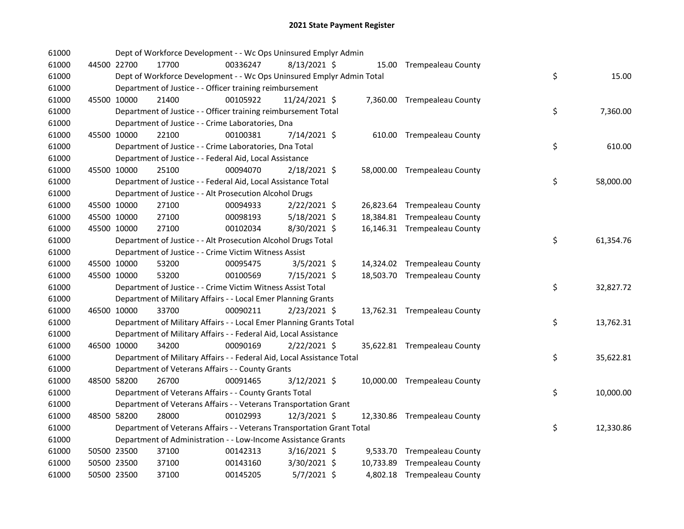| 61000 |             | Dept of Workforce Development - - Wc Ops Uninsured Emplyr Admin        |          |                |  |                              |    |           |
|-------|-------------|------------------------------------------------------------------------|----------|----------------|--|------------------------------|----|-----------|
| 61000 | 44500 22700 | 17700                                                                  | 00336247 | $8/13/2021$ \$ |  | 15.00 Trempealeau County     |    |           |
| 61000 |             | Dept of Workforce Development - - Wc Ops Uninsured Emplyr Admin Total  |          |                |  |                              | \$ | 15.00     |
| 61000 |             | Department of Justice - - Officer training reimbursement               |          |                |  |                              |    |           |
| 61000 | 45500 10000 | 21400                                                                  | 00105922 | 11/24/2021 \$  |  | 7,360.00 Trempealeau County  |    |           |
| 61000 |             | Department of Justice - - Officer training reimbursement Total         |          |                |  |                              | \$ | 7,360.00  |
| 61000 |             | Department of Justice - - Crime Laboratories, Dna                      |          |                |  |                              |    |           |
| 61000 | 45500 10000 | 22100                                                                  | 00100381 | 7/14/2021 \$   |  | 610.00 Trempealeau County    |    |           |
| 61000 |             | Department of Justice - - Crime Laboratories, Dna Total                |          |                |  |                              | \$ | 610.00    |
| 61000 |             | Department of Justice - - Federal Aid, Local Assistance                |          |                |  |                              |    |           |
| 61000 | 45500 10000 | 25100                                                                  | 00094070 | $2/18/2021$ \$ |  | 58,000.00 Trempealeau County |    |           |
| 61000 |             | Department of Justice - - Federal Aid, Local Assistance Total          |          |                |  |                              | \$ | 58,000.00 |
| 61000 |             | Department of Justice - - Alt Prosecution Alcohol Drugs                |          |                |  |                              |    |           |
| 61000 | 45500 10000 | 27100                                                                  | 00094933 | $2/22/2021$ \$ |  | 26,823.64 Trempealeau County |    |           |
| 61000 | 45500 10000 | 27100                                                                  | 00098193 | $5/18/2021$ \$ |  | 18,384.81 Trempealeau County |    |           |
| 61000 | 45500 10000 | 27100                                                                  | 00102034 | 8/30/2021 \$   |  | 16,146.31 Trempealeau County |    |           |
| 61000 |             | Department of Justice - - Alt Prosecution Alcohol Drugs Total          |          |                |  |                              | \$ | 61,354.76 |
| 61000 |             | Department of Justice - - Crime Victim Witness Assist                  |          |                |  |                              |    |           |
| 61000 | 45500 10000 | 53200                                                                  | 00095475 | $3/5/2021$ \$  |  | 14,324.02 Trempealeau County |    |           |
| 61000 | 45500 10000 | 53200                                                                  | 00100569 | 7/15/2021 \$   |  | 18,503.70 Trempealeau County |    |           |
| 61000 |             | Department of Justice - - Crime Victim Witness Assist Total            |          |                |  |                              | \$ | 32,827.72 |
| 61000 |             | Department of Military Affairs - - Local Emer Planning Grants          |          |                |  |                              |    |           |
| 61000 | 46500 10000 | 33700                                                                  | 00090211 | $2/23/2021$ \$ |  | 13,762.31 Trempealeau County |    |           |
| 61000 |             | Department of Military Affairs - - Local Emer Planning Grants Total    |          |                |  |                              | \$ | 13,762.31 |
| 61000 |             | Department of Military Affairs - - Federal Aid, Local Assistance       |          |                |  |                              |    |           |
| 61000 | 46500 10000 | 34200                                                                  | 00090169 | $2/22/2021$ \$ |  | 35,622.81 Trempealeau County |    |           |
| 61000 |             | Department of Military Affairs - - Federal Aid, Local Assistance Total |          |                |  |                              | \$ | 35,622.81 |
| 61000 |             | Department of Veterans Affairs - - County Grants                       |          |                |  |                              |    |           |
| 61000 | 48500 58200 | 26700                                                                  | 00091465 | $3/12/2021$ \$ |  | 10,000.00 Trempealeau County |    |           |
| 61000 |             | Department of Veterans Affairs - - County Grants Total                 |          |                |  |                              | \$ | 10,000.00 |
| 61000 |             | Department of Veterans Affairs - - Veterans Transportation Grant       |          |                |  |                              |    |           |
| 61000 | 48500 58200 | 28000                                                                  | 00102993 | 12/3/2021 \$   |  | 12,330.86 Trempealeau County |    |           |
| 61000 |             | Department of Veterans Affairs - - Veterans Transportation Grant Total |          |                |  |                              | \$ | 12,330.86 |
| 61000 |             | Department of Administration - - Low-Income Assistance Grants          |          |                |  |                              |    |           |
| 61000 | 50500 23500 | 37100                                                                  | 00142313 | $3/16/2021$ \$ |  | 9,533.70 Trempealeau County  |    |           |
| 61000 | 50500 23500 | 37100                                                                  | 00143160 | 3/30/2021 \$   |  | 10,733.89 Trempealeau County |    |           |
| 61000 | 50500 23500 | 37100                                                                  | 00145205 | $5/7/2021$ \$  |  | 4,802.18 Trempealeau County  |    |           |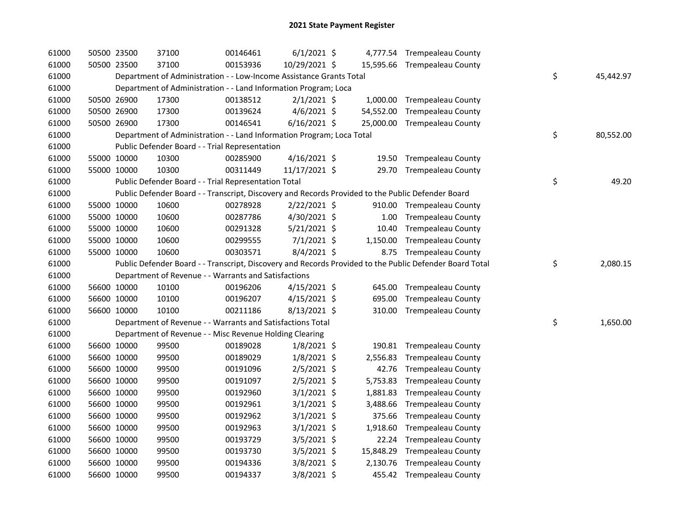| 61000 | 50500 23500 | 37100 | 00146461                                                                                          | $6/1/2021$ \$  |           | 4,777.54 Trempealeau County                                                                             |                 |
|-------|-------------|-------|---------------------------------------------------------------------------------------------------|----------------|-----------|---------------------------------------------------------------------------------------------------------|-----------------|
| 61000 | 50500 23500 | 37100 | 00153936                                                                                          | 10/29/2021 \$  |           | 15,595.66 Trempealeau County                                                                            |                 |
| 61000 |             |       | Department of Administration - - Low-Income Assistance Grants Total                               |                |           |                                                                                                         | \$<br>45,442.97 |
| 61000 |             |       | Department of Administration - - Land Information Program; Loca                                   |                |           |                                                                                                         |                 |
| 61000 | 50500 26900 | 17300 | 00138512                                                                                          | $2/1/2021$ \$  |           | 1,000.00 Trempealeau County                                                                             |                 |
| 61000 | 50500 26900 | 17300 | 00139624                                                                                          | $4/6/2021$ \$  |           | 54,552.00 Trempealeau County                                                                            |                 |
| 61000 | 50500 26900 | 17300 | 00146541                                                                                          | $6/16/2021$ \$ |           | 25,000.00 Trempealeau County                                                                            |                 |
| 61000 |             |       | Department of Administration - - Land Information Program; Loca Total                             |                |           |                                                                                                         | \$<br>80,552.00 |
| 61000 |             |       | Public Defender Board - - Trial Representation                                                    |                |           |                                                                                                         |                 |
| 61000 | 55000 10000 | 10300 | 00285900                                                                                          | $4/16/2021$ \$ |           | 19.50 Trempealeau County                                                                                |                 |
| 61000 | 55000 10000 | 10300 | 00311449                                                                                          | 11/17/2021 \$  |           | 29.70 Trempealeau County                                                                                |                 |
| 61000 |             |       | Public Defender Board - - Trial Representation Total                                              |                |           |                                                                                                         | \$<br>49.20     |
| 61000 |             |       | Public Defender Board - - Transcript, Discovery and Records Provided to the Public Defender Board |                |           |                                                                                                         |                 |
| 61000 | 55000 10000 | 10600 | 00278928                                                                                          | $2/22/2021$ \$ |           | 910.00 Trempealeau County                                                                               |                 |
| 61000 | 55000 10000 | 10600 | 00287786                                                                                          | 4/30/2021 \$   | 1.00      | <b>Trempealeau County</b>                                                                               |                 |
| 61000 | 55000 10000 | 10600 | 00291328                                                                                          | 5/21/2021 \$   | 10.40     | <b>Trempealeau County</b>                                                                               |                 |
| 61000 | 55000 10000 | 10600 | 00299555                                                                                          | $7/1/2021$ \$  | 1,150.00  | <b>Trempealeau County</b>                                                                               |                 |
| 61000 | 55000 10000 | 10600 | 00303571                                                                                          | $8/4/2021$ \$  |           | 8.75 Trempealeau County                                                                                 |                 |
| 61000 |             |       |                                                                                                   |                |           | Public Defender Board - - Transcript, Discovery and Records Provided to the Public Defender Board Total | \$<br>2,080.15  |
| 61000 |             |       | Department of Revenue - - Warrants and Satisfactions                                              |                |           |                                                                                                         |                 |
| 61000 | 56600 10000 | 10100 | 00196206                                                                                          | $4/15/2021$ \$ |           | 645.00 Trempealeau County                                                                               |                 |
| 61000 | 56600 10000 | 10100 | 00196207                                                                                          | $4/15/2021$ \$ | 695.00    | <b>Trempealeau County</b>                                                                               |                 |
| 61000 | 56600 10000 | 10100 | 00211186                                                                                          | 8/13/2021 \$   |           | 310.00 Trempealeau County                                                                               |                 |
| 61000 |             |       | Department of Revenue - - Warrants and Satisfactions Total                                        |                |           |                                                                                                         | \$<br>1,650.00  |
| 61000 |             |       | Department of Revenue - - Misc Revenue Holding Clearing                                           |                |           |                                                                                                         |                 |
| 61000 | 56600 10000 | 99500 | 00189028                                                                                          | $1/8/2021$ \$  | 190.81    | <b>Trempealeau County</b>                                                                               |                 |
| 61000 | 56600 10000 | 99500 | 00189029                                                                                          | $1/8/2021$ \$  | 2,556.83  | <b>Trempealeau County</b>                                                                               |                 |
| 61000 | 56600 10000 | 99500 | 00191096                                                                                          | $2/5/2021$ \$  | 42.76     | <b>Trempealeau County</b>                                                                               |                 |
| 61000 | 56600 10000 | 99500 | 00191097                                                                                          | $2/5/2021$ \$  | 5,753.83  | <b>Trempealeau County</b>                                                                               |                 |
| 61000 | 56600 10000 | 99500 | 00192960                                                                                          | $3/1/2021$ \$  | 1,881.83  | <b>Trempealeau County</b>                                                                               |                 |
| 61000 | 56600 10000 | 99500 | 00192961                                                                                          | $3/1/2021$ \$  | 3,488.66  | <b>Trempealeau County</b>                                                                               |                 |
| 61000 | 56600 10000 | 99500 | 00192962                                                                                          | $3/1/2021$ \$  | 375.66    | <b>Trempealeau County</b>                                                                               |                 |
| 61000 | 56600 10000 | 99500 | 00192963                                                                                          | $3/1/2021$ \$  | 1,918.60  | <b>Trempealeau County</b>                                                                               |                 |
| 61000 | 56600 10000 | 99500 | 00193729                                                                                          | 3/5/2021 \$    | 22.24     | <b>Trempealeau County</b>                                                                               |                 |
| 61000 | 56600 10000 | 99500 | 00193730                                                                                          | 3/5/2021 \$    | 15,848.29 | <b>Trempealeau County</b>                                                                               |                 |
| 61000 | 56600 10000 | 99500 | 00194336                                                                                          | $3/8/2021$ \$  | 2,130.76  | <b>Trempealeau County</b>                                                                               |                 |
| 61000 | 56600 10000 | 99500 | 00194337                                                                                          | 3/8/2021 \$    |           | 455.42 Trempealeau County                                                                               |                 |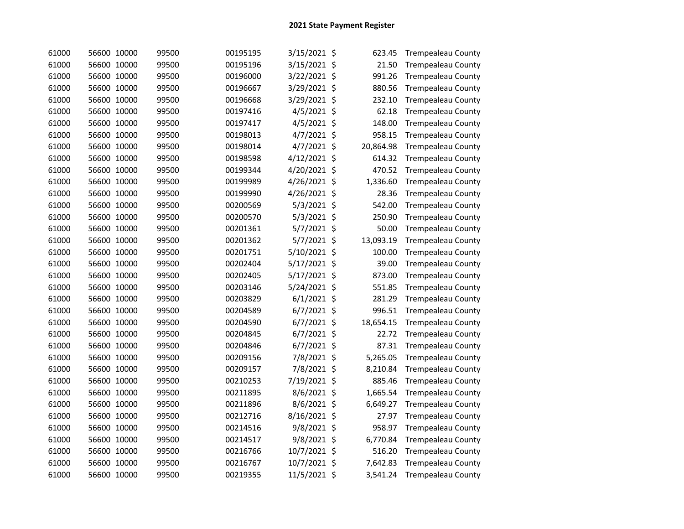| 61000 | 56600 10000    | 99500 | 00195195 | 3/15/2021 \$  | 623.45          | <b>Trempealeau County</b> |
|-------|----------------|-------|----------|---------------|-----------------|---------------------------|
| 61000 | 56600 10000    | 99500 | 00195196 | 3/15/2021     | \$<br>21.50     | <b>Trempealeau County</b> |
| 61000 | 56600 10000    | 99500 | 00196000 | 3/22/2021     | \$<br>991.26    | <b>Trempealeau County</b> |
| 61000 | 56600 10000    | 99500 | 00196667 | 3/29/2021     | \$<br>880.56    | <b>Trempealeau County</b> |
| 61000 | 56600 10000    | 99500 | 00196668 | 3/29/2021     | \$<br>232.10    | <b>Trempealeau County</b> |
| 61000 | 56600 10000    | 99500 | 00197416 | 4/5/2021      | \$<br>62.18     | <b>Trempealeau County</b> |
| 61000 | 56600 10000    | 99500 | 00197417 | 4/5/2021      | \$<br>148.00    | <b>Trempealeau County</b> |
| 61000 | 56600 10000    | 99500 | 00198013 | 4/7/2021      | \$<br>958.15    | <b>Trempealeau County</b> |
| 61000 | 56600 10000    | 99500 | 00198014 | 4/7/2021      | \$<br>20,864.98 | <b>Trempealeau County</b> |
| 61000 | 56600 10000    | 99500 | 00198598 | 4/12/2021     | \$<br>614.32    | <b>Trempealeau County</b> |
| 61000 | 56600 10000    | 99500 | 00199344 | 4/20/2021     | \$<br>470.52    | <b>Trempealeau County</b> |
| 61000 | 56600 10000    | 99500 | 00199989 | 4/26/2021     | \$<br>1,336.60  | <b>Trempealeau County</b> |
| 61000 | 56600 10000    | 99500 | 00199990 | 4/26/2021     | \$<br>28.36     | <b>Trempealeau County</b> |
| 61000 | 56600 10000    | 99500 | 00200569 | 5/3/2021 \$   | 542.00          | <b>Trempealeau County</b> |
| 61000 | 56600 10000    | 99500 | 00200570 | 5/3/2021 \$   | 250.90          | <b>Trempealeau County</b> |
| 61000 | 56600 10000    | 99500 | 00201361 | 5/7/2021 \$   | 50.00           | <b>Trempealeau County</b> |
| 61000 | 56600 10000    | 99500 | 00201362 | 5/7/2021 \$   | 13,093.19       | <b>Trempealeau County</b> |
| 61000 | 56600 10000    | 99500 | 00201751 | 5/10/2021 \$  | 100.00          | <b>Trempealeau County</b> |
| 61000 | 56600 10000    | 99500 | 00202404 | 5/17/2021 \$  | 39.00           | <b>Trempealeau County</b> |
| 61000 | 56600 10000    | 99500 | 00202405 | 5/17/2021 \$  | 873.00          | <b>Trempealeau County</b> |
| 61000 | 56600 10000    | 99500 | 00203146 | 5/24/2021 \$  | 551.85          | <b>Trempealeau County</b> |
| 61000 | 56600 10000    | 99500 | 00203829 | $6/1/2021$ \$ | 281.29          | <b>Trempealeau County</b> |
| 61000 | 56600 10000    | 99500 | 00204589 | $6/7/2021$ \$ | 996.51          | <b>Trempealeau County</b> |
| 61000 | 56600 10000    | 99500 | 00204590 | 6/7/2021 \$   | 18,654.15       | <b>Trempealeau County</b> |
| 61000 | 10000<br>56600 | 99500 | 00204845 | 6/7/2021 \$   | 22.72           | <b>Trempealeau County</b> |
| 61000 | 10000<br>56600 | 99500 | 00204846 | 6/7/2021      | \$<br>87.31     | <b>Trempealeau County</b> |
| 61000 | 56600 10000    | 99500 | 00209156 | 7/8/2021      | \$<br>5,265.05  | <b>Trempealeau County</b> |
| 61000 | 56600 10000    | 99500 | 00209157 | 7/8/2021      | \$<br>8,210.84  | <b>Trempealeau County</b> |
| 61000 | 56600 10000    | 99500 | 00210253 | 7/19/2021     | \$<br>885.46    | <b>Trempealeau County</b> |
| 61000 | 10000<br>56600 | 99500 | 00211895 | 8/6/2021      | \$<br>1,665.54  | <b>Trempealeau County</b> |
| 61000 | 56600 10000    | 99500 | 00211896 | 8/6/2021      | \$<br>6,649.27  | <b>Trempealeau County</b> |
| 61000 | 56600 10000    | 99500 | 00212716 | 8/16/2021     | \$<br>27.97     | <b>Trempealeau County</b> |
| 61000 | 56600 10000    | 99500 | 00214516 | 9/8/2021 \$   | 958.97          | <b>Trempealeau County</b> |
| 61000 | 56600 10000    | 99500 | 00214517 | 9/8/2021      | \$<br>6,770.84  | <b>Trempealeau County</b> |
| 61000 | 56600 10000    | 99500 | 00216766 | 10/7/2021     | \$<br>516.20    | <b>Trempealeau County</b> |
| 61000 | 56600 10000    | 99500 | 00216767 | 10/7/2021     | \$<br>7,642.83  | <b>Trempealeau County</b> |
| 61000 | 56600 10000    | 99500 | 00219355 | 11/5/2021 \$  | 3,541.24        | <b>Trempealeau County</b> |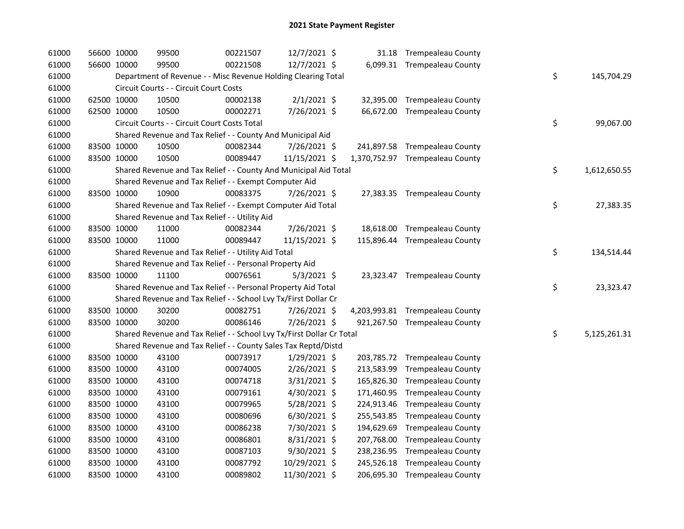| 61000 | 56600 10000 | 99500                                                                 | 00221507 | 12/7/2021 \$   |  | 31.18 Trempealeau County        |    |              |
|-------|-------------|-----------------------------------------------------------------------|----------|----------------|--|---------------------------------|----|--------------|
| 61000 | 56600 10000 | 99500                                                                 | 00221508 | 12/7/2021 \$   |  | 6,099.31 Trempealeau County     |    |              |
| 61000 |             | Department of Revenue - - Misc Revenue Holding Clearing Total         |          |                |  |                                 | \$ | 145,704.29   |
| 61000 |             | Circuit Courts - - Circuit Court Costs                                |          |                |  |                                 |    |              |
| 61000 | 62500 10000 | 10500                                                                 | 00002138 | $2/1/2021$ \$  |  | 32,395.00 Trempealeau County    |    |              |
| 61000 | 62500 10000 | 10500                                                                 | 00002271 | 7/26/2021 \$   |  | 66,672.00 Trempealeau County    |    |              |
| 61000 |             | Circuit Courts - - Circuit Court Costs Total                          |          |                |  |                                 | \$ | 99,067.00    |
| 61000 |             | Shared Revenue and Tax Relief - - County And Municipal Aid            |          |                |  |                                 |    |              |
| 61000 | 83500 10000 | 10500                                                                 | 00082344 | 7/26/2021 \$   |  | 241,897.58 Trempealeau County   |    |              |
| 61000 | 83500 10000 | 10500                                                                 | 00089447 | 11/15/2021 \$  |  | 1,370,752.97 Trempealeau County |    |              |
| 61000 |             | Shared Revenue and Tax Relief - - County And Municipal Aid Total      |          |                |  |                                 | \$ | 1,612,650.55 |
| 61000 |             | Shared Revenue and Tax Relief - - Exempt Computer Aid                 |          |                |  |                                 |    |              |
| 61000 | 83500 10000 | 10900                                                                 | 00083375 | 7/26/2021 \$   |  | 27,383.35 Trempealeau County    |    |              |
| 61000 |             | Shared Revenue and Tax Relief - - Exempt Computer Aid Total           |          |                |  |                                 | \$ | 27,383.35    |
| 61000 |             | Shared Revenue and Tax Relief - - Utility Aid                         |          |                |  |                                 |    |              |
| 61000 | 83500 10000 | 11000                                                                 | 00082344 | 7/26/2021 \$   |  | 18,618.00 Trempealeau County    |    |              |
| 61000 | 83500 10000 | 11000                                                                 | 00089447 | 11/15/2021 \$  |  | 115,896.44 Trempealeau County   |    |              |
| 61000 |             | Shared Revenue and Tax Relief - - Utility Aid Total                   |          |                |  |                                 | \$ | 134,514.44   |
| 61000 |             | Shared Revenue and Tax Relief - - Personal Property Aid               |          |                |  |                                 |    |              |
| 61000 | 83500 10000 | 11100                                                                 | 00076561 | $5/3/2021$ \$  |  | 23,323.47 Trempealeau County    |    |              |
| 61000 |             | Shared Revenue and Tax Relief - - Personal Property Aid Total         |          |                |  |                                 | \$ | 23,323.47    |
| 61000 |             | Shared Revenue and Tax Relief - - School Lvy Tx/First Dollar Cr       |          |                |  |                                 |    |              |
| 61000 | 83500 10000 | 30200                                                                 | 00082751 | 7/26/2021 \$   |  | 4,203,993.81 Trempealeau County |    |              |
| 61000 | 83500 10000 | 30200                                                                 | 00086146 | 7/26/2021 \$   |  | 921,267.50 Trempealeau County   |    |              |
| 61000 |             | Shared Revenue and Tax Relief - - School Lvy Tx/First Dollar Cr Total |          |                |  |                                 | \$ | 5,125,261.31 |
| 61000 |             | Shared Revenue and Tax Relief - - County Sales Tax Reptd/Distd        |          |                |  |                                 |    |              |
| 61000 | 83500 10000 | 43100                                                                 | 00073917 | $1/29/2021$ \$ |  | 203,785.72 Trempealeau County   |    |              |
| 61000 | 83500 10000 | 43100                                                                 | 00074005 | 2/26/2021 \$   |  | 213,583.99 Trempealeau County   |    |              |
| 61000 | 83500 10000 | 43100                                                                 | 00074718 | 3/31/2021 \$   |  | 165,826.30 Trempealeau County   |    |              |
| 61000 | 83500 10000 | 43100                                                                 | 00079161 | 4/30/2021 \$   |  | 171,460.95 Trempealeau County   |    |              |
| 61000 | 83500 10000 | 43100                                                                 | 00079965 | 5/28/2021 \$   |  | 224,913.46 Trempealeau County   |    |              |
| 61000 | 83500 10000 | 43100                                                                 | 00080696 | $6/30/2021$ \$ |  | 255,543.85 Trempealeau County   |    |              |
| 61000 | 83500 10000 | 43100                                                                 | 00086238 | 7/30/2021 \$   |  | 194,629.69 Trempealeau County   |    |              |
| 61000 | 83500 10000 | 43100                                                                 | 00086801 | 8/31/2021 \$   |  | 207,768.00 Trempealeau County   |    |              |
| 61000 | 83500 10000 | 43100                                                                 | 00087103 | $9/30/2021$ \$ |  | 238,236.95 Trempealeau County   |    |              |
| 61000 | 83500 10000 | 43100                                                                 | 00087792 | 10/29/2021 \$  |  | 245,526.18 Trempealeau County   |    |              |
| 61000 | 83500 10000 | 43100                                                                 | 00089802 | 11/30/2021 \$  |  | 206,695.30 Trempealeau County   |    |              |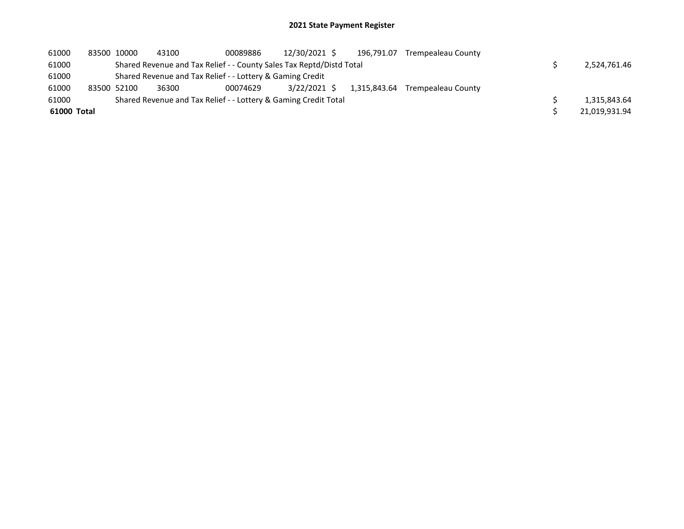| 61000       | 83500 10000 | 43100 | 00089886                                                             | 12/30/2021 \$ | 196.791.07   | Trempealeau County |               |
|-------------|-------------|-------|----------------------------------------------------------------------|---------------|--------------|--------------------|---------------|
| 61000       |             |       | Shared Revenue and Tax Relief - - County Sales Tax Reptd/Distd Total |               |              |                    | 2,524,761.46  |
| 61000       |             |       | Shared Revenue and Tax Relief - - Lottery & Gaming Credit            |               |              |                    |               |
| 61000       | 83500 52100 | 36300 | 00074629                                                             | 3/22/2021 \$  | 1.315.843.64 | Trempealeau County |               |
| 61000       |             |       | Shared Revenue and Tax Relief - - Lottery & Gaming Credit Total      |               |              |                    | 1,315,843.64  |
| 61000 Total |             |       |                                                                      |               |              |                    | 21,019,931.94 |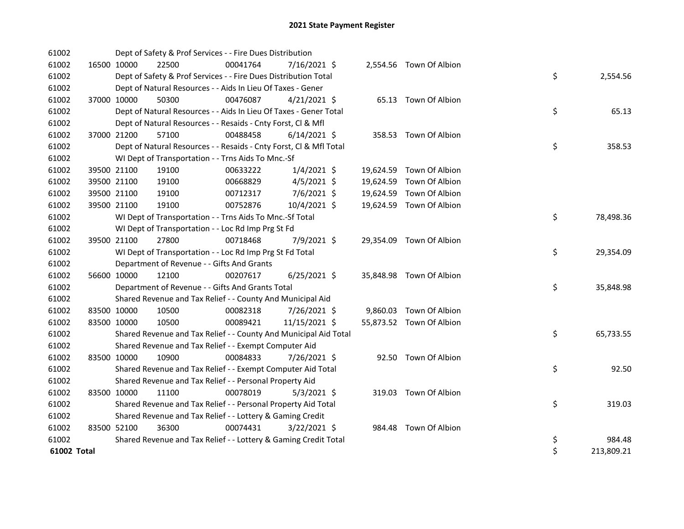| 61002       |             | Dept of Safety & Prof Services - - Fire Dues Distribution          |          |                |  |                          |    |            |
|-------------|-------------|--------------------------------------------------------------------|----------|----------------|--|--------------------------|----|------------|
| 61002       | 16500 10000 | 22500                                                              | 00041764 | 7/16/2021 \$   |  | 2,554.56 Town Of Albion  |    |            |
| 61002       |             | Dept of Safety & Prof Services - - Fire Dues Distribution Total    |          |                |  |                          | \$ | 2,554.56   |
| 61002       |             | Dept of Natural Resources - - Aids In Lieu Of Taxes - Gener        |          |                |  |                          |    |            |
| 61002       | 37000 10000 | 50300                                                              | 00476087 | $4/21/2021$ \$ |  | 65.13 Town Of Albion     |    |            |
| 61002       |             | Dept of Natural Resources - - Aids In Lieu Of Taxes - Gener Total  |          |                |  |                          | \$ | 65.13      |
| 61002       |             | Dept of Natural Resources - - Resaids - Cnty Forst, Cl & Mfl       |          |                |  |                          |    |            |
| 61002       | 37000 21200 | 57100                                                              | 00488458 | $6/14/2021$ \$ |  | 358.53 Town Of Albion    |    |            |
| 61002       |             | Dept of Natural Resources - - Resaids - Cnty Forst, Cl & Mfl Total |          |                |  |                          | \$ | 358.53     |
| 61002       |             | WI Dept of Transportation - - Trns Aids To Mnc.-Sf                 |          |                |  |                          |    |            |
| 61002       | 39500 21100 | 19100                                                              | 00633222 | $1/4/2021$ \$  |  | 19,624.59 Town Of Albion |    |            |
| 61002       | 39500 21100 | 19100                                                              | 00668829 | $4/5/2021$ \$  |  | 19,624.59 Town Of Albion |    |            |
| 61002       | 39500 21100 | 19100                                                              | 00712317 | 7/6/2021 \$    |  | 19,624.59 Town Of Albion |    |            |
| 61002       | 39500 21100 | 19100                                                              | 00752876 | 10/4/2021 \$   |  | 19,624.59 Town Of Albion |    |            |
| 61002       |             | WI Dept of Transportation - - Trns Aids To Mnc.-Sf Total           |          |                |  |                          | \$ | 78,498.36  |
| 61002       |             | WI Dept of Transportation - - Loc Rd Imp Prg St Fd                 |          |                |  |                          |    |            |
| 61002       | 39500 21100 | 27800                                                              | 00718468 | 7/9/2021 \$    |  | 29,354.09 Town Of Albion |    |            |
| 61002       |             | WI Dept of Transportation - - Loc Rd Imp Prg St Fd Total           |          |                |  |                          | \$ | 29,354.09  |
| 61002       |             | Department of Revenue - - Gifts And Grants                         |          |                |  |                          |    |            |
| 61002       | 56600 10000 | 12100                                                              | 00207617 | $6/25/2021$ \$ |  | 35,848.98 Town Of Albion |    |            |
| 61002       |             | Department of Revenue - - Gifts And Grants Total                   |          |                |  |                          | \$ | 35,848.98  |
| 61002       |             | Shared Revenue and Tax Relief - - County And Municipal Aid         |          |                |  |                          |    |            |
| 61002       | 83500 10000 | 10500                                                              | 00082318 | 7/26/2021 \$   |  | 9,860.03 Town Of Albion  |    |            |
| 61002       | 83500 10000 | 10500                                                              | 00089421 | 11/15/2021 \$  |  | 55,873.52 Town Of Albion |    |            |
| 61002       |             | Shared Revenue and Tax Relief - - County And Municipal Aid Total   |          |                |  |                          | \$ | 65,733.55  |
| 61002       |             | Shared Revenue and Tax Relief - - Exempt Computer Aid              |          |                |  |                          |    |            |
| 61002       | 83500 10000 | 10900                                                              | 00084833 | 7/26/2021 \$   |  | 92.50 Town Of Albion     |    |            |
| 61002       |             | Shared Revenue and Tax Relief - - Exempt Computer Aid Total        |          |                |  |                          | \$ | 92.50      |
| 61002       |             | Shared Revenue and Tax Relief - - Personal Property Aid            |          |                |  |                          |    |            |
| 61002       | 83500 10000 | 11100                                                              | 00078019 | $5/3/2021$ \$  |  | 319.03 Town Of Albion    |    |            |
| 61002       |             | Shared Revenue and Tax Relief - - Personal Property Aid Total      |          |                |  |                          | \$ | 319.03     |
| 61002       |             | Shared Revenue and Tax Relief - - Lottery & Gaming Credit          |          |                |  |                          |    |            |
| 61002       | 83500 52100 | 36300                                                              | 00074431 | $3/22/2021$ \$ |  | 984.48 Town Of Albion    |    |            |
| 61002       |             | Shared Revenue and Tax Relief - - Lottery & Gaming Credit Total    |          |                |  |                          | \$ | 984.48     |
| 61002 Total |             |                                                                    |          |                |  |                          | \$ | 213,809.21 |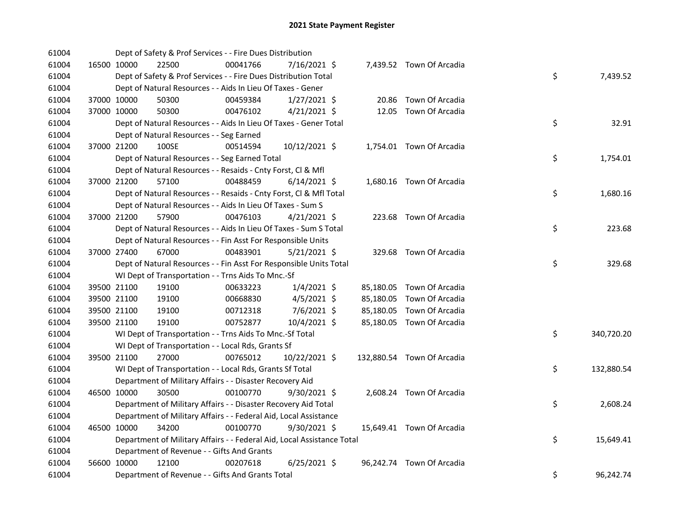| 61004 |             | Dept of Safety & Prof Services - - Fire Dues Distribution              |          |                |  |                            |    |            |
|-------|-------------|------------------------------------------------------------------------|----------|----------------|--|----------------------------|----|------------|
| 61004 | 16500 10000 | 22500                                                                  | 00041766 | 7/16/2021 \$   |  | 7,439.52 Town Of Arcadia   |    |            |
| 61004 |             | Dept of Safety & Prof Services - - Fire Dues Distribution Total        |          |                |  |                            | \$ | 7,439.52   |
| 61004 |             | Dept of Natural Resources - - Aids In Lieu Of Taxes - Gener            |          |                |  |                            |    |            |
| 61004 | 37000 10000 | 50300                                                                  | 00459384 | $1/27/2021$ \$ |  | 20.86 Town Of Arcadia      |    |            |
| 61004 | 37000 10000 | 50300                                                                  | 00476102 | $4/21/2021$ \$ |  | 12.05 Town Of Arcadia      |    |            |
| 61004 |             | Dept of Natural Resources - - Aids In Lieu Of Taxes - Gener Total      |          |                |  |                            | \$ | 32.91      |
| 61004 |             | Dept of Natural Resources - - Seg Earned                               |          |                |  |                            |    |            |
| 61004 | 37000 21200 | 100SE                                                                  | 00514594 | 10/12/2021 \$  |  | 1,754.01 Town Of Arcadia   |    |            |
| 61004 |             | Dept of Natural Resources - - Seg Earned Total                         |          |                |  |                            | \$ | 1,754.01   |
| 61004 |             | Dept of Natural Resources - - Resaids - Cnty Forst, Cl & Mfl           |          |                |  |                            |    |            |
| 61004 | 37000 21200 | 57100                                                                  | 00488459 | $6/14/2021$ \$ |  | 1,680.16 Town Of Arcadia   |    |            |
| 61004 |             | Dept of Natural Resources - - Resaids - Cnty Forst, Cl & Mfl Total     |          |                |  |                            | \$ | 1,680.16   |
| 61004 |             | Dept of Natural Resources - - Aids In Lieu Of Taxes - Sum S            |          |                |  |                            |    |            |
| 61004 | 37000 21200 | 57900                                                                  | 00476103 | $4/21/2021$ \$ |  | 223.68 Town Of Arcadia     |    |            |
| 61004 |             | Dept of Natural Resources - - Aids In Lieu Of Taxes - Sum S Total      |          |                |  |                            | \$ | 223.68     |
| 61004 |             | Dept of Natural Resources - - Fin Asst For Responsible Units           |          |                |  |                            |    |            |
| 61004 | 37000 27400 | 67000                                                                  | 00483901 | $5/21/2021$ \$ |  | 329.68 Town Of Arcadia     |    |            |
| 61004 |             | Dept of Natural Resources - - Fin Asst For Responsible Units Total     |          |                |  |                            | \$ | 329.68     |
| 61004 |             | WI Dept of Transportation - - Trns Aids To Mnc.-Sf                     |          |                |  |                            |    |            |
| 61004 | 39500 21100 | 19100                                                                  | 00633223 | $1/4/2021$ \$  |  | 85,180.05 Town Of Arcadia  |    |            |
| 61004 | 39500 21100 | 19100                                                                  | 00668830 | $4/5/2021$ \$  |  | 85,180.05 Town Of Arcadia  |    |            |
| 61004 | 39500 21100 | 19100                                                                  | 00712318 | 7/6/2021 \$    |  | 85,180.05 Town Of Arcadia  |    |            |
| 61004 | 39500 21100 | 19100                                                                  | 00752877 | 10/4/2021 \$   |  | 85,180.05 Town Of Arcadia  |    |            |
| 61004 |             | WI Dept of Transportation - - Trns Aids To Mnc.-Sf Total               |          |                |  |                            | \$ | 340,720.20 |
| 61004 |             | WI Dept of Transportation - - Local Rds, Grants Sf                     |          |                |  |                            |    |            |
| 61004 | 39500 21100 | 27000                                                                  | 00765012 | 10/22/2021 \$  |  | 132,880.54 Town Of Arcadia |    |            |
| 61004 |             | WI Dept of Transportation - - Local Rds, Grants Sf Total               |          |                |  |                            | \$ | 132,880.54 |
| 61004 |             | Department of Military Affairs - - Disaster Recovery Aid               |          |                |  |                            |    |            |
| 61004 | 46500 10000 | 30500                                                                  | 00100770 | $9/30/2021$ \$ |  | 2,608.24 Town Of Arcadia   |    |            |
| 61004 |             | Department of Military Affairs - - Disaster Recovery Aid Total         |          |                |  |                            | \$ | 2,608.24   |
| 61004 |             | Department of Military Affairs - - Federal Aid, Local Assistance       |          |                |  |                            |    |            |
| 61004 | 46500 10000 | 34200                                                                  | 00100770 | 9/30/2021 \$   |  | 15,649.41 Town Of Arcadia  |    |            |
| 61004 |             | Department of Military Affairs - - Federal Aid, Local Assistance Total |          |                |  |                            | \$ | 15,649.41  |
| 61004 |             | Department of Revenue - - Gifts And Grants                             |          |                |  |                            |    |            |
| 61004 | 56600 10000 | 12100                                                                  | 00207618 | $6/25/2021$ \$ |  | 96,242.74 Town Of Arcadia  |    |            |
| 61004 |             | Department of Revenue - - Gifts And Grants Total                       |          |                |  |                            | \$ | 96,242.74  |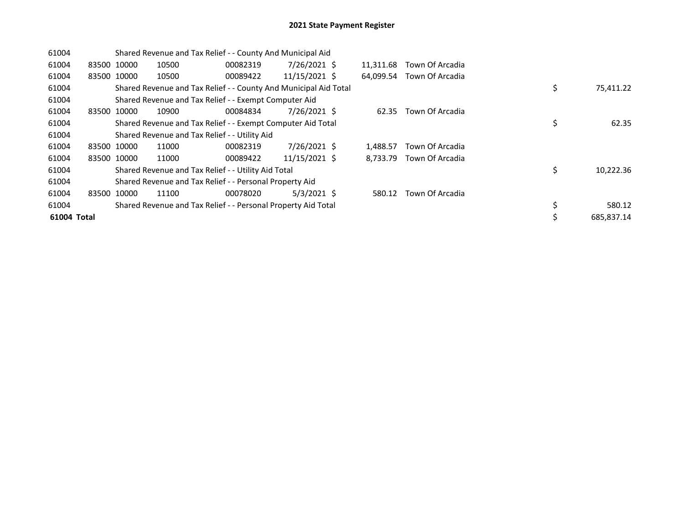| 61004       |             | Shared Revenue and Tax Relief - - County And Municipal Aid |                                                                  |          |               |  |           |                 |    |            |
|-------------|-------------|------------------------------------------------------------|------------------------------------------------------------------|----------|---------------|--|-----------|-----------------|----|------------|
| 61004       |             | 83500 10000                                                | 10500                                                            | 00082319 | 7/26/2021 \$  |  | 11,311.68 | Town Of Arcadia |    |            |
| 61004       | 83500 10000 |                                                            | 10500                                                            | 00089422 | 11/15/2021 \$ |  | 64.099.54 | Town Of Arcadia |    |            |
| 61004       |             |                                                            | Shared Revenue and Tax Relief - - County And Municipal Aid Total |          |               |  |           |                 | \$ | 75,411.22  |
| 61004       |             |                                                            | Shared Revenue and Tax Relief - - Exempt Computer Aid            |          |               |  |           |                 |    |            |
| 61004       |             | 83500 10000                                                | 10900                                                            | 00084834 | 7/26/2021 \$  |  | 62.35     | Town Of Arcadia |    |            |
| 61004       |             |                                                            | Shared Revenue and Tax Relief - - Exempt Computer Aid Total      |          |               |  |           |                 | \$ | 62.35      |
| 61004       |             |                                                            | Shared Revenue and Tax Relief - - Utility Aid                    |          |               |  |           |                 |    |            |
| 61004       | 83500 10000 |                                                            | 11000                                                            | 00082319 | 7/26/2021 \$  |  | 1,488.57  | Town Of Arcadia |    |            |
| 61004       |             | 83500 10000                                                | 11000                                                            | 00089422 | 11/15/2021 \$ |  | 8.733.79  | Town Of Arcadia |    |            |
| 61004       |             |                                                            | Shared Revenue and Tax Relief - - Utility Aid Total              |          |               |  |           |                 | \$ | 10,222.36  |
| 61004       |             |                                                            | Shared Revenue and Tax Relief - - Personal Property Aid          |          |               |  |           |                 |    |            |
| 61004       | 83500 10000 |                                                            | 11100                                                            | 00078020 | $5/3/2021$ \$ |  | 580.12    | Town Of Arcadia |    |            |
| 61004       |             |                                                            | Shared Revenue and Tax Relief - - Personal Property Aid Total    |          |               |  |           |                 | \$ | 580.12     |
| 61004 Total |             |                                                            |                                                                  |          |               |  |           |                 | \$ | 685,837.14 |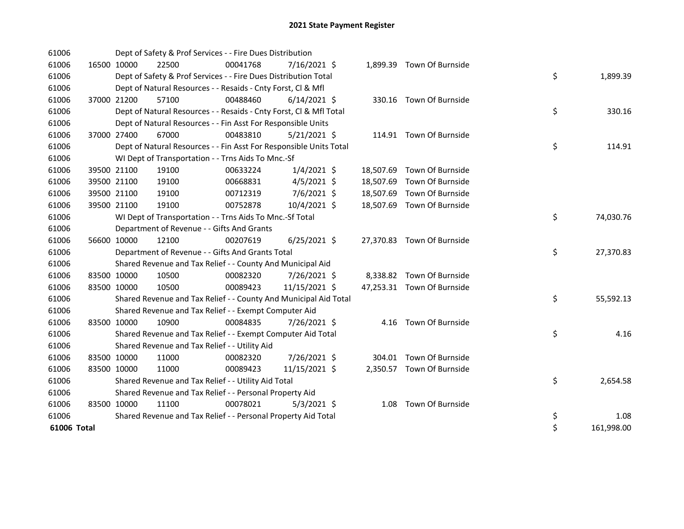| 61006       |             |             | Dept of Safety & Prof Services - - Fire Dues Distribution          |          |                |  |                            |    |            |
|-------------|-------------|-------------|--------------------------------------------------------------------|----------|----------------|--|----------------------------|----|------------|
| 61006       |             | 16500 10000 | 22500                                                              | 00041768 | 7/16/2021 \$   |  | 1,899.39 Town Of Burnside  |    |            |
| 61006       |             |             | Dept of Safety & Prof Services - - Fire Dues Distribution Total    |          |                |  |                            | \$ | 1,899.39   |
| 61006       |             |             | Dept of Natural Resources - - Resaids - Cnty Forst, Cl & Mfl       |          |                |  |                            |    |            |
| 61006       |             | 37000 21200 | 57100                                                              | 00488460 | $6/14/2021$ \$ |  | 330.16 Town Of Burnside    |    |            |
| 61006       |             |             | Dept of Natural Resources - - Resaids - Cnty Forst, Cl & Mfl Total |          |                |  |                            | \$ | 330.16     |
| 61006       |             |             | Dept of Natural Resources - - Fin Asst For Responsible Units       |          |                |  |                            |    |            |
| 61006       |             | 37000 27400 | 67000                                                              | 00483810 | $5/21/2021$ \$ |  | 114.91 Town Of Burnside    |    |            |
| 61006       |             |             | Dept of Natural Resources - - Fin Asst For Responsible Units Total |          |                |  |                            | \$ | 114.91     |
| 61006       |             |             | WI Dept of Transportation - - Trns Aids To Mnc.-Sf                 |          |                |  |                            |    |            |
| 61006       |             | 39500 21100 | 19100                                                              | 00633224 | $1/4/2021$ \$  |  | 18,507.69 Town Of Burnside |    |            |
| 61006       |             | 39500 21100 | 19100                                                              | 00668831 | $4/5/2021$ \$  |  | 18,507.69 Town Of Burnside |    |            |
| 61006       |             | 39500 21100 | 19100                                                              | 00712319 | 7/6/2021 \$    |  | 18,507.69 Town Of Burnside |    |            |
| 61006       |             | 39500 21100 | 19100                                                              | 00752878 | 10/4/2021 \$   |  | 18,507.69 Town Of Burnside |    |            |
| 61006       |             |             | WI Dept of Transportation - - Trns Aids To Mnc.-Sf Total           |          |                |  |                            | \$ | 74,030.76  |
| 61006       |             |             | Department of Revenue - - Gifts And Grants                         |          |                |  |                            |    |            |
| 61006       |             | 56600 10000 | 12100                                                              | 00207619 | $6/25/2021$ \$ |  | 27,370.83 Town Of Burnside |    |            |
| 61006       |             |             | Department of Revenue - - Gifts And Grants Total                   |          |                |  |                            | \$ | 27,370.83  |
| 61006       |             |             | Shared Revenue and Tax Relief - - County And Municipal Aid         |          |                |  |                            |    |            |
| 61006       | 83500 10000 |             | 10500                                                              | 00082320 | 7/26/2021 \$   |  | 8,338.82 Town Of Burnside  |    |            |
| 61006       |             | 83500 10000 | 10500                                                              | 00089423 | 11/15/2021 \$  |  | 47,253.31 Town Of Burnside |    |            |
| 61006       |             |             | Shared Revenue and Tax Relief - - County And Municipal Aid Total   |          |                |  |                            | \$ | 55,592.13  |
| 61006       |             |             | Shared Revenue and Tax Relief - - Exempt Computer Aid              |          |                |  |                            |    |            |
| 61006       |             | 83500 10000 | 10900                                                              | 00084835 | 7/26/2021 \$   |  | 4.16 Town Of Burnside      |    |            |
| 61006       |             |             | Shared Revenue and Tax Relief - - Exempt Computer Aid Total        |          |                |  |                            | \$ | 4.16       |
| 61006       |             |             | Shared Revenue and Tax Relief - - Utility Aid                      |          |                |  |                            |    |            |
| 61006       | 83500 10000 |             | 11000                                                              | 00082320 | 7/26/2021 \$   |  | 304.01 Town Of Burnside    |    |            |
| 61006       |             | 83500 10000 | 11000                                                              | 00089423 | 11/15/2021 \$  |  | 2,350.57 Town Of Burnside  |    |            |
| 61006       |             |             | Shared Revenue and Tax Relief - - Utility Aid Total                |          |                |  |                            | \$ | 2,654.58   |
| 61006       |             |             | Shared Revenue and Tax Relief - - Personal Property Aid            |          |                |  |                            |    |            |
| 61006       | 83500 10000 |             | 11100                                                              | 00078021 | $5/3/2021$ \$  |  | 1.08 Town Of Burnside      |    |            |
| 61006       |             |             | Shared Revenue and Tax Relief - - Personal Property Aid Total      |          |                |  |                            | \$ | 1.08       |
| 61006 Total |             |             |                                                                    |          |                |  |                            | \$ | 161,998.00 |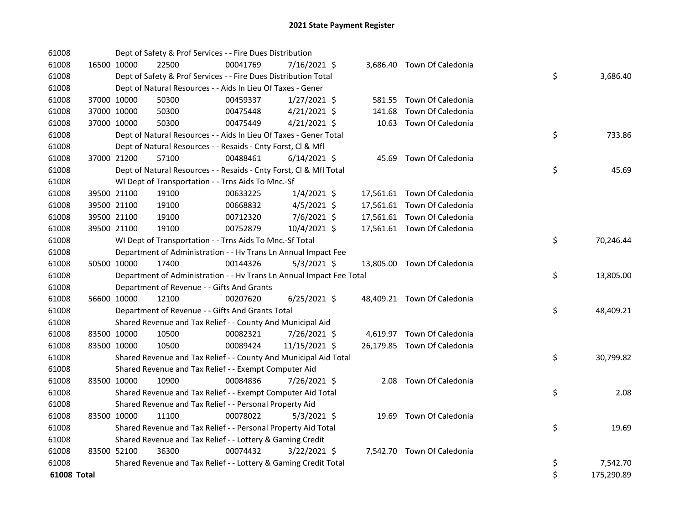| 61008       |             | Dept of Safety & Prof Services - - Fire Dues Distribution            |          |                |        |                             |    |            |
|-------------|-------------|----------------------------------------------------------------------|----------|----------------|--------|-----------------------------|----|------------|
| 61008       | 16500 10000 | 22500                                                                | 00041769 | 7/16/2021 \$   |        | 3,686.40 Town Of Caledonia  |    |            |
| 61008       |             | Dept of Safety & Prof Services - - Fire Dues Distribution Total      |          |                |        |                             | \$ | 3,686.40   |
| 61008       |             | Dept of Natural Resources - - Aids In Lieu Of Taxes - Gener          |          |                |        |                             |    |            |
| 61008       | 37000 10000 | 50300                                                                | 00459337 | $1/27/2021$ \$ |        | 581.55 Town Of Caledonia    |    |            |
| 61008       | 37000 10000 | 50300                                                                | 00475448 | $4/21/2021$ \$ | 141.68 | Town Of Caledonia           |    |            |
| 61008       | 37000 10000 | 50300                                                                | 00475449 | $4/21/2021$ \$ |        | 10.63 Town Of Caledonia     |    |            |
| 61008       |             | Dept of Natural Resources - - Aids In Lieu Of Taxes - Gener Total    |          |                |        |                             | \$ | 733.86     |
| 61008       |             | Dept of Natural Resources - - Resaids - Cnty Forst, Cl & Mfl         |          |                |        |                             |    |            |
| 61008       | 37000 21200 | 57100                                                                | 00488461 | $6/14/2021$ \$ |        | 45.69 Town Of Caledonia     |    |            |
| 61008       |             | Dept of Natural Resources - - Resaids - Cnty Forst, Cl & Mfl Total   |          |                |        |                             | \$ | 45.69      |
| 61008       |             | WI Dept of Transportation - - Trns Aids To Mnc.-Sf                   |          |                |        |                             |    |            |
| 61008       | 39500 21100 | 19100                                                                | 00633225 | $1/4/2021$ \$  |        | 17,561.61 Town Of Caledonia |    |            |
| 61008       | 39500 21100 | 19100                                                                | 00668832 | 4/5/2021 \$    |        | 17,561.61 Town Of Caledonia |    |            |
| 61008       | 39500 21100 | 19100                                                                | 00712320 | 7/6/2021 \$    |        | 17,561.61 Town Of Caledonia |    |            |
| 61008       | 39500 21100 | 19100                                                                | 00752879 | 10/4/2021 \$   |        | 17,561.61 Town Of Caledonia |    |            |
| 61008       |             | WI Dept of Transportation - - Trns Aids To Mnc.-Sf Total             |          |                |        |                             | \$ | 70,246.44  |
| 61008       |             | Department of Administration - - Hv Trans Ln Annual Impact Fee       |          |                |        |                             |    |            |
| 61008       | 50500 10000 | 17400                                                                | 00144326 | $5/3/2021$ \$  |        | 13,805.00 Town Of Caledonia |    |            |
| 61008       |             | Department of Administration - - Hv Trans Ln Annual Impact Fee Total |          |                |        |                             | \$ | 13,805.00  |
| 61008       |             | Department of Revenue - - Gifts And Grants                           |          |                |        |                             |    |            |
| 61008       | 56600 10000 | 12100                                                                | 00207620 | $6/25/2021$ \$ |        | 48,409.21 Town Of Caledonia |    |            |
| 61008       |             | Department of Revenue - - Gifts And Grants Total                     |          |                |        |                             | \$ | 48,409.21  |
| 61008       |             | Shared Revenue and Tax Relief - - County And Municipal Aid           |          |                |        |                             |    |            |
| 61008       | 83500 10000 | 10500                                                                | 00082321 | 7/26/2021 \$   |        | 4,619.97 Town Of Caledonia  |    |            |
| 61008       | 83500 10000 | 10500                                                                | 00089424 | 11/15/2021 \$  |        | 26,179.85 Town Of Caledonia |    |            |
| 61008       |             | Shared Revenue and Tax Relief - - County And Municipal Aid Total     |          |                |        |                             | \$ | 30,799.82  |
| 61008       |             | Shared Revenue and Tax Relief - - Exempt Computer Aid                |          |                |        |                             |    |            |
| 61008       | 83500 10000 | 10900                                                                | 00084836 | 7/26/2021 \$   |        | 2.08 Town Of Caledonia      |    |            |
| 61008       |             | Shared Revenue and Tax Relief - - Exempt Computer Aid Total          |          |                |        |                             | \$ | 2.08       |
| 61008       |             | Shared Revenue and Tax Relief - - Personal Property Aid              |          |                |        |                             |    |            |
| 61008       | 83500 10000 | 11100                                                                | 00078022 | $5/3/2021$ \$  |        | 19.69 Town Of Caledonia     |    |            |
| 61008       |             | Shared Revenue and Tax Relief - - Personal Property Aid Total        |          |                |        |                             | \$ | 19.69      |
| 61008       |             | Shared Revenue and Tax Relief - - Lottery & Gaming Credit            |          |                |        |                             |    |            |
| 61008       | 83500 52100 | 36300                                                                | 00074432 | $3/22/2021$ \$ |        | 7,542.70 Town Of Caledonia  |    |            |
| 61008       |             | Shared Revenue and Tax Relief - - Lottery & Gaming Credit Total      |          |                |        |                             | \$ | 7,542.70   |
| 61008 Total |             |                                                                      |          |                |        |                             | \$ | 175,290.89 |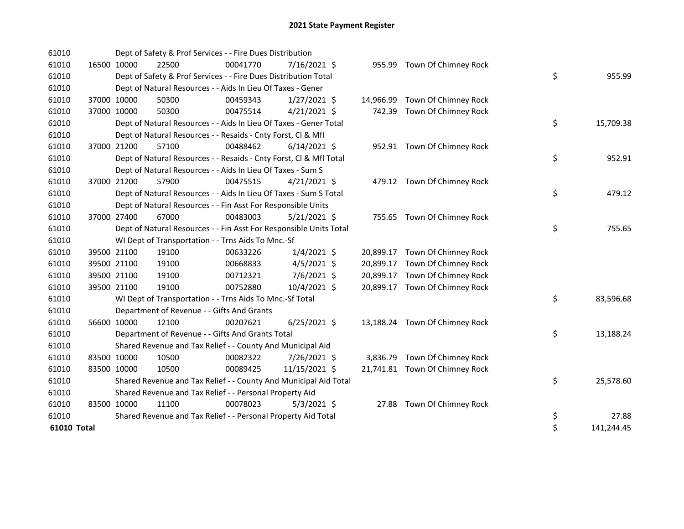| 61010       |             |             | Dept of Safety & Prof Services - - Fire Dues Distribution          |          |                |           |                                |    |            |
|-------------|-------------|-------------|--------------------------------------------------------------------|----------|----------------|-----------|--------------------------------|----|------------|
| 61010       | 16500 10000 |             | 22500                                                              | 00041770 | 7/16/2021 \$   |           | 955.99 Town Of Chimney Rock    |    |            |
| 61010       |             |             | Dept of Safety & Prof Services - - Fire Dues Distribution Total    |          |                |           |                                | \$ | 955.99     |
| 61010       |             |             | Dept of Natural Resources - - Aids In Lieu Of Taxes - Gener        |          |                |           |                                |    |            |
| 61010       |             | 37000 10000 | 50300                                                              | 00459343 | $1/27/2021$ \$ |           | 14,966.99 Town Of Chimney Rock |    |            |
| 61010       |             | 37000 10000 | 50300                                                              | 00475514 | $4/21/2021$ \$ |           | 742.39 Town Of Chimney Rock    |    |            |
| 61010       |             |             | Dept of Natural Resources - - Aids In Lieu Of Taxes - Gener Total  |          |                |           |                                | \$ | 15,709.38  |
| 61010       |             |             | Dept of Natural Resources - - Resaids - Cnty Forst, Cl & Mfl       |          |                |           |                                |    |            |
| 61010       | 37000 21200 |             | 57100                                                              | 00488462 | $6/14/2021$ \$ |           | 952.91 Town Of Chimney Rock    |    |            |
| 61010       |             |             | Dept of Natural Resources - - Resaids - Cnty Forst, Cl & Mfl Total |          |                |           |                                | \$ | 952.91     |
| 61010       |             |             | Dept of Natural Resources - - Aids In Lieu Of Taxes - Sum S        |          |                |           |                                |    |            |
| 61010       |             | 37000 21200 | 57900                                                              | 00475515 | $4/21/2021$ \$ |           | 479.12 Town Of Chimney Rock    |    |            |
| 61010       |             |             | Dept of Natural Resources - - Aids In Lieu Of Taxes - Sum S Total  |          |                |           |                                | \$ | 479.12     |
| 61010       |             |             | Dept of Natural Resources - - Fin Asst For Responsible Units       |          |                |           |                                |    |            |
| 61010       |             | 37000 27400 | 67000                                                              | 00483003 | $5/21/2021$ \$ |           | 755.65 Town Of Chimney Rock    |    |            |
| 61010       |             |             | Dept of Natural Resources - - Fin Asst For Responsible Units Total |          |                |           |                                | \$ | 755.65     |
| 61010       |             |             | WI Dept of Transportation - - Trns Aids To Mnc.-Sf                 |          |                |           |                                |    |            |
| 61010       |             | 39500 21100 | 19100                                                              | 00633226 | $1/4/2021$ \$  | 20,899.17 | Town Of Chimney Rock           |    |            |
| 61010       |             | 39500 21100 | 19100                                                              | 00668833 | $4/5/2021$ \$  | 20,899.17 | Town Of Chimney Rock           |    |            |
| 61010       | 39500 21100 |             | 19100                                                              | 00712321 | 7/6/2021 \$    | 20,899.17 | Town Of Chimney Rock           |    |            |
| 61010       |             | 39500 21100 | 19100                                                              | 00752880 | 10/4/2021 \$   |           | 20,899.17 Town Of Chimney Rock |    |            |
| 61010       |             |             | WI Dept of Transportation - - Trns Aids To Mnc.-Sf Total           |          |                |           |                                | \$ | 83,596.68  |
| 61010       |             |             | Department of Revenue - - Gifts And Grants                         |          |                |           |                                |    |            |
| 61010       | 56600 10000 |             | 12100                                                              | 00207621 | $6/25/2021$ \$ |           | 13,188.24 Town Of Chimney Rock |    |            |
| 61010       |             |             | Department of Revenue - - Gifts And Grants Total                   |          |                |           |                                | \$ | 13,188.24  |
| 61010       |             |             | Shared Revenue and Tax Relief - - County And Municipal Aid         |          |                |           |                                |    |            |
| 61010       |             | 83500 10000 | 10500                                                              | 00082322 | 7/26/2021 \$   |           | 3,836.79 Town Of Chimney Rock  |    |            |
| 61010       | 83500 10000 |             | 10500                                                              | 00089425 | 11/15/2021 \$  |           | 21,741.81 Town Of Chimney Rock |    |            |
| 61010       |             |             | Shared Revenue and Tax Relief - - County And Municipal Aid Total   |          |                |           |                                | \$ | 25,578.60  |
| 61010       |             |             | Shared Revenue and Tax Relief - - Personal Property Aid            |          |                |           |                                |    |            |
| 61010       | 83500 10000 |             | 11100                                                              | 00078023 | $5/3/2021$ \$  |           | 27.88 Town Of Chimney Rock     |    |            |
| 61010       |             |             | Shared Revenue and Tax Relief - - Personal Property Aid Total      |          |                |           |                                | \$ | 27.88      |
| 61010 Total |             |             |                                                                    |          |                |           |                                | \$ | 141,244.45 |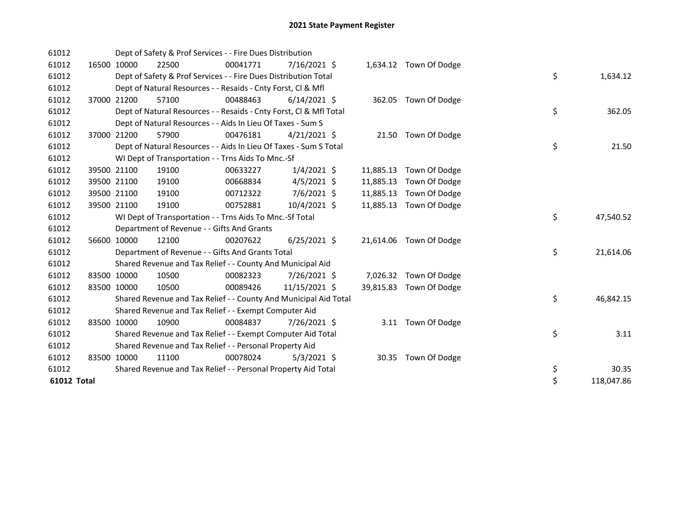| 61012       |             | Dept of Safety & Prof Services - - Fire Dues Distribution          |          |                |           |                         |    |            |
|-------------|-------------|--------------------------------------------------------------------|----------|----------------|-----------|-------------------------|----|------------|
| 61012       | 16500 10000 | 22500                                                              | 00041771 | 7/16/2021 \$   |           | 1,634.12 Town Of Dodge  |    |            |
| 61012       |             | Dept of Safety & Prof Services - - Fire Dues Distribution Total    |          |                |           |                         | \$ | 1,634.12   |
| 61012       |             | Dept of Natural Resources - - Resaids - Cnty Forst, CI & Mfl       |          |                |           |                         |    |            |
| 61012       | 37000 21200 | 57100                                                              | 00488463 | $6/14/2021$ \$ |           | 362.05 Town Of Dodge    |    |            |
| 61012       |             | Dept of Natural Resources - - Resaids - Cnty Forst, CI & Mfl Total |          |                |           |                         | \$ | 362.05     |
| 61012       |             | Dept of Natural Resources - - Aids In Lieu Of Taxes - Sum S        |          |                |           |                         |    |            |
| 61012       | 37000 21200 | 57900                                                              | 00476181 | $4/21/2021$ \$ |           | 21.50 Town Of Dodge     |    |            |
| 61012       |             | Dept of Natural Resources - - Aids In Lieu Of Taxes - Sum S Total  |          |                |           |                         | \$ | 21.50      |
| 61012       |             | WI Dept of Transportation - - Trns Aids To Mnc.-Sf                 |          |                |           |                         |    |            |
| 61012       | 39500 21100 | 19100                                                              | 00633227 | $1/4/2021$ \$  |           | 11,885.13 Town Of Dodge |    |            |
| 61012       | 39500 21100 | 19100                                                              | 00668834 | $4/5/2021$ \$  | 11,885.13 | Town Of Dodge           |    |            |
| 61012       | 39500 21100 | 19100                                                              | 00712322 | $7/6/2021$ \$  | 11,885.13 | Town Of Dodge           |    |            |
| 61012       | 39500 21100 | 19100                                                              | 00752881 | 10/4/2021 \$   |           | 11,885.13 Town Of Dodge |    |            |
| 61012       |             | WI Dept of Transportation - - Trns Aids To Mnc.-Sf Total           |          |                |           |                         | \$ | 47,540.52  |
| 61012       |             | Department of Revenue - - Gifts And Grants                         |          |                |           |                         |    |            |
| 61012       | 56600 10000 | 12100                                                              | 00207622 | $6/25/2021$ \$ |           | 21,614.06 Town Of Dodge |    |            |
| 61012       |             | Department of Revenue - - Gifts And Grants Total                   |          |                |           |                         | \$ | 21,614.06  |
| 61012       |             | Shared Revenue and Tax Relief - - County And Municipal Aid         |          |                |           |                         |    |            |
| 61012       | 83500 10000 | 10500                                                              | 00082323 | 7/26/2021 \$   |           | 7,026.32 Town Of Dodge  |    |            |
| 61012       | 83500 10000 | 10500                                                              | 00089426 | 11/15/2021 \$  |           | 39,815.83 Town Of Dodge |    |            |
| 61012       |             | Shared Revenue and Tax Relief - - County And Municipal Aid Total   |          |                |           |                         | \$ | 46,842.15  |
| 61012       |             | Shared Revenue and Tax Relief - - Exempt Computer Aid              |          |                |           |                         |    |            |
| 61012       | 83500 10000 | 10900                                                              | 00084837 | 7/26/2021 \$   |           | 3.11 Town Of Dodge      |    |            |
| 61012       |             | Shared Revenue and Tax Relief - - Exempt Computer Aid Total        |          |                |           |                         | \$ | 3.11       |
| 61012       |             | Shared Revenue and Tax Relief - - Personal Property Aid            |          |                |           |                         |    |            |
| 61012       | 83500 10000 | 11100                                                              | 00078024 | $5/3/2021$ \$  | 30.35     | Town Of Dodge           |    |            |
| 61012       |             | Shared Revenue and Tax Relief - - Personal Property Aid Total      |          |                |           |                         | \$ | 30.35      |
| 61012 Total |             |                                                                    |          |                |           |                         | \$ | 118,047.86 |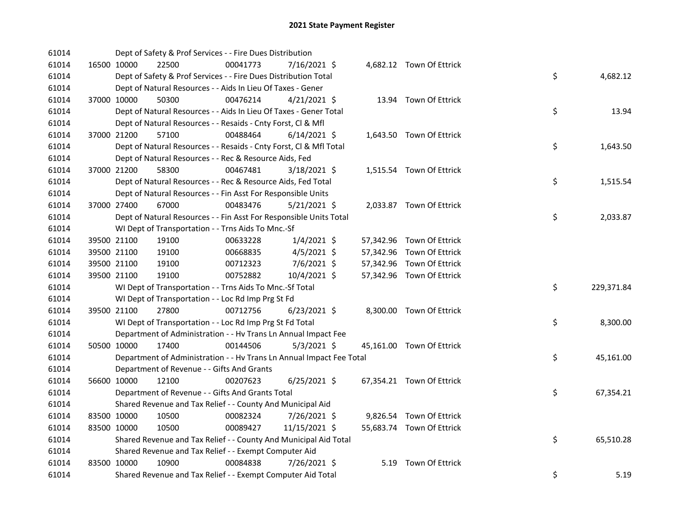| 61014 |             | Dept of Safety & Prof Services - - Fire Dues Distribution            |          |                |  |                           |    |            |
|-------|-------------|----------------------------------------------------------------------|----------|----------------|--|---------------------------|----|------------|
| 61014 | 16500 10000 | 22500                                                                | 00041773 | 7/16/2021 \$   |  | 4,682.12 Town Of Ettrick  |    |            |
| 61014 |             | Dept of Safety & Prof Services - - Fire Dues Distribution Total      |          |                |  |                           | \$ | 4,682.12   |
| 61014 |             | Dept of Natural Resources - - Aids In Lieu Of Taxes - Gener          |          |                |  |                           |    |            |
| 61014 | 37000 10000 | 50300                                                                | 00476214 | $4/21/2021$ \$ |  | 13.94 Town Of Ettrick     |    |            |
| 61014 |             | Dept of Natural Resources - - Aids In Lieu Of Taxes - Gener Total    |          |                |  |                           | \$ | 13.94      |
| 61014 |             | Dept of Natural Resources - - Resaids - Cnty Forst, Cl & Mfl         |          |                |  |                           |    |            |
| 61014 | 37000 21200 | 57100                                                                | 00488464 | $6/14/2021$ \$ |  | 1,643.50 Town Of Ettrick  |    |            |
| 61014 |             | Dept of Natural Resources - - Resaids - Cnty Forst, Cl & Mfl Total   |          |                |  |                           | \$ | 1,643.50   |
| 61014 |             | Dept of Natural Resources - - Rec & Resource Aids, Fed               |          |                |  |                           |    |            |
| 61014 | 37000 21200 | 58300                                                                | 00467481 | $3/18/2021$ \$ |  | 1,515.54 Town Of Ettrick  |    |            |
| 61014 |             | Dept of Natural Resources - - Rec & Resource Aids, Fed Total         |          |                |  |                           | \$ | 1,515.54   |
| 61014 |             | Dept of Natural Resources - - Fin Asst For Responsible Units         |          |                |  |                           |    |            |
| 61014 | 37000 27400 | 67000                                                                | 00483476 | $5/21/2021$ \$ |  | 2,033.87 Town Of Ettrick  |    |            |
| 61014 |             | Dept of Natural Resources - - Fin Asst For Responsible Units Total   |          |                |  |                           | \$ | 2,033.87   |
| 61014 |             | WI Dept of Transportation - - Trns Aids To Mnc.-Sf                   |          |                |  |                           |    |            |
| 61014 | 39500 21100 | 19100                                                                | 00633228 | $1/4/2021$ \$  |  | 57,342.96 Town Of Ettrick |    |            |
| 61014 | 39500 21100 | 19100                                                                | 00668835 | $4/5/2021$ \$  |  | 57,342.96 Town Of Ettrick |    |            |
| 61014 | 39500 21100 | 19100                                                                | 00712323 | 7/6/2021 \$    |  | 57,342.96 Town Of Ettrick |    |            |
| 61014 | 39500 21100 | 19100                                                                | 00752882 | 10/4/2021 \$   |  | 57,342.96 Town Of Ettrick |    |            |
| 61014 |             | WI Dept of Transportation - - Trns Aids To Mnc.-Sf Total             |          |                |  |                           | \$ | 229,371.84 |
| 61014 |             | WI Dept of Transportation - - Loc Rd Imp Prg St Fd                   |          |                |  |                           |    |            |
| 61014 | 39500 21100 | 27800                                                                | 00712756 | $6/23/2021$ \$ |  | 8,300.00 Town Of Ettrick  |    |            |
| 61014 |             | WI Dept of Transportation - - Loc Rd Imp Prg St Fd Total             |          |                |  |                           | \$ | 8,300.00   |
| 61014 |             | Department of Administration - - Hv Trans Ln Annual Impact Fee       |          |                |  |                           |    |            |
| 61014 | 50500 10000 | 17400                                                                | 00144506 | $5/3/2021$ \$  |  | 45,161.00 Town Of Ettrick |    |            |
| 61014 |             | Department of Administration - - Hv Trans Ln Annual Impact Fee Total |          |                |  |                           | \$ | 45,161.00  |
| 61014 |             | Department of Revenue - - Gifts And Grants                           |          |                |  |                           |    |            |
| 61014 | 56600 10000 | 12100                                                                | 00207623 | $6/25/2021$ \$ |  | 67,354.21 Town Of Ettrick |    |            |
| 61014 |             | Department of Revenue - - Gifts And Grants Total                     |          |                |  |                           | \$ | 67,354.21  |
| 61014 |             | Shared Revenue and Tax Relief - - County And Municipal Aid           |          |                |  |                           |    |            |
| 61014 | 83500 10000 | 10500                                                                | 00082324 | 7/26/2021 \$   |  | 9,826.54 Town Of Ettrick  |    |            |
| 61014 | 83500 10000 | 10500                                                                | 00089427 | 11/15/2021 \$  |  | 55,683.74 Town Of Ettrick |    |            |
| 61014 |             | Shared Revenue and Tax Relief - - County And Municipal Aid Total     |          |                |  |                           | \$ | 65,510.28  |
| 61014 |             | Shared Revenue and Tax Relief - - Exempt Computer Aid                |          |                |  |                           |    |            |
| 61014 | 83500 10000 | 10900                                                                | 00084838 | 7/26/2021 \$   |  | 5.19 Town Of Ettrick      |    |            |
| 61014 |             | Shared Revenue and Tax Relief - - Exempt Computer Aid Total          |          |                |  |                           | \$ | 5.19       |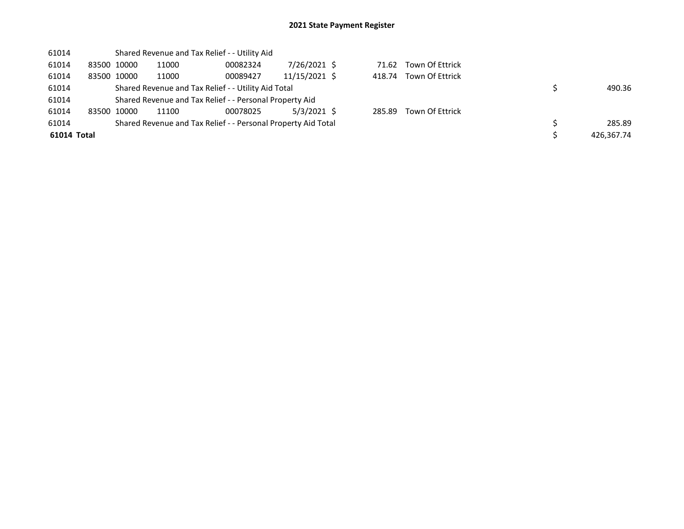| 61014       |             |       | Shared Revenue and Tax Relief - - Utility Aid                 |               |        |                        |            |
|-------------|-------------|-------|---------------------------------------------------------------|---------------|--------|------------------------|------------|
| 61014       | 83500 10000 | 11000 | 00082324                                                      | 7/26/2021 \$  | 71.62  | Town Of Ettrick        |            |
| 61014       | 83500 10000 | 11000 | 00089427                                                      | 11/15/2021 \$ |        | 418.74 Town Of Ettrick |            |
| 61014       |             |       | Shared Revenue and Tax Relief - - Utility Aid Total           |               |        |                        | 490.36     |
| 61014       |             |       | Shared Revenue and Tax Relief - - Personal Property Aid       |               |        |                        |            |
| 61014       | 83500 10000 | 11100 | 00078025                                                      | 5/3/2021 \$   | 285.89 | Town Of Ettrick        |            |
| 61014       |             |       | Shared Revenue and Tax Relief - - Personal Property Aid Total |               |        |                        | 285.89     |
| 61014 Total |             |       |                                                               |               |        |                        | 426.367.74 |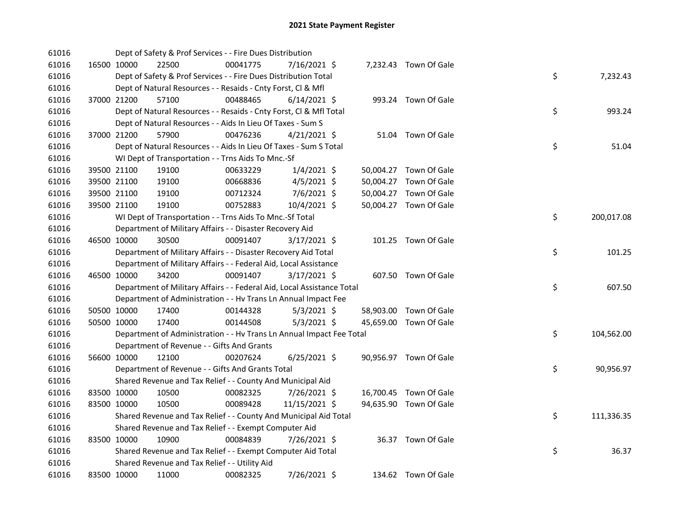| 61016 |             | Dept of Safety & Prof Services - - Fire Dues Distribution              |          |                |  |                        |    |            |
|-------|-------------|------------------------------------------------------------------------|----------|----------------|--|------------------------|----|------------|
| 61016 | 16500 10000 | 22500                                                                  | 00041775 | 7/16/2021 \$   |  | 7,232.43 Town Of Gale  |    |            |
| 61016 |             | Dept of Safety & Prof Services - - Fire Dues Distribution Total        |          |                |  |                        | \$ | 7,232.43   |
| 61016 |             | Dept of Natural Resources - - Resaids - Cnty Forst, Cl & Mfl           |          |                |  |                        |    |            |
| 61016 | 37000 21200 | 57100                                                                  | 00488465 | $6/14/2021$ \$ |  | 993.24 Town Of Gale    |    |            |
| 61016 |             | Dept of Natural Resources - - Resaids - Cnty Forst, Cl & Mfl Total     |          |                |  |                        | \$ | 993.24     |
| 61016 |             | Dept of Natural Resources - - Aids In Lieu Of Taxes - Sum S            |          |                |  |                        |    |            |
| 61016 | 37000 21200 | 57900                                                                  | 00476236 | $4/21/2021$ \$ |  | 51.04 Town Of Gale     |    |            |
| 61016 |             | Dept of Natural Resources - - Aids In Lieu Of Taxes - Sum S Total      |          |                |  |                        | \$ | 51.04      |
| 61016 |             | WI Dept of Transportation - - Trns Aids To Mnc.-Sf                     |          |                |  |                        |    |            |
| 61016 | 39500 21100 | 19100                                                                  | 00633229 | $1/4/2021$ \$  |  | 50,004.27 Town Of Gale |    |            |
| 61016 | 39500 21100 | 19100                                                                  | 00668836 | $4/5/2021$ \$  |  | 50,004.27 Town Of Gale |    |            |
| 61016 | 39500 21100 | 19100                                                                  | 00712324 | 7/6/2021 \$    |  | 50,004.27 Town Of Gale |    |            |
| 61016 | 39500 21100 | 19100                                                                  | 00752883 | 10/4/2021 \$   |  | 50,004.27 Town Of Gale |    |            |
| 61016 |             | WI Dept of Transportation - - Trns Aids To Mnc.-Sf Total               |          |                |  |                        | \$ | 200,017.08 |
| 61016 |             | Department of Military Affairs - - Disaster Recovery Aid               |          |                |  |                        |    |            |
| 61016 | 46500 10000 | 30500                                                                  | 00091407 | 3/17/2021 \$   |  | 101.25 Town Of Gale    |    |            |
| 61016 |             | Department of Military Affairs - - Disaster Recovery Aid Total         |          |                |  |                        | \$ | 101.25     |
| 61016 |             | Department of Military Affairs - - Federal Aid, Local Assistance       |          |                |  |                        |    |            |
| 61016 | 46500 10000 | 34200                                                                  | 00091407 | 3/17/2021 \$   |  | 607.50 Town Of Gale    |    |            |
| 61016 |             | Department of Military Affairs - - Federal Aid, Local Assistance Total |          |                |  |                        | \$ | 607.50     |
| 61016 |             | Department of Administration - - Hv Trans Ln Annual Impact Fee         |          |                |  |                        |    |            |
| 61016 | 50500 10000 | 17400                                                                  | 00144328 | $5/3/2021$ \$  |  | 58,903.00 Town Of Gale |    |            |
| 61016 | 50500 10000 | 17400                                                                  | 00144508 | $5/3/2021$ \$  |  | 45,659.00 Town Of Gale |    |            |
| 61016 |             | Department of Administration - - Hv Trans Ln Annual Impact Fee Total   |          |                |  |                        | \$ | 104,562.00 |
| 61016 |             | Department of Revenue - - Gifts And Grants                             |          |                |  |                        |    |            |
| 61016 | 56600 10000 | 12100                                                                  | 00207624 | $6/25/2021$ \$ |  | 90,956.97 Town Of Gale |    |            |
| 61016 |             | Department of Revenue - - Gifts And Grants Total                       |          |                |  |                        | \$ | 90,956.97  |
| 61016 |             | Shared Revenue and Tax Relief - - County And Municipal Aid             |          |                |  |                        |    |            |
| 61016 | 83500 10000 | 10500                                                                  | 00082325 | 7/26/2021 \$   |  | 16,700.45 Town Of Gale |    |            |
| 61016 | 83500 10000 | 10500                                                                  | 00089428 | 11/15/2021 \$  |  | 94,635.90 Town Of Gale |    |            |
| 61016 |             | Shared Revenue and Tax Relief - - County And Municipal Aid Total       |          |                |  |                        | \$ | 111,336.35 |
| 61016 |             | Shared Revenue and Tax Relief - - Exempt Computer Aid                  |          |                |  |                        |    |            |
| 61016 | 83500 10000 | 10900                                                                  | 00084839 | 7/26/2021 \$   |  | 36.37 Town Of Gale     |    |            |
| 61016 |             | Shared Revenue and Tax Relief - - Exempt Computer Aid Total            |          |                |  |                        | \$ | 36.37      |
| 61016 |             | Shared Revenue and Tax Relief - - Utility Aid                          |          |                |  |                        |    |            |
| 61016 | 83500 10000 | 11000                                                                  | 00082325 | 7/26/2021 \$   |  | 134.62 Town Of Gale    |    |            |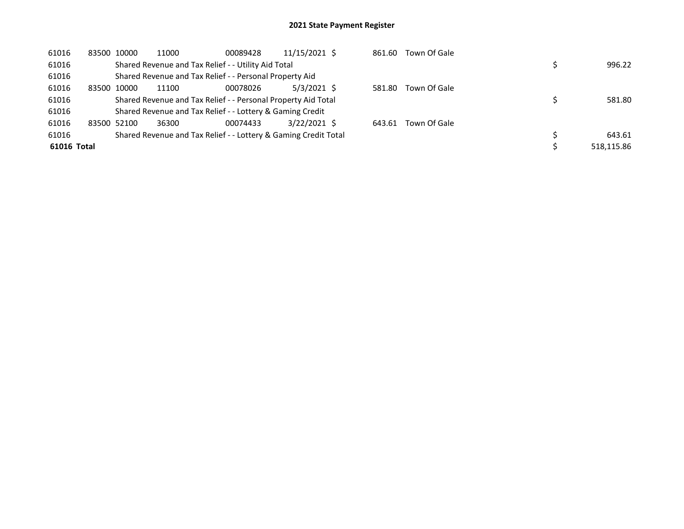| 61016       | 83500 10000 |       | 11000                                                           | 00089428 | 11/15/2021 \$ | 861.60 | Town Of Gale |            |
|-------------|-------------|-------|-----------------------------------------------------------------|----------|---------------|--------|--------------|------------|
| 61016       |             |       | Shared Revenue and Tax Relief - - Utility Aid Total             |          |               |        |              | 996.22     |
| 61016       |             |       | Shared Revenue and Tax Relief - - Personal Property Aid         |          |               |        |              |            |
| 61016       | 83500       | 10000 | 11100                                                           | 00078026 | $5/3/2021$ \$ | 581.80 | Town Of Gale |            |
| 61016       |             |       | Shared Revenue and Tax Relief - - Personal Property Aid Total   |          |               |        |              | 581.80     |
| 61016       |             |       | Shared Revenue and Tax Relief - - Lottery & Gaming Credit       |          |               |        |              |            |
| 61016       | 83500 52100 |       | 36300                                                           | 00074433 | 3/22/2021 \$  | 643.61 | Town Of Gale |            |
| 61016       |             |       | Shared Revenue and Tax Relief - - Lottery & Gaming Credit Total |          |               |        |              | 643.61     |
| 61016 Total |             |       |                                                                 |          |               |        |              | 518.115.86 |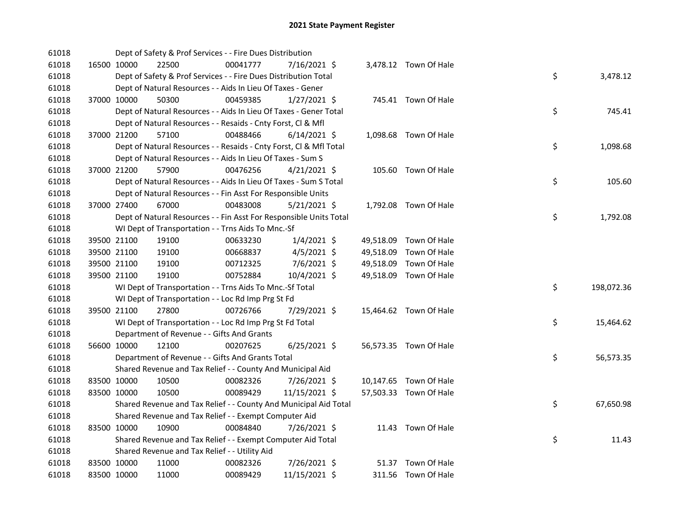| 61018 |             | Dept of Safety & Prof Services - - Fire Dues Distribution          |          |                |  |                        |    |            |
|-------|-------------|--------------------------------------------------------------------|----------|----------------|--|------------------------|----|------------|
| 61018 | 16500 10000 | 22500                                                              | 00041777 | 7/16/2021 \$   |  | 3,478.12 Town Of Hale  |    |            |
| 61018 |             | Dept of Safety & Prof Services - - Fire Dues Distribution Total    |          |                |  |                        | \$ | 3,478.12   |
| 61018 |             | Dept of Natural Resources - - Aids In Lieu Of Taxes - Gener        |          |                |  |                        |    |            |
| 61018 | 37000 10000 | 50300                                                              | 00459385 | $1/27/2021$ \$ |  | 745.41 Town Of Hale    |    |            |
| 61018 |             | Dept of Natural Resources - - Aids In Lieu Of Taxes - Gener Total  |          |                |  |                        | \$ | 745.41     |
| 61018 |             | Dept of Natural Resources - - Resaids - Cnty Forst, Cl & Mfl       |          |                |  |                        |    |            |
| 61018 | 37000 21200 | 57100                                                              | 00488466 | $6/14/2021$ \$ |  | 1,098.68 Town Of Hale  |    |            |
| 61018 |             | Dept of Natural Resources - - Resaids - Cnty Forst, Cl & Mfl Total |          |                |  |                        | \$ | 1,098.68   |
| 61018 |             | Dept of Natural Resources - - Aids In Lieu Of Taxes - Sum S        |          |                |  |                        |    |            |
| 61018 | 37000 21200 | 57900                                                              | 00476256 | $4/21/2021$ \$ |  | 105.60 Town Of Hale    |    |            |
| 61018 |             | Dept of Natural Resources - - Aids In Lieu Of Taxes - Sum S Total  |          |                |  |                        | \$ | 105.60     |
| 61018 |             | Dept of Natural Resources - - Fin Asst For Responsible Units       |          |                |  |                        |    |            |
| 61018 | 37000 27400 | 67000                                                              | 00483008 | $5/21/2021$ \$ |  | 1,792.08 Town Of Hale  |    |            |
| 61018 |             | Dept of Natural Resources - - Fin Asst For Responsible Units Total |          |                |  |                        | \$ | 1,792.08   |
| 61018 |             | WI Dept of Transportation - - Trns Aids To Mnc.-Sf                 |          |                |  |                        |    |            |
| 61018 | 39500 21100 | 19100                                                              | 00633230 | $1/4/2021$ \$  |  | 49,518.09 Town Of Hale |    |            |
| 61018 | 39500 21100 | 19100                                                              | 00668837 | $4/5/2021$ \$  |  | 49,518.09 Town Of Hale |    |            |
| 61018 | 39500 21100 | 19100                                                              | 00712325 | 7/6/2021 \$    |  | 49,518.09 Town Of Hale |    |            |
| 61018 | 39500 21100 | 19100                                                              | 00752884 | 10/4/2021 \$   |  | 49,518.09 Town Of Hale |    |            |
| 61018 |             | WI Dept of Transportation - - Trns Aids To Mnc.-Sf Total           |          |                |  |                        | \$ | 198,072.36 |
| 61018 |             | WI Dept of Transportation - - Loc Rd Imp Prg St Fd                 |          |                |  |                        |    |            |
| 61018 | 39500 21100 | 27800                                                              | 00726766 | 7/29/2021 \$   |  | 15,464.62 Town Of Hale |    |            |
| 61018 |             | WI Dept of Transportation - - Loc Rd Imp Prg St Fd Total           |          |                |  |                        | \$ | 15,464.62  |
| 61018 |             | Department of Revenue - - Gifts And Grants                         |          |                |  |                        |    |            |
| 61018 | 56600 10000 | 12100                                                              | 00207625 | $6/25/2021$ \$ |  | 56,573.35 Town Of Hale |    |            |
| 61018 |             | Department of Revenue - - Gifts And Grants Total                   |          |                |  |                        | \$ | 56,573.35  |
| 61018 |             | Shared Revenue and Tax Relief - - County And Municipal Aid         |          |                |  |                        |    |            |
| 61018 | 83500 10000 | 10500                                                              | 00082326 | 7/26/2021 \$   |  | 10,147.65 Town Of Hale |    |            |
| 61018 | 83500 10000 | 10500                                                              | 00089429 | 11/15/2021 \$  |  | 57,503.33 Town Of Hale |    |            |
| 61018 |             | Shared Revenue and Tax Relief - - County And Municipal Aid Total   |          |                |  |                        | \$ | 67,650.98  |
| 61018 |             | Shared Revenue and Tax Relief - - Exempt Computer Aid              |          |                |  |                        |    |            |
| 61018 | 83500 10000 | 10900                                                              | 00084840 | 7/26/2021 \$   |  | 11.43 Town Of Hale     |    |            |
| 61018 |             | Shared Revenue and Tax Relief - - Exempt Computer Aid Total        |          |                |  |                        | \$ | 11.43      |
| 61018 |             | Shared Revenue and Tax Relief - - Utility Aid                      |          |                |  |                        |    |            |
|       |             |                                                                    |          |                |  |                        |    |            |
| 61018 | 83500 10000 | 11000                                                              | 00082326 | 7/26/2021 \$   |  | 51.37 Town Of Hale     |    |            |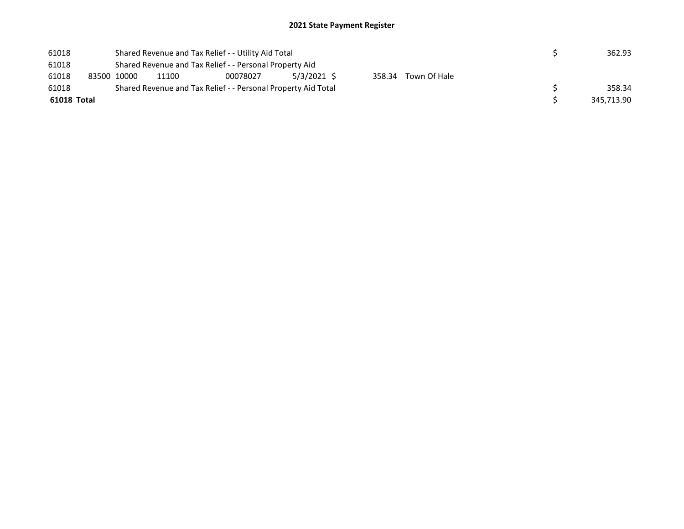| 61018       |             |                                                         | Shared Revenue and Tax Relief - - Utility Aid Total | 362.93                                                        |             |        |              |            |
|-------------|-------------|---------------------------------------------------------|-----------------------------------------------------|---------------------------------------------------------------|-------------|--------|--------------|------------|
| 61018       |             | Shared Revenue and Tax Relief - - Personal Property Aid |                                                     |                                                               |             |        |              |            |
| 61018       | 83500 10000 |                                                         | 11100                                               | 00078027                                                      | 5/3/2021 \$ | 358.34 | Town Of Hale |            |
| 61018       |             |                                                         |                                                     | Shared Revenue and Tax Relief - - Personal Property Aid Total |             |        |              | 358.34     |
| 61018 Total |             |                                                         |                                                     |                                                               |             |        |              | 345,713.90 |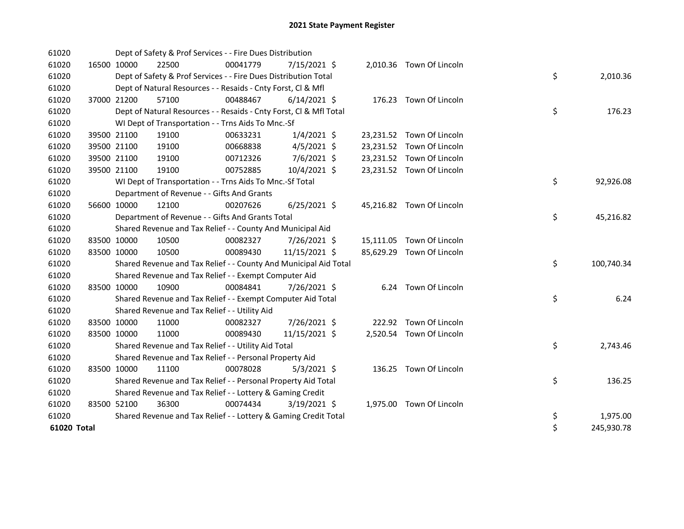| 61020       |             | Dept of Safety & Prof Services - - Fire Dues Distribution          |          |                |  |                           |    |            |
|-------------|-------------|--------------------------------------------------------------------|----------|----------------|--|---------------------------|----|------------|
| 61020       | 16500 10000 | 22500                                                              | 00041779 | 7/15/2021 \$   |  | 2,010.36 Town Of Lincoln  |    |            |
| 61020       |             | Dept of Safety & Prof Services - - Fire Dues Distribution Total    |          |                |  |                           | \$ | 2,010.36   |
| 61020       |             | Dept of Natural Resources - - Resaids - Cnty Forst, CI & Mfl       |          |                |  |                           |    |            |
| 61020       | 37000 21200 | 57100                                                              | 00488467 | $6/14/2021$ \$ |  | 176.23 Town Of Lincoln    |    |            |
| 61020       |             | Dept of Natural Resources - - Resaids - Cnty Forst, Cl & Mfl Total |          |                |  |                           | \$ | 176.23     |
| 61020       |             | WI Dept of Transportation - - Trns Aids To Mnc.-Sf                 |          |                |  |                           |    |            |
| 61020       | 39500 21100 | 19100                                                              | 00633231 | $1/4/2021$ \$  |  | 23,231.52 Town Of Lincoln |    |            |
| 61020       | 39500 21100 | 19100                                                              | 00668838 | $4/5/2021$ \$  |  | 23,231.52 Town Of Lincoln |    |            |
| 61020       | 39500 21100 | 19100                                                              | 00712326 | 7/6/2021 \$    |  | 23,231.52 Town Of Lincoln |    |            |
| 61020       | 39500 21100 | 19100                                                              | 00752885 | 10/4/2021 \$   |  | 23,231.52 Town Of Lincoln |    |            |
| 61020       |             | WI Dept of Transportation - - Trns Aids To Mnc.-Sf Total           |          |                |  |                           | \$ | 92,926.08  |
| 61020       |             | Department of Revenue - - Gifts And Grants                         |          |                |  |                           |    |            |
| 61020       | 56600 10000 | 12100                                                              | 00207626 | $6/25/2021$ \$ |  | 45,216.82 Town Of Lincoln |    |            |
| 61020       |             | Department of Revenue - - Gifts And Grants Total                   |          |                |  |                           | \$ | 45,216.82  |
| 61020       |             | Shared Revenue and Tax Relief - - County And Municipal Aid         |          |                |  |                           |    |            |
| 61020       | 83500 10000 | 10500                                                              | 00082327 | 7/26/2021 \$   |  | 15,111.05 Town Of Lincoln |    |            |
| 61020       | 83500 10000 | 10500                                                              | 00089430 | 11/15/2021 \$  |  | 85,629.29 Town Of Lincoln |    |            |
| 61020       |             | Shared Revenue and Tax Relief - - County And Municipal Aid Total   |          |                |  |                           | \$ | 100,740.34 |
| 61020       |             | Shared Revenue and Tax Relief - - Exempt Computer Aid              |          |                |  |                           |    |            |
| 61020       | 83500 10000 | 10900                                                              | 00084841 | 7/26/2021 \$   |  | 6.24 Town Of Lincoln      |    |            |
| 61020       |             | Shared Revenue and Tax Relief - - Exempt Computer Aid Total        |          |                |  |                           | \$ | 6.24       |
| 61020       |             | Shared Revenue and Tax Relief - - Utility Aid                      |          |                |  |                           |    |            |
| 61020       | 83500 10000 | 11000                                                              | 00082327 | 7/26/2021 \$   |  | 222.92 Town Of Lincoln    |    |            |
| 61020       | 83500 10000 | 11000                                                              | 00089430 | 11/15/2021 \$  |  | 2,520.54 Town Of Lincoln  |    |            |
| 61020       |             | Shared Revenue and Tax Relief - - Utility Aid Total                |          |                |  |                           | \$ | 2,743.46   |
| 61020       |             | Shared Revenue and Tax Relief - - Personal Property Aid            |          |                |  |                           |    |            |
| 61020       | 83500 10000 | 11100                                                              | 00078028 | $5/3/2021$ \$  |  | 136.25 Town Of Lincoln    |    |            |
| 61020       |             | Shared Revenue and Tax Relief - - Personal Property Aid Total      |          |                |  |                           | \$ | 136.25     |
| 61020       |             | Shared Revenue and Tax Relief - - Lottery & Gaming Credit          |          |                |  |                           |    |            |
| 61020       | 83500 52100 | 36300                                                              | 00074434 | $3/19/2021$ \$ |  | 1,975.00 Town Of Lincoln  |    |            |
| 61020       |             | Shared Revenue and Tax Relief - - Lottery & Gaming Credit Total    |          |                |  |                           | \$ | 1,975.00   |
| 61020 Total |             |                                                                    |          |                |  |                           | \$ | 245,930.78 |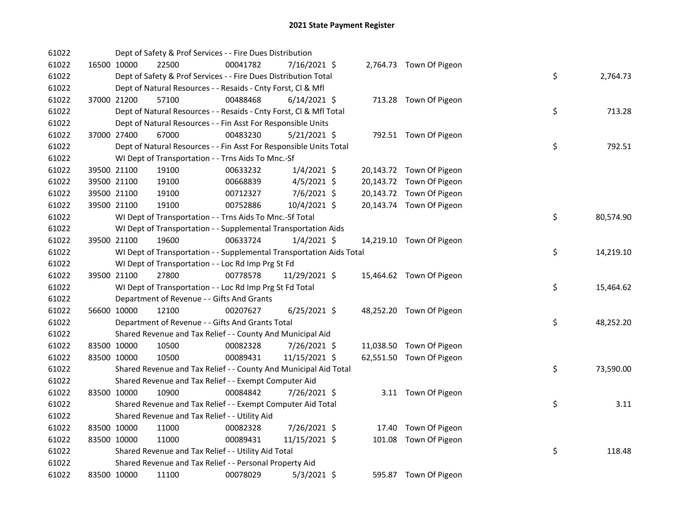| 61022 |             | Dept of Safety & Prof Services - - Fire Dues Distribution            |          |                |  |                          |    |           |
|-------|-------------|----------------------------------------------------------------------|----------|----------------|--|--------------------------|----|-----------|
| 61022 | 16500 10000 | 22500                                                                | 00041782 | 7/16/2021 \$   |  | 2,764.73 Town Of Pigeon  |    |           |
| 61022 |             | Dept of Safety & Prof Services - - Fire Dues Distribution Total      |          |                |  |                          | \$ | 2,764.73  |
| 61022 |             | Dept of Natural Resources - - Resaids - Cnty Forst, Cl & Mfl         |          |                |  |                          |    |           |
| 61022 | 37000 21200 | 57100                                                                | 00488468 | $6/14/2021$ \$ |  | 713.28 Town Of Pigeon    |    |           |
| 61022 |             | Dept of Natural Resources - - Resaids - Cnty Forst, Cl & Mfl Total   |          |                |  |                          | \$ | 713.28    |
| 61022 |             | Dept of Natural Resources - - Fin Asst For Responsible Units         |          |                |  |                          |    |           |
| 61022 | 37000 27400 | 67000                                                                | 00483230 | $5/21/2021$ \$ |  | 792.51 Town Of Pigeon    |    |           |
| 61022 |             | Dept of Natural Resources - - Fin Asst For Responsible Units Total   |          |                |  |                          | \$ | 792.51    |
| 61022 |             | WI Dept of Transportation - - Trns Aids To Mnc.-Sf                   |          |                |  |                          |    |           |
| 61022 | 39500 21100 | 19100                                                                | 00633232 | $1/4/2021$ \$  |  | 20,143.72 Town Of Pigeon |    |           |
| 61022 | 39500 21100 | 19100                                                                | 00668839 | $4/5/2021$ \$  |  | 20,143.72 Town Of Pigeon |    |           |
| 61022 | 39500 21100 | 19100                                                                | 00712327 | 7/6/2021 \$    |  | 20,143.72 Town Of Pigeon |    |           |
| 61022 | 39500 21100 | 19100                                                                | 00752886 | 10/4/2021 \$   |  | 20,143.74 Town Of Pigeon |    |           |
| 61022 |             | WI Dept of Transportation - - Trns Aids To Mnc.-Sf Total             |          |                |  |                          | \$ | 80,574.90 |
| 61022 |             | WI Dept of Transportation - - Supplemental Transportation Aids       |          |                |  |                          |    |           |
| 61022 | 39500 21100 | 19600                                                                | 00633724 | $1/4/2021$ \$  |  | 14,219.10 Town Of Pigeon |    |           |
| 61022 |             | WI Dept of Transportation - - Supplemental Transportation Aids Total |          |                |  |                          | \$ | 14,219.10 |
| 61022 |             | WI Dept of Transportation - - Loc Rd Imp Prg St Fd                   |          |                |  |                          |    |           |
| 61022 | 39500 21100 | 27800                                                                | 00778578 | 11/29/2021 \$  |  | 15,464.62 Town Of Pigeon |    |           |
| 61022 |             | WI Dept of Transportation - - Loc Rd Imp Prg St Fd Total             |          |                |  |                          | \$ | 15,464.62 |
| 61022 |             | Department of Revenue - - Gifts And Grants                           |          |                |  |                          |    |           |
| 61022 | 56600 10000 | 12100                                                                | 00207627 | $6/25/2021$ \$ |  | 48,252.20 Town Of Pigeon |    |           |
| 61022 |             | Department of Revenue - - Gifts And Grants Total                     |          |                |  |                          | \$ | 48,252.20 |
| 61022 |             | Shared Revenue and Tax Relief - - County And Municipal Aid           |          |                |  |                          |    |           |
| 61022 | 83500 10000 | 10500                                                                | 00082328 | 7/26/2021 \$   |  | 11,038.50 Town Of Pigeon |    |           |
| 61022 | 83500 10000 | 10500                                                                | 00089431 | 11/15/2021 \$  |  | 62,551.50 Town Of Pigeon |    |           |
| 61022 |             | Shared Revenue and Tax Relief - - County And Municipal Aid Total     |          |                |  |                          | \$ | 73,590.00 |
| 61022 |             | Shared Revenue and Tax Relief - - Exempt Computer Aid                |          |                |  |                          |    |           |
| 61022 | 83500 10000 | 10900                                                                | 00084842 | 7/26/2021 \$   |  | 3.11 Town Of Pigeon      |    |           |
| 61022 |             | Shared Revenue and Tax Relief - - Exempt Computer Aid Total          |          |                |  |                          | \$ | 3.11      |
| 61022 |             | Shared Revenue and Tax Relief - - Utility Aid                        |          |                |  |                          |    |           |
| 61022 | 83500 10000 | 11000                                                                | 00082328 | 7/26/2021 \$   |  | 17.40 Town Of Pigeon     |    |           |
| 61022 | 83500 10000 | 11000                                                                | 00089431 | 11/15/2021 \$  |  | 101.08 Town Of Pigeon    |    |           |
| 61022 |             | Shared Revenue and Tax Relief - - Utility Aid Total                  |          |                |  |                          | \$ | 118.48    |
| 61022 |             | Shared Revenue and Tax Relief - - Personal Property Aid              |          |                |  |                          |    |           |
| 61022 | 83500 10000 | 11100                                                                | 00078029 | $5/3/2021$ \$  |  | 595.87 Town Of Pigeon    |    |           |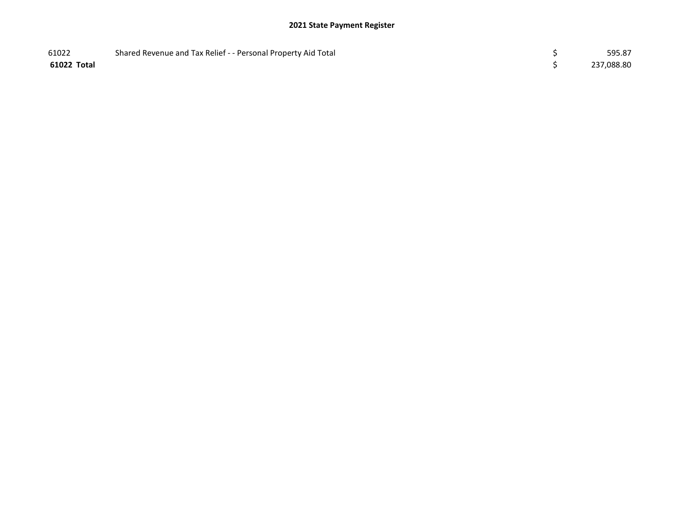| 61022       | Shared Revenue and Tax Relief - - Personal Property Aid Total | 595.87     |
|-------------|---------------------------------------------------------------|------------|
| 61022 Total |                                                               | 237,088.80 |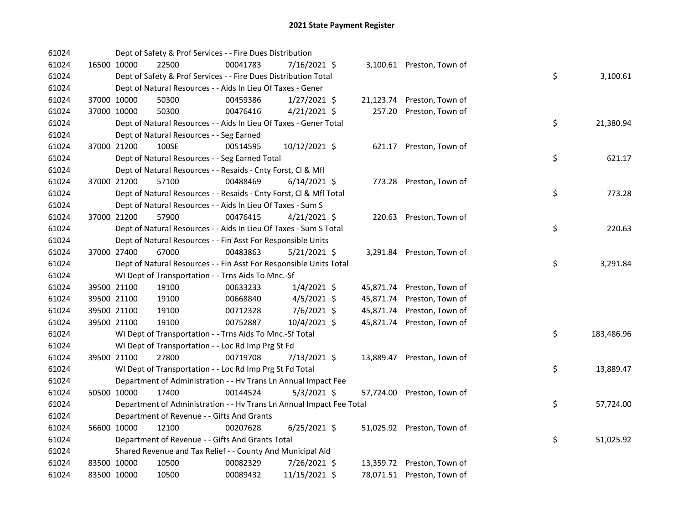| 61024 |             |             | Dept of Safety & Prof Services - - Fire Dues Distribution            |          |                |           |                            |    |            |
|-------|-------------|-------------|----------------------------------------------------------------------|----------|----------------|-----------|----------------------------|----|------------|
| 61024 |             | 16500 10000 | 22500                                                                | 00041783 | 7/16/2021 \$   |           | 3,100.61 Preston, Town of  |    |            |
| 61024 |             |             | Dept of Safety & Prof Services - - Fire Dues Distribution Total      |          |                |           |                            | \$ | 3,100.61   |
| 61024 |             |             | Dept of Natural Resources - - Aids In Lieu Of Taxes - Gener          |          |                |           |                            |    |            |
| 61024 |             | 37000 10000 | 50300                                                                | 00459386 | $1/27/2021$ \$ |           | 21,123.74 Preston, Town of |    |            |
| 61024 |             | 37000 10000 | 50300                                                                | 00476416 | $4/21/2021$ \$ | 257.20    | Preston, Town of           |    |            |
| 61024 |             |             | Dept of Natural Resources - - Aids In Lieu Of Taxes - Gener Total    |          |                |           |                            | \$ | 21,380.94  |
| 61024 |             |             | Dept of Natural Resources - - Seg Earned                             |          |                |           |                            |    |            |
| 61024 |             | 37000 21200 | 100SE                                                                | 00514595 | 10/12/2021 \$  | 621.17    | Preston, Town of           |    |            |
| 61024 |             |             | Dept of Natural Resources - - Seg Earned Total                       |          |                |           |                            | \$ | 621.17     |
| 61024 |             |             | Dept of Natural Resources - - Resaids - Cnty Forst, Cl & Mfl         |          |                |           |                            |    |            |
| 61024 |             | 37000 21200 | 57100                                                                | 00488469 | $6/14/2021$ \$ |           | 773.28 Preston, Town of    |    |            |
| 61024 |             |             | Dept of Natural Resources - - Resaids - Cnty Forst, Cl & Mfl Total   |          |                |           |                            | \$ | 773.28     |
| 61024 |             |             | Dept of Natural Resources - - Aids In Lieu Of Taxes - Sum S          |          |                |           |                            |    |            |
| 61024 |             | 37000 21200 | 57900                                                                | 00476415 | $4/21/2021$ \$ | 220.63    | Preston, Town of           |    |            |
| 61024 |             |             | Dept of Natural Resources - - Aids In Lieu Of Taxes - Sum S Total    |          |                |           |                            | \$ | 220.63     |
| 61024 |             |             | Dept of Natural Resources - - Fin Asst For Responsible Units         |          |                |           |                            |    |            |
| 61024 |             | 37000 27400 | 67000                                                                | 00483863 | $5/21/2021$ \$ |           | 3,291.84 Preston, Town of  |    |            |
| 61024 |             |             | Dept of Natural Resources - - Fin Asst For Responsible Units Total   |          |                |           |                            | \$ | 3,291.84   |
| 61024 |             |             | WI Dept of Transportation - - Trns Aids To Mnc.-Sf                   |          |                |           |                            |    |            |
| 61024 |             | 39500 21100 | 19100                                                                | 00633233 | $1/4/2021$ \$  | 45,871.74 | Preston, Town of           |    |            |
| 61024 |             | 39500 21100 | 19100                                                                | 00668840 | $4/5/2021$ \$  | 45,871.74 | Preston, Town of           |    |            |
| 61024 |             | 39500 21100 | 19100                                                                | 00712328 | $7/6/2021$ \$  | 45,871.74 | Preston, Town of           |    |            |
| 61024 |             | 39500 21100 | 19100                                                                | 00752887 | 10/4/2021 \$   |           | 45,871.74 Preston, Town of |    |            |
| 61024 |             |             | WI Dept of Transportation - - Trns Aids To Mnc.-Sf Total             |          |                |           |                            | \$ | 183,486.96 |
| 61024 |             |             | WI Dept of Transportation - - Loc Rd Imp Prg St Fd                   |          |                |           |                            |    |            |
| 61024 |             | 39500 21100 | 27800                                                                | 00719708 | 7/13/2021 \$   | 13,889.47 | Preston, Town of           |    |            |
| 61024 |             |             | WI Dept of Transportation - - Loc Rd Imp Prg St Fd Total             |          |                |           |                            | \$ | 13,889.47  |
| 61024 |             |             | Department of Administration - - Hv Trans Ln Annual Impact Fee       |          |                |           |                            |    |            |
| 61024 |             | 50500 10000 | 17400                                                                | 00144524 | $5/3/2021$ \$  |           | 57,724.00 Preston, Town of |    |            |
| 61024 |             |             | Department of Administration - - Hv Trans Ln Annual Impact Fee Total |          |                |           |                            | \$ | 57,724.00  |
| 61024 |             |             | Department of Revenue - - Gifts And Grants                           |          |                |           |                            |    |            |
| 61024 |             | 56600 10000 | 12100                                                                | 00207628 | $6/25/2021$ \$ |           | 51,025.92 Preston, Town of |    |            |
| 61024 |             |             | Department of Revenue - - Gifts And Grants Total                     |          |                |           |                            | \$ | 51,025.92  |
| 61024 |             |             | Shared Revenue and Tax Relief - - County And Municipal Aid           |          |                |           |                            |    |            |
| 61024 |             | 83500 10000 | 10500                                                                | 00082329 | 7/26/2021 \$   |           | 13,359.72 Preston, Town of |    |            |
| 61024 | 83500 10000 |             | 10500                                                                | 00089432 | 11/15/2021 \$  |           | 78,071.51 Preston, Town of |    |            |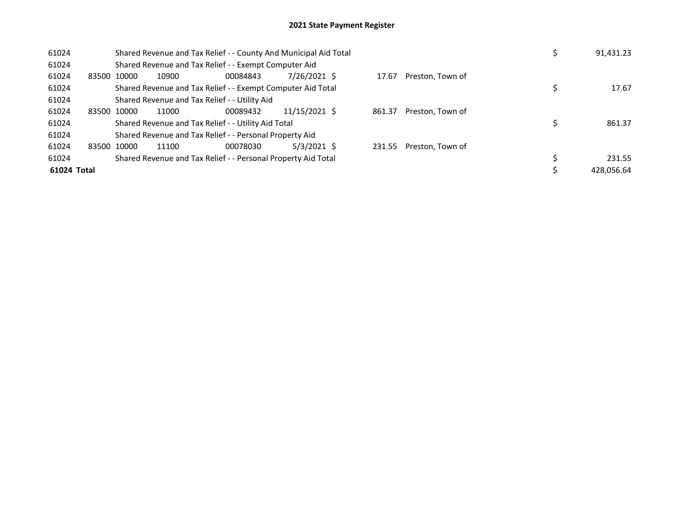| 61024       |             | Shared Revenue and Tax Relief - - County And Municipal Aid Total | 91,431.23                                                     |               |       |                         |            |
|-------------|-------------|------------------------------------------------------------------|---------------------------------------------------------------|---------------|-------|-------------------------|------------|
| 61024       |             |                                                                  | Shared Revenue and Tax Relief - - Exempt Computer Aid         |               |       |                         |            |
| 61024       | 83500 10000 | 10900                                                            | 00084843                                                      | 7/26/2021 \$  | 17.67 | Preston, Town of        |            |
| 61024       |             |                                                                  | Shared Revenue and Tax Relief - - Exempt Computer Aid Total   |               |       |                         | 17.67      |
| 61024       |             |                                                                  | Shared Revenue and Tax Relief - - Utility Aid                 |               |       |                         |            |
| 61024       | 83500 10000 | 11000                                                            |                                                               |               |       |                         |            |
| 61024       |             |                                                                  | Shared Revenue and Tax Relief - - Utility Aid Total           |               |       |                         | 861.37     |
| 61024       |             |                                                                  | Shared Revenue and Tax Relief - - Personal Property Aid       |               |       |                         |            |
| 61024       | 83500 10000 | 11100                                                            | 00078030                                                      | $5/3/2021$ \$ |       | 231.55 Preston, Town of |            |
| 61024       |             |                                                                  | Shared Revenue and Tax Relief - - Personal Property Aid Total |               |       |                         | 231.55     |
| 61024 Total |             |                                                                  |                                                               |               |       |                         | 428,056.64 |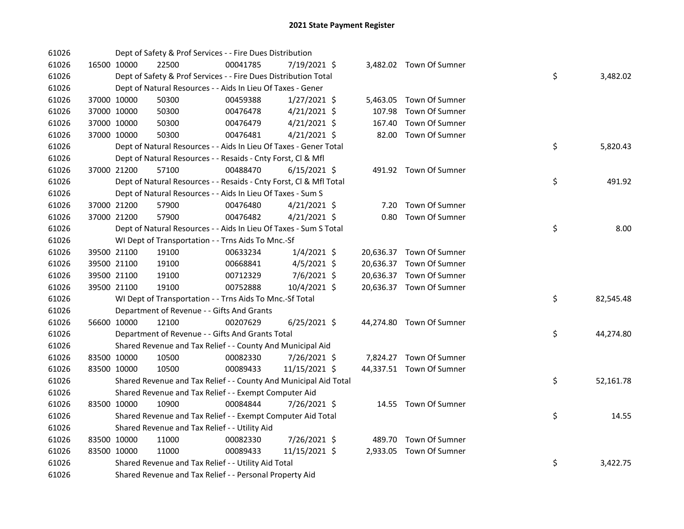| 61026 |             | Dept of Safety & Prof Services - - Fire Dues Distribution          |          |                |        |                          |    |           |
|-------|-------------|--------------------------------------------------------------------|----------|----------------|--------|--------------------------|----|-----------|
| 61026 | 16500 10000 | 22500                                                              | 00041785 | 7/19/2021 \$   |        | 3,482.02 Town Of Sumner  |    |           |
| 61026 |             | Dept of Safety & Prof Services - - Fire Dues Distribution Total    |          |                |        |                          | \$ | 3,482.02  |
| 61026 |             | Dept of Natural Resources - - Aids In Lieu Of Taxes - Gener        |          |                |        |                          |    |           |
| 61026 | 37000 10000 | 50300                                                              | 00459388 | $1/27/2021$ \$ |        | 5,463.05 Town Of Sumner  |    |           |
| 61026 | 37000 10000 | 50300                                                              | 00476478 | $4/21/2021$ \$ |        | 107.98 Town Of Sumner    |    |           |
| 61026 | 37000 10000 | 50300                                                              | 00476479 | $4/21/2021$ \$ | 167.40 | Town Of Sumner           |    |           |
| 61026 | 37000 10000 | 50300                                                              | 00476481 | $4/21/2021$ \$ |        | 82.00 Town Of Sumner     |    |           |
| 61026 |             | Dept of Natural Resources - - Aids In Lieu Of Taxes - Gener Total  |          |                |        |                          | \$ | 5,820.43  |
| 61026 |             | Dept of Natural Resources - - Resaids - Cnty Forst, CI & Mfl       |          |                |        |                          |    |           |
| 61026 | 37000 21200 | 57100                                                              | 00488470 | $6/15/2021$ \$ |        | 491.92 Town Of Sumner    |    |           |
| 61026 |             | Dept of Natural Resources - - Resaids - Cnty Forst, Cl & Mfl Total |          |                |        |                          | \$ | 491.92    |
| 61026 |             | Dept of Natural Resources - - Aids In Lieu Of Taxes - Sum S        |          |                |        |                          |    |           |
| 61026 | 37000 21200 | 57900                                                              | 00476480 | $4/21/2021$ \$ |        | 7.20 Town Of Sumner      |    |           |
| 61026 | 37000 21200 | 57900                                                              | 00476482 | $4/21/2021$ \$ |        | 0.80 Town Of Sumner      |    |           |
| 61026 |             | Dept of Natural Resources - - Aids In Lieu Of Taxes - Sum S Total  |          |                |        |                          | \$ | 8.00      |
| 61026 |             | WI Dept of Transportation - - Trns Aids To Mnc.-Sf                 |          |                |        |                          |    |           |
| 61026 | 39500 21100 | 19100                                                              | 00633234 | $1/4/2021$ \$  |        | 20,636.37 Town Of Sumner |    |           |
| 61026 | 39500 21100 | 19100                                                              | 00668841 | $4/5/2021$ \$  |        | 20,636.37 Town Of Sumner |    |           |
| 61026 | 39500 21100 | 19100                                                              | 00712329 | 7/6/2021 \$    |        | 20,636.37 Town Of Sumner |    |           |
| 61026 | 39500 21100 | 19100                                                              | 00752888 | 10/4/2021 \$   |        | 20,636.37 Town Of Sumner |    |           |
| 61026 |             | WI Dept of Transportation - - Trns Aids To Mnc.-Sf Total           |          |                |        |                          | \$ | 82,545.48 |
| 61026 |             | Department of Revenue - - Gifts And Grants                         |          |                |        |                          |    |           |
| 61026 | 56600 10000 | 12100                                                              | 00207629 | $6/25/2021$ \$ |        | 44,274.80 Town Of Sumner |    |           |
| 61026 |             | Department of Revenue - - Gifts And Grants Total                   |          |                |        |                          | \$ | 44,274.80 |
| 61026 |             | Shared Revenue and Tax Relief - - County And Municipal Aid         |          |                |        |                          |    |           |
| 61026 | 83500 10000 | 10500                                                              | 00082330 | 7/26/2021 \$   |        | 7,824.27 Town Of Sumner  |    |           |
| 61026 | 83500 10000 | 10500                                                              | 00089433 | 11/15/2021 \$  |        | 44,337.51 Town Of Sumner |    |           |
| 61026 |             | Shared Revenue and Tax Relief - - County And Municipal Aid Total   |          |                |        |                          | \$ | 52,161.78 |
| 61026 |             | Shared Revenue and Tax Relief - - Exempt Computer Aid              |          |                |        |                          |    |           |
| 61026 | 83500 10000 | 10900                                                              | 00084844 | 7/26/2021 \$   |        | 14.55 Town Of Sumner     |    |           |
| 61026 |             | Shared Revenue and Tax Relief - - Exempt Computer Aid Total        |          |                |        |                          | \$ | 14.55     |
| 61026 |             | Shared Revenue and Tax Relief - - Utility Aid                      |          |                |        |                          |    |           |
| 61026 | 83500 10000 | 11000                                                              | 00082330 | 7/26/2021 \$   |        | 489.70 Town Of Sumner    |    |           |
| 61026 | 83500 10000 | 11000                                                              | 00089433 | 11/15/2021 \$  |        | 2,933.05 Town Of Sumner  |    |           |
| 61026 |             | Shared Revenue and Tax Relief - - Utility Aid Total                |          |                |        |                          | \$ | 3,422.75  |
| 61026 |             | Shared Revenue and Tax Relief - - Personal Property Aid            |          |                |        |                          |    |           |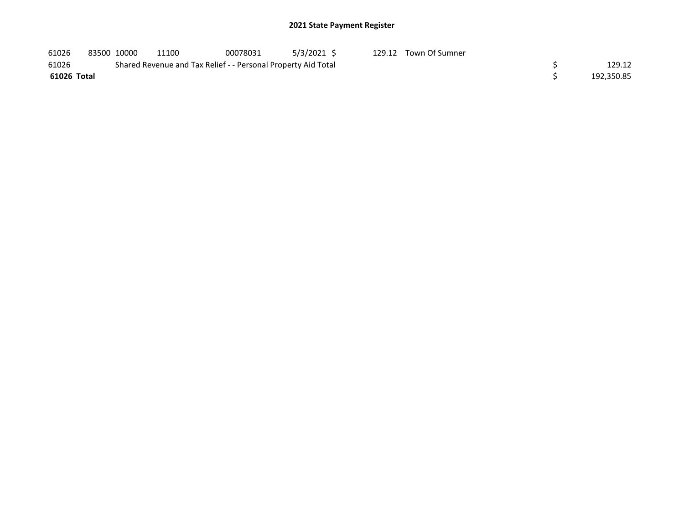| 61026       | 83500 10000 | 11100                                                         | 00078031 | $5/3/2021$ \$ | 129.12 Town Of Sumner |            |
|-------------|-------------|---------------------------------------------------------------|----------|---------------|-----------------------|------------|
| 61026       |             | Shared Revenue and Tax Relief - - Personal Property Aid Total |          |               |                       | 129.12     |
| 61026 Total |             |                                                               |          |               |                       | 192,350.85 |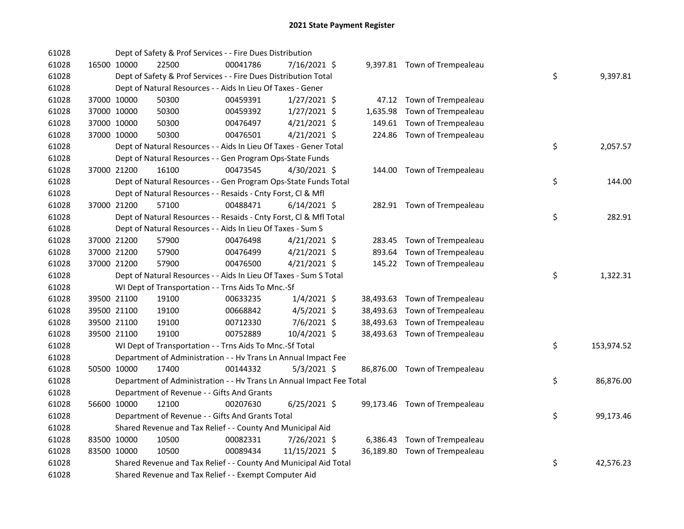| 61028 |             | Dept of Safety & Prof Services - - Fire Dues Distribution            |          |                |  |                               |    |            |
|-------|-------------|----------------------------------------------------------------------|----------|----------------|--|-------------------------------|----|------------|
| 61028 | 16500 10000 | 22500                                                                | 00041786 | 7/16/2021 \$   |  | 9,397.81 Town of Trempealeau  |    |            |
| 61028 |             | Dept of Safety & Prof Services - - Fire Dues Distribution Total      |          |                |  |                               | \$ | 9,397.81   |
| 61028 |             | Dept of Natural Resources - - Aids In Lieu Of Taxes - Gener          |          |                |  |                               |    |            |
| 61028 | 37000 10000 | 50300                                                                | 00459391 | $1/27/2021$ \$ |  | 47.12 Town of Trempealeau     |    |            |
| 61028 | 37000 10000 | 50300                                                                | 00459392 | $1/27/2021$ \$ |  | 1,635.98 Town of Trempealeau  |    |            |
| 61028 | 37000 10000 | 50300                                                                | 00476497 | $4/21/2021$ \$ |  | 149.61 Town of Trempealeau    |    |            |
| 61028 | 37000 10000 | 50300                                                                | 00476501 | $4/21/2021$ \$ |  | 224.86 Town of Trempealeau    |    |            |
| 61028 |             | Dept of Natural Resources - - Aids In Lieu Of Taxes - Gener Total    |          |                |  |                               | \$ | 2,057.57   |
| 61028 |             | Dept of Natural Resources - - Gen Program Ops-State Funds            |          |                |  |                               |    |            |
| 61028 | 37000 21200 | 16100                                                                | 00473545 | $4/30/2021$ \$ |  | 144.00 Town of Trempealeau    |    |            |
| 61028 |             | Dept of Natural Resources - - Gen Program Ops-State Funds Total      |          |                |  |                               | \$ | 144.00     |
| 61028 |             | Dept of Natural Resources - - Resaids - Cnty Forst, Cl & Mfl         |          |                |  |                               |    |            |
| 61028 | 37000 21200 | 57100                                                                | 00488471 | $6/14/2021$ \$ |  | 282.91 Town of Trempealeau    |    |            |
| 61028 |             | Dept of Natural Resources - - Resaids - Cnty Forst, Cl & Mfl Total   |          |                |  |                               | \$ | 282.91     |
| 61028 |             | Dept of Natural Resources - - Aids In Lieu Of Taxes - Sum S          |          |                |  |                               |    |            |
| 61028 | 37000 21200 | 57900                                                                | 00476498 | $4/21/2021$ \$ |  | 283.45 Town of Trempealeau    |    |            |
| 61028 | 37000 21200 | 57900                                                                | 00476499 | $4/21/2021$ \$ |  | 893.64 Town of Trempealeau    |    |            |
| 61028 | 37000 21200 | 57900                                                                | 00476500 | $4/21/2021$ \$ |  | 145.22 Town of Trempealeau    |    |            |
| 61028 |             | Dept of Natural Resources - - Aids In Lieu Of Taxes - Sum S Total    |          |                |  |                               | \$ | 1,322.31   |
| 61028 |             | WI Dept of Transportation - - Trns Aids To Mnc.-Sf                   |          |                |  |                               |    |            |
| 61028 | 39500 21100 | 19100                                                                | 00633235 | $1/4/2021$ \$  |  | 38,493.63 Town of Trempealeau |    |            |
| 61028 | 39500 21100 | 19100                                                                | 00668842 | $4/5/2021$ \$  |  | 38,493.63 Town of Trempealeau |    |            |
| 61028 | 39500 21100 | 19100                                                                | 00712330 | 7/6/2021 \$    |  | 38,493.63 Town of Trempealeau |    |            |
| 61028 | 39500 21100 | 19100                                                                | 00752889 | 10/4/2021 \$   |  | 38,493.63 Town of Trempealeau |    |            |
| 61028 |             | WI Dept of Transportation - - Trns Aids To Mnc.-Sf Total             |          |                |  |                               | \$ | 153,974.52 |
| 61028 |             | Department of Administration - - Hv Trans Ln Annual Impact Fee       |          |                |  |                               |    |            |
| 61028 | 50500 10000 | 17400                                                                | 00144332 | $5/3/2021$ \$  |  | 86,876.00 Town of Trempealeau |    |            |
| 61028 |             | Department of Administration - - Hv Trans Ln Annual Impact Fee Total |          |                |  |                               | \$ | 86,876.00  |
| 61028 |             | Department of Revenue - - Gifts And Grants                           |          |                |  |                               |    |            |
| 61028 | 56600 10000 | 12100                                                                | 00207630 | 6/25/2021 \$   |  | 99,173.46 Town of Trempealeau |    |            |
| 61028 |             | Department of Revenue - - Gifts And Grants Total                     |          |                |  |                               | \$ | 99,173.46  |
| 61028 |             | Shared Revenue and Tax Relief - - County And Municipal Aid           |          |                |  |                               |    |            |
| 61028 | 83500 10000 | 10500                                                                | 00082331 | 7/26/2021 \$   |  | 6,386.43 Town of Trempealeau  |    |            |
| 61028 | 83500 10000 | 10500                                                                | 00089434 | 11/15/2021 \$  |  | 36,189.80 Town of Trempealeau |    |            |
| 61028 |             | Shared Revenue and Tax Relief - - County And Municipal Aid Total     |          |                |  |                               | \$ | 42,576.23  |
| 61028 |             | Shared Revenue and Tax Relief - - Exempt Computer Aid                |          |                |  |                               |    |            |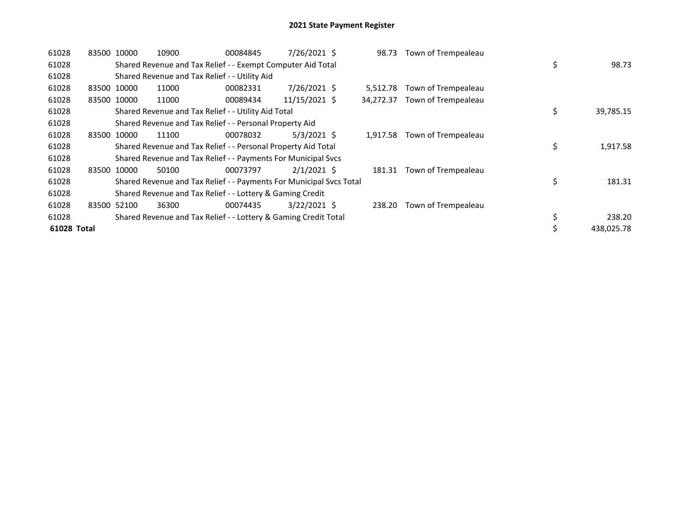| 61028       | 83500 10000 |             | 10900                                                               | 00084845 | 7/26/2021 \$   | 98.73     | Town of Trempealeau |                  |
|-------------|-------------|-------------|---------------------------------------------------------------------|----------|----------------|-----------|---------------------|------------------|
| 61028       |             |             | Shared Revenue and Tax Relief - - Exempt Computer Aid Total         |          |                |           |                     | \$<br>98.73      |
| 61028       |             |             | Shared Revenue and Tax Relief - - Utility Aid                       |          |                |           |                     |                  |
| 61028       |             | 83500 10000 | 11000                                                               | 00082331 | 7/26/2021 \$   | 5.512.78  | Town of Trempealeau |                  |
| 61028       |             | 83500 10000 | 11000                                                               | 00089434 | 11/15/2021 \$  | 34,272.37 | Town of Trempealeau |                  |
| 61028       |             |             | Shared Revenue and Tax Relief - - Utility Aid Total                 |          |                |           |                     | \$<br>39,785.15  |
| 61028       |             |             | Shared Revenue and Tax Relief - - Personal Property Aid             |          |                |           |                     |                  |
| 61028       |             | 83500 10000 | 11100                                                               | 00078032 | $5/3/2021$ \$  | 1,917.58  | Town of Trempealeau |                  |
| 61028       |             |             | Shared Revenue and Tax Relief - - Personal Property Aid Total       |          |                |           |                     | \$<br>1,917.58   |
| 61028       |             |             | Shared Revenue and Tax Relief - - Payments For Municipal Svcs       |          |                |           |                     |                  |
| 61028       |             | 83500 10000 | 50100                                                               | 00073797 | $2/1/2021$ \$  | 181.31    | Town of Trempealeau |                  |
| 61028       |             |             | Shared Revenue and Tax Relief - - Payments For Municipal Svcs Total |          |                |           |                     | \$<br>181.31     |
| 61028       |             |             | Shared Revenue and Tax Relief - - Lottery & Gaming Credit           |          |                |           |                     |                  |
| 61028       |             | 83500 52100 | 36300                                                               | 00074435 | $3/22/2021$ \$ | 238.20    | Town of Trempealeau |                  |
| 61028       |             |             | Shared Revenue and Tax Relief - - Lottery & Gaming Credit Total     |          |                |           |                     | \$<br>238.20     |
| 61028 Total |             |             |                                                                     |          |                |           |                     | \$<br>438,025.78 |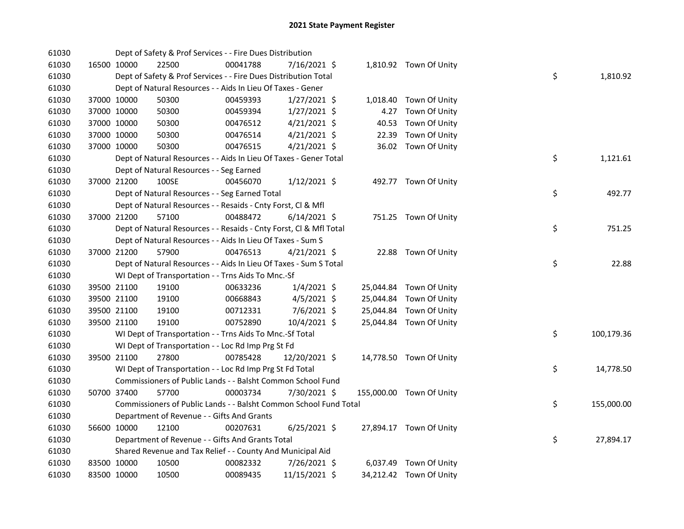| 61030 |             | Dept of Safety & Prof Services - - Fire Dues Distribution          |          |                |       |                          |    |            |
|-------|-------------|--------------------------------------------------------------------|----------|----------------|-------|--------------------------|----|------------|
| 61030 | 16500 10000 | 22500                                                              | 00041788 | 7/16/2021 \$   |       | 1,810.92 Town Of Unity   |    |            |
| 61030 |             | Dept of Safety & Prof Services - - Fire Dues Distribution Total    |          |                |       |                          | \$ | 1,810.92   |
| 61030 |             | Dept of Natural Resources - - Aids In Lieu Of Taxes - Gener        |          |                |       |                          |    |            |
| 61030 | 37000 10000 | 50300                                                              | 00459393 | $1/27/2021$ \$ |       | 1,018.40 Town Of Unity   |    |            |
| 61030 | 37000 10000 | 50300                                                              | 00459394 | $1/27/2021$ \$ |       | 4.27 Town Of Unity       |    |            |
| 61030 | 37000 10000 | 50300                                                              | 00476512 | $4/21/2021$ \$ | 40.53 | Town Of Unity            |    |            |
| 61030 | 37000 10000 | 50300                                                              | 00476514 | $4/21/2021$ \$ | 22.39 | Town Of Unity            |    |            |
| 61030 | 37000 10000 | 50300                                                              | 00476515 | 4/21/2021 \$   |       | 36.02 Town Of Unity      |    |            |
| 61030 |             | Dept of Natural Resources - - Aids In Lieu Of Taxes - Gener Total  |          |                |       |                          | \$ | 1,121.61   |
| 61030 |             | Dept of Natural Resources - - Seg Earned                           |          |                |       |                          |    |            |
| 61030 | 37000 21200 | 100SE                                                              | 00456070 | $1/12/2021$ \$ |       | 492.77 Town Of Unity     |    |            |
| 61030 |             | Dept of Natural Resources - - Seg Earned Total                     |          |                |       |                          | \$ | 492.77     |
| 61030 |             | Dept of Natural Resources - - Resaids - Cnty Forst, Cl & Mfl       |          |                |       |                          |    |            |
| 61030 | 37000 21200 | 57100                                                              | 00488472 | $6/14/2021$ \$ |       | 751.25 Town Of Unity     |    |            |
| 61030 |             | Dept of Natural Resources - - Resaids - Cnty Forst, CI & Mfl Total |          |                |       |                          | \$ | 751.25     |
| 61030 |             | Dept of Natural Resources - - Aids In Lieu Of Taxes - Sum S        |          |                |       |                          |    |            |
| 61030 | 37000 21200 | 57900                                                              | 00476513 | $4/21/2021$ \$ |       | 22.88 Town Of Unity      |    |            |
| 61030 |             | Dept of Natural Resources - - Aids In Lieu Of Taxes - Sum S Total  |          |                |       |                          | \$ | 22.88      |
| 61030 |             | WI Dept of Transportation - - Trns Aids To Mnc.-Sf                 |          |                |       |                          |    |            |
| 61030 | 39500 21100 | 19100                                                              | 00633236 | $1/4/2021$ \$  |       | 25,044.84 Town Of Unity  |    |            |
| 61030 | 39500 21100 | 19100                                                              | 00668843 | $4/5/2021$ \$  |       | 25,044.84 Town Of Unity  |    |            |
| 61030 | 39500 21100 | 19100                                                              | 00712331 | 7/6/2021 \$    |       | 25,044.84 Town Of Unity  |    |            |
| 61030 | 39500 21100 | 19100                                                              | 00752890 | 10/4/2021 \$   |       | 25,044.84 Town Of Unity  |    |            |
| 61030 |             | WI Dept of Transportation - - Trns Aids To Mnc.-Sf Total           |          |                |       |                          | \$ | 100,179.36 |
| 61030 |             | WI Dept of Transportation - - Loc Rd Imp Prg St Fd                 |          |                |       |                          |    |            |
| 61030 | 39500 21100 | 27800                                                              | 00785428 | 12/20/2021 \$  |       | 14,778.50 Town Of Unity  |    |            |
| 61030 |             | WI Dept of Transportation - - Loc Rd Imp Prg St Fd Total           |          |                |       |                          | \$ | 14,778.50  |
| 61030 |             | Commissioners of Public Lands - - Balsht Common School Fund        |          |                |       |                          |    |            |
| 61030 | 50700 37400 | 57700                                                              | 00003734 | 7/30/2021 \$   |       | 155,000.00 Town Of Unity |    |            |
| 61030 |             | Commissioners of Public Lands - - Balsht Common School Fund Total  |          |                |       |                          | \$ | 155,000.00 |
| 61030 |             | Department of Revenue - - Gifts And Grants                         |          |                |       |                          |    |            |
| 61030 | 56600 10000 | 12100                                                              | 00207631 | $6/25/2021$ \$ |       | 27,894.17 Town Of Unity  |    |            |
| 61030 |             | Department of Revenue - - Gifts And Grants Total                   |          |                |       |                          | \$ | 27,894.17  |
| 61030 |             | Shared Revenue and Tax Relief - - County And Municipal Aid         |          |                |       |                          |    |            |
| 61030 | 83500 10000 | 10500                                                              | 00082332 | 7/26/2021 \$   |       | 6,037.49 Town Of Unity   |    |            |
| 61030 | 83500 10000 | 10500                                                              | 00089435 | 11/15/2021 \$  |       | 34,212.42 Town Of Unity  |    |            |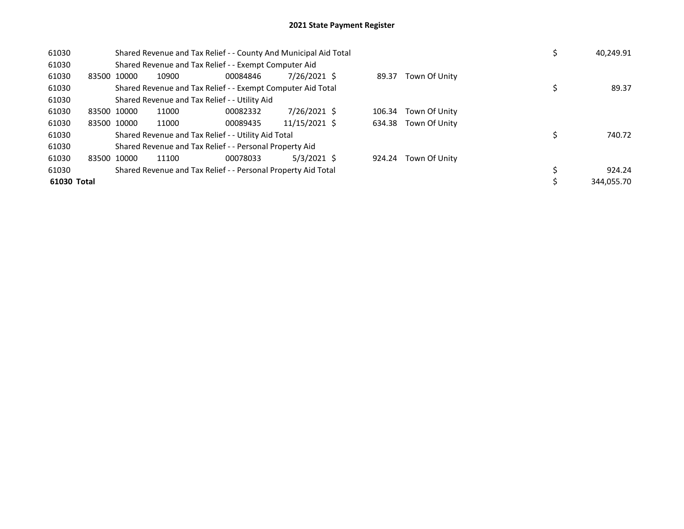| 61030       |             |       | Shared Revenue and Tax Relief - - County And Municipal Aid Total |               |        |                      | 40,249.91  |
|-------------|-------------|-------|------------------------------------------------------------------|---------------|--------|----------------------|------------|
| 61030       |             |       | Shared Revenue and Tax Relief - - Exempt Computer Aid            |               |        |                      |            |
| 61030       | 83500 10000 | 10900 | 00084846                                                         | 7/26/2021 \$  | 89.37  | Town Of Unity        |            |
| 61030       |             |       | Shared Revenue and Tax Relief - - Exempt Computer Aid Total      |               |        |                      | 89.37      |
| 61030       |             |       | Shared Revenue and Tax Relief - - Utility Aid                    |               |        |                      |            |
| 61030       | 83500 10000 | 11000 | 00082332                                                         | 7/26/2021 \$  |        | 106.34 Town Of Unity |            |
| 61030       | 83500 10000 | 11000 | 00089435                                                         | 11/15/2021 \$ |        | 634.38 Town Of Unity |            |
| 61030       |             |       | Shared Revenue and Tax Relief - - Utility Aid Total              |               |        |                      | 740.72     |
| 61030       |             |       | Shared Revenue and Tax Relief - - Personal Property Aid          |               |        |                      |            |
| 61030       | 83500 10000 | 11100 | 00078033                                                         | $5/3/2021$ \$ | 924.24 | Town Of Unity        |            |
| 61030       |             |       | Shared Revenue and Tax Relief - - Personal Property Aid Total    |               |        |                      | 924.24     |
| 61030 Total |             |       |                                                                  |               |        |                      | 344.055.70 |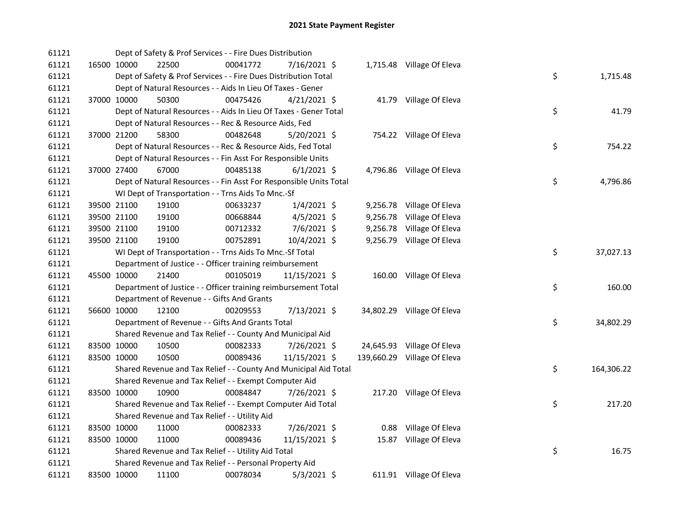| 61121 |             | Dept of Safety & Prof Services - - Fire Dues Distribution          |          |                |          |                             |    |            |
|-------|-------------|--------------------------------------------------------------------|----------|----------------|----------|-----------------------------|----|------------|
| 61121 | 16500 10000 | 22500                                                              | 00041772 | 7/16/2021 \$   |          | 1,715.48 Village Of Eleva   |    |            |
| 61121 |             | Dept of Safety & Prof Services - - Fire Dues Distribution Total    |          |                |          |                             | \$ | 1,715.48   |
| 61121 |             | Dept of Natural Resources - - Aids In Lieu Of Taxes - Gener        |          |                |          |                             |    |            |
| 61121 | 37000 10000 | 50300                                                              | 00475426 | $4/21/2021$ \$ |          | 41.79 Village Of Eleva      |    |            |
| 61121 |             | Dept of Natural Resources - - Aids In Lieu Of Taxes - Gener Total  |          |                |          |                             | \$ | 41.79      |
| 61121 |             | Dept of Natural Resources - - Rec & Resource Aids, Fed             |          |                |          |                             |    |            |
| 61121 | 37000 21200 | 58300                                                              | 00482648 | $5/20/2021$ \$ |          | 754.22 Village Of Eleva     |    |            |
| 61121 |             | Dept of Natural Resources - - Rec & Resource Aids, Fed Total       |          |                |          |                             | \$ | 754.22     |
| 61121 |             | Dept of Natural Resources - - Fin Asst For Responsible Units       |          |                |          |                             |    |            |
| 61121 | 37000 27400 | 67000                                                              | 00485138 | $6/1/2021$ \$  |          | 4,796.86 Village Of Eleva   |    |            |
| 61121 |             | Dept of Natural Resources - - Fin Asst For Responsible Units Total |          |                |          |                             | \$ | 4,796.86   |
| 61121 |             | WI Dept of Transportation - - Trns Aids To Mnc.-Sf                 |          |                |          |                             |    |            |
| 61121 | 39500 21100 | 19100                                                              | 00633237 | $1/4/2021$ \$  |          | 9,256.78 Village Of Eleva   |    |            |
| 61121 | 39500 21100 | 19100                                                              | 00668844 | $4/5/2021$ \$  | 9,256.78 | Village Of Eleva            |    |            |
| 61121 | 39500 21100 | 19100                                                              | 00712332 | 7/6/2021 \$    | 9,256.78 | Village Of Eleva            |    |            |
| 61121 | 39500 21100 | 19100                                                              | 00752891 | 10/4/2021 \$   | 9,256.79 | Village Of Eleva            |    |            |
| 61121 |             | WI Dept of Transportation - - Trns Aids To Mnc.-Sf Total           |          |                |          |                             | \$ | 37,027.13  |
| 61121 |             | Department of Justice - - Officer training reimbursement           |          |                |          |                             |    |            |
| 61121 | 45500 10000 | 21400                                                              | 00105019 | 11/15/2021 \$  |          | 160.00 Village Of Eleva     |    |            |
| 61121 |             | Department of Justice - - Officer training reimbursement Total     |          |                |          |                             | \$ | 160.00     |
| 61121 |             | Department of Revenue - - Gifts And Grants                         |          |                |          |                             |    |            |
| 61121 | 56600 10000 | 12100                                                              | 00209553 | 7/13/2021 \$   |          | 34,802.29 Village Of Eleva  |    |            |
| 61121 |             | Department of Revenue - - Gifts And Grants Total                   |          |                |          |                             | \$ | 34,802.29  |
| 61121 |             | Shared Revenue and Tax Relief - - County And Municipal Aid         |          |                |          |                             |    |            |
| 61121 | 83500 10000 | 10500                                                              | 00082333 | 7/26/2021 \$   |          | 24,645.93 Village Of Eleva  |    |            |
| 61121 | 83500 10000 | 10500                                                              | 00089436 | 11/15/2021 \$  |          | 139,660.29 Village Of Eleva |    |            |
| 61121 |             | Shared Revenue and Tax Relief - - County And Municipal Aid Total   |          |                |          |                             | \$ | 164,306.22 |
| 61121 |             | Shared Revenue and Tax Relief - - Exempt Computer Aid              |          |                |          |                             |    |            |
| 61121 | 83500 10000 | 10900                                                              | 00084847 | 7/26/2021 \$   |          | 217.20 Village Of Eleva     |    |            |
| 61121 |             | Shared Revenue and Tax Relief - - Exempt Computer Aid Total        |          |                |          |                             | \$ | 217.20     |
| 61121 |             | Shared Revenue and Tax Relief - - Utility Aid                      |          |                |          |                             |    |            |
| 61121 | 83500 10000 | 11000                                                              | 00082333 | 7/26/2021 \$   |          | 0.88 Village Of Eleva       |    |            |
| 61121 | 83500 10000 | 11000                                                              | 00089436 | 11/15/2021 \$  |          | 15.87 Village Of Eleva      |    |            |
| 61121 |             | Shared Revenue and Tax Relief - - Utility Aid Total                |          |                |          |                             | \$ | 16.75      |
| 61121 |             | Shared Revenue and Tax Relief - - Personal Property Aid            |          |                |          |                             |    |            |
| 61121 | 83500 10000 | 11100                                                              | 00078034 | $5/3/2021$ \$  |          | 611.91 Village Of Eleva     |    |            |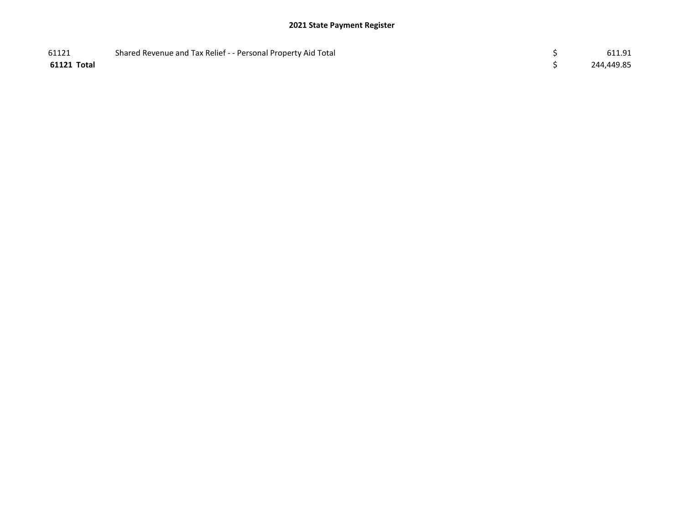| 61121       | Shared Revenue and Tax Relief - - Personal Property Aid Total | 611.91     |
|-------------|---------------------------------------------------------------|------------|
| 61121 Total |                                                               | 244,449.85 |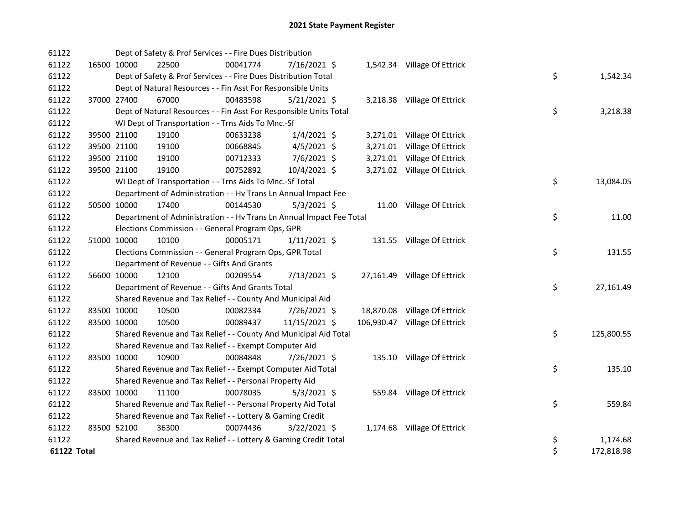| 61122       | Dept of Safety & Prof Services - - Fire Dues Distribution            |          |                |  |                               |    |            |
|-------------|----------------------------------------------------------------------|----------|----------------|--|-------------------------------|----|------------|
| 61122       | 16500 10000<br>22500                                                 | 00041774 | 7/16/2021 \$   |  | 1,542.34 Village Of Ettrick   |    |            |
| 61122       | Dept of Safety & Prof Services - - Fire Dues Distribution Total      |          |                |  |                               | \$ | 1,542.34   |
| 61122       | Dept of Natural Resources - - Fin Asst For Responsible Units         |          |                |  |                               |    |            |
| 61122       | 37000 27400<br>67000                                                 | 00483598 | $5/21/2021$ \$ |  | 3,218.38 Village Of Ettrick   |    |            |
| 61122       | Dept of Natural Resources - - Fin Asst For Responsible Units Total   |          |                |  |                               | \$ | 3,218.38   |
| 61122       | WI Dept of Transportation - - Trns Aids To Mnc.-Sf                   |          |                |  |                               |    |            |
| 61122       | 39500 21100<br>19100                                                 | 00633238 | $1/4/2021$ \$  |  | 3,271.01 Village Of Ettrick   |    |            |
| 61122       | 39500 21100<br>19100                                                 | 00668845 | $4/5/2021$ \$  |  | 3,271.01 Village Of Ettrick   |    |            |
| 61122       | 39500 21100<br>19100                                                 | 00712333 | 7/6/2021 \$    |  | 3,271.01 Village Of Ettrick   |    |            |
| 61122       | 39500 21100<br>19100                                                 | 00752892 | 10/4/2021 \$   |  | 3,271.02 Village Of Ettrick   |    |            |
| 61122       | WI Dept of Transportation - - Trns Aids To Mnc.-Sf Total             |          |                |  |                               | \$ | 13,084.05  |
| 61122       | Department of Administration - - Hv Trans Ln Annual Impact Fee       |          |                |  |                               |    |            |
| 61122       | 17400<br>50500 10000                                                 | 00144530 | $5/3/2021$ \$  |  | 11.00 Village Of Ettrick      |    |            |
| 61122       | Department of Administration - - Hv Trans Ln Annual Impact Fee Total |          |                |  |                               | \$ | 11.00      |
| 61122       | Elections Commission - - General Program Ops, GPR                    |          |                |  |                               |    |            |
| 61122       | 51000 10000<br>10100                                                 | 00005171 | $1/11/2021$ \$ |  | 131.55 Village Of Ettrick     |    |            |
| 61122       | Elections Commission - - General Program Ops, GPR Total              |          |                |  |                               | \$ | 131.55     |
| 61122       | Department of Revenue - - Gifts And Grants                           |          |                |  |                               |    |            |
| 61122       | 12100<br>56600 10000                                                 | 00209554 | 7/13/2021 \$   |  | 27,161.49 Village Of Ettrick  |    |            |
| 61122       | Department of Revenue - - Gifts And Grants Total                     |          |                |  |                               | \$ | 27,161.49  |
| 61122       | Shared Revenue and Tax Relief - - County And Municipal Aid           |          |                |  |                               |    |            |
| 61122       | 83500 10000<br>10500                                                 | 00082334 | 7/26/2021 \$   |  | 18,870.08 Village Of Ettrick  |    |            |
| 61122       | 83500 10000<br>10500                                                 | 00089437 | 11/15/2021 \$  |  | 106,930.47 Village Of Ettrick |    |            |
| 61122       | Shared Revenue and Tax Relief - - County And Municipal Aid Total     |          |                |  |                               | \$ | 125,800.55 |
| 61122       | Shared Revenue and Tax Relief - - Exempt Computer Aid                |          |                |  |                               |    |            |
| 61122       | 83500 10000<br>10900                                                 | 00084848 | 7/26/2021 \$   |  | 135.10 Village Of Ettrick     |    |            |
| 61122       | Shared Revenue and Tax Relief - - Exempt Computer Aid Total          |          |                |  |                               | \$ | 135.10     |
| 61122       | Shared Revenue and Tax Relief - - Personal Property Aid              |          |                |  |                               |    |            |
| 61122       | 83500 10000<br>11100                                                 | 00078035 | $5/3/2021$ \$  |  | 559.84 Village Of Ettrick     |    |            |
| 61122       | Shared Revenue and Tax Relief - - Personal Property Aid Total        |          |                |  |                               | \$ | 559.84     |
| 61122       | Shared Revenue and Tax Relief - - Lottery & Gaming Credit            |          |                |  |                               |    |            |
| 61122       | 83500 52100<br>36300                                                 | 00074436 | 3/22/2021 \$   |  | 1,174.68 Village Of Ettrick   |    |            |
| 61122       | Shared Revenue and Tax Relief - - Lottery & Gaming Credit Total      |          |                |  |                               | \$ | 1,174.68   |
| 61122 Total |                                                                      |          |                |  |                               | \$ | 172,818.98 |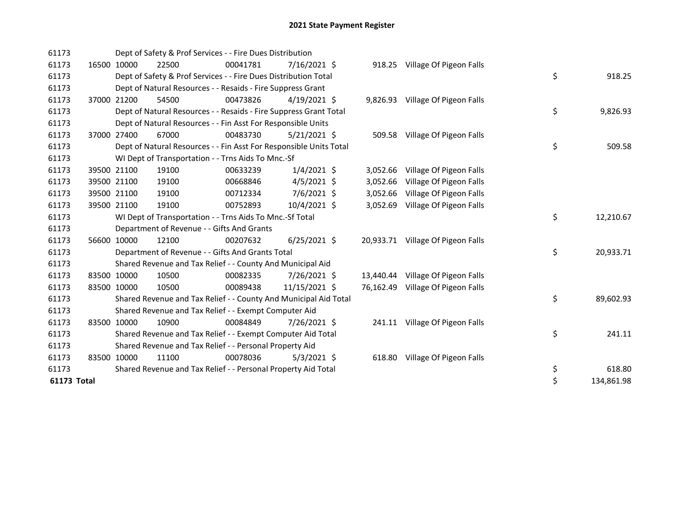| 61173       |             | Dept of Safety & Prof Services - - Fire Dues Distribution          |          |                |           |                                   |    |            |
|-------------|-------------|--------------------------------------------------------------------|----------|----------------|-----------|-----------------------------------|----|------------|
| 61173       | 16500 10000 | 22500                                                              | 00041781 | 7/16/2021 \$   |           | 918.25 Village Of Pigeon Falls    |    |            |
| 61173       |             | Dept of Safety & Prof Services - - Fire Dues Distribution Total    |          |                |           |                                   | \$ | 918.25     |
| 61173       |             | Dept of Natural Resources - - Resaids - Fire Suppress Grant        |          |                |           |                                   |    |            |
| 61173       | 37000 21200 | 54500                                                              | 00473826 | $4/19/2021$ \$ |           | 9,826.93 Village Of Pigeon Falls  |    |            |
| 61173       |             | Dept of Natural Resources - - Resaids - Fire Suppress Grant Total  |          |                |           |                                   | \$ | 9,826.93   |
| 61173       |             | Dept of Natural Resources - - Fin Asst For Responsible Units       |          |                |           |                                   |    |            |
| 61173       | 37000 27400 | 67000                                                              | 00483730 | $5/21/2021$ \$ |           | 509.58 Village Of Pigeon Falls    |    |            |
| 61173       |             | Dept of Natural Resources - - Fin Asst For Responsible Units Total |          |                |           |                                   | \$ | 509.58     |
| 61173       |             | WI Dept of Transportation - - Trns Aids To Mnc.-Sf                 |          |                |           |                                   |    |            |
| 61173       | 39500 21100 | 19100                                                              | 00633239 | $1/4/2021$ \$  | 3,052.66  | Village Of Pigeon Falls           |    |            |
| 61173       | 39500 21100 | 19100                                                              | 00668846 | $4/5/2021$ \$  | 3,052.66  | Village Of Pigeon Falls           |    |            |
| 61173       | 39500 21100 | 19100                                                              | 00712334 | 7/6/2021 \$    | 3,052.66  | Village Of Pigeon Falls           |    |            |
| 61173       | 39500 21100 | 19100                                                              | 00752893 | 10/4/2021 \$   |           | 3,052.69 Village Of Pigeon Falls  |    |            |
| 61173       |             | WI Dept of Transportation - - Trns Aids To Mnc.-Sf Total           |          |                |           |                                   | \$ | 12,210.67  |
| 61173       |             | Department of Revenue - - Gifts And Grants                         |          |                |           |                                   |    |            |
| 61173       | 56600 10000 | 12100                                                              | 00207632 | $6/25/2021$ \$ |           | 20,933.71 Village Of Pigeon Falls |    |            |
| 61173       |             | Department of Revenue - - Gifts And Grants Total                   |          |                |           |                                   | \$ | 20,933.71  |
| 61173       |             | Shared Revenue and Tax Relief - - County And Municipal Aid         |          |                |           |                                   |    |            |
| 61173       | 83500 10000 | 10500                                                              | 00082335 | 7/26/2021 \$   | 13,440.44 | Village Of Pigeon Falls           |    |            |
| 61173       | 83500 10000 | 10500                                                              | 00089438 | 11/15/2021 \$  | 76,162.49 | Village Of Pigeon Falls           |    |            |
| 61173       |             | Shared Revenue and Tax Relief - - County And Municipal Aid Total   |          |                |           |                                   | \$ | 89,602.93  |
| 61173       |             | Shared Revenue and Tax Relief - - Exempt Computer Aid              |          |                |           |                                   |    |            |
| 61173       | 83500 10000 | 10900                                                              | 00084849 | 7/26/2021 \$   |           | 241.11 Village Of Pigeon Falls    |    |            |
| 61173       |             | Shared Revenue and Tax Relief - - Exempt Computer Aid Total        |          |                |           |                                   | \$ | 241.11     |
| 61173       |             | Shared Revenue and Tax Relief - - Personal Property Aid            |          |                |           |                                   |    |            |
| 61173       | 83500 10000 | 11100                                                              | 00078036 | $5/3/2021$ \$  |           | 618.80 Village Of Pigeon Falls    |    |            |
| 61173       |             | Shared Revenue and Tax Relief - - Personal Property Aid Total      |          |                |           |                                   | \$ | 618.80     |
| 61173 Total |             |                                                                    |          |                |           |                                   | \$ | 134,861.98 |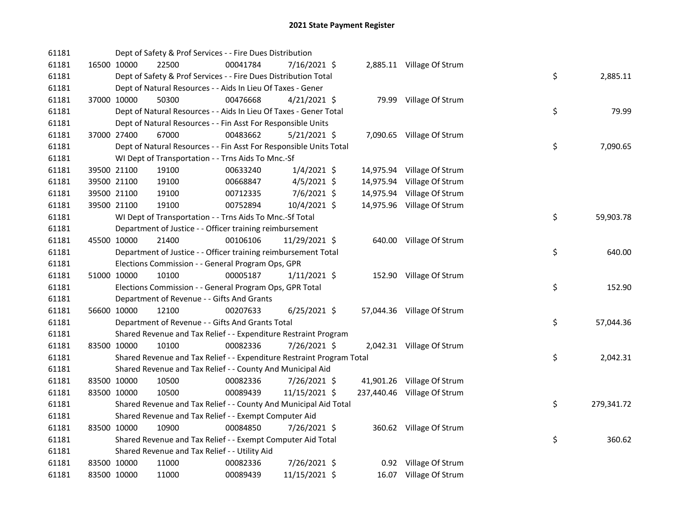| 61181 |             | Dept of Safety & Prof Services - - Fire Dues Distribution             |          |                |           |                             |    |            |
|-------|-------------|-----------------------------------------------------------------------|----------|----------------|-----------|-----------------------------|----|------------|
| 61181 | 16500 10000 | 22500                                                                 | 00041784 | 7/16/2021 \$   |           | 2,885.11 Village Of Strum   |    |            |
| 61181 |             | Dept of Safety & Prof Services - - Fire Dues Distribution Total       |          |                |           |                             | \$ | 2,885.11   |
| 61181 |             | Dept of Natural Resources - - Aids In Lieu Of Taxes - Gener           |          |                |           |                             |    |            |
| 61181 | 37000 10000 | 50300                                                                 | 00476668 | $4/21/2021$ \$ |           | 79.99 Village Of Strum      |    |            |
| 61181 |             | Dept of Natural Resources - - Aids In Lieu Of Taxes - Gener Total     |          |                |           |                             | \$ | 79.99      |
| 61181 |             | Dept of Natural Resources - - Fin Asst For Responsible Units          |          |                |           |                             |    |            |
| 61181 | 37000 27400 | 67000                                                                 | 00483662 | $5/21/2021$ \$ |           | 7,090.65 Village Of Strum   |    |            |
| 61181 |             | Dept of Natural Resources - - Fin Asst For Responsible Units Total    |          |                |           |                             | \$ | 7,090.65   |
| 61181 |             | WI Dept of Transportation - - Trns Aids To Mnc.-Sf                    |          |                |           |                             |    |            |
| 61181 | 39500 21100 | 19100                                                                 | 00633240 | $1/4/2021$ \$  |           | 14,975.94 Village Of Strum  |    |            |
| 61181 | 39500 21100 | 19100                                                                 | 00668847 | $4/5/2021$ \$  | 14,975.94 | Village Of Strum            |    |            |
| 61181 | 39500 21100 | 19100                                                                 | 00712335 | $7/6/2021$ \$  |           | 14,975.94 Village Of Strum  |    |            |
| 61181 | 39500 21100 | 19100                                                                 | 00752894 | 10/4/2021 \$   |           | 14,975.96 Village Of Strum  |    |            |
| 61181 |             | WI Dept of Transportation - - Trns Aids To Mnc.-Sf Total              |          |                |           |                             | \$ | 59,903.78  |
| 61181 |             | Department of Justice - - Officer training reimbursement              |          |                |           |                             |    |            |
| 61181 | 45500 10000 | 21400                                                                 | 00106106 | 11/29/2021 \$  |           | 640.00 Village Of Strum     |    |            |
| 61181 |             | Department of Justice - - Officer training reimbursement Total        |          |                |           |                             | \$ | 640.00     |
| 61181 |             | Elections Commission - - General Program Ops, GPR                     |          |                |           |                             |    |            |
| 61181 | 51000 10000 | 10100                                                                 | 00005187 | $1/11/2021$ \$ |           | 152.90 Village Of Strum     |    |            |
| 61181 |             | Elections Commission - - General Program Ops, GPR Total               |          |                |           |                             | \$ | 152.90     |
| 61181 |             | Department of Revenue - - Gifts And Grants                            |          |                |           |                             |    |            |
| 61181 | 56600 10000 | 12100                                                                 | 00207633 | 6/25/2021 \$   |           | 57,044.36 Village Of Strum  |    |            |
| 61181 |             | Department of Revenue - - Gifts And Grants Total                      |          |                |           |                             | \$ | 57,044.36  |
| 61181 |             | Shared Revenue and Tax Relief - - Expenditure Restraint Program       |          |                |           |                             |    |            |
| 61181 | 83500 10000 | 10100                                                                 | 00082336 | 7/26/2021 \$   |           | 2,042.31 Village Of Strum   |    |            |
| 61181 |             | Shared Revenue and Tax Relief - - Expenditure Restraint Program Total |          |                |           |                             | \$ | 2,042.31   |
| 61181 |             | Shared Revenue and Tax Relief - - County And Municipal Aid            |          |                |           |                             |    |            |
| 61181 | 83500 10000 | 10500                                                                 | 00082336 | 7/26/2021 \$   |           | 41,901.26 Village Of Strum  |    |            |
| 61181 | 83500 10000 | 10500                                                                 | 00089439 | 11/15/2021 \$  |           | 237,440.46 Village Of Strum |    |            |
| 61181 |             | Shared Revenue and Tax Relief - - County And Municipal Aid Total      |          |                |           |                             | \$ | 279,341.72 |
| 61181 |             | Shared Revenue and Tax Relief - - Exempt Computer Aid                 |          |                |           |                             |    |            |
| 61181 | 83500 10000 | 10900                                                                 | 00084850 | $7/26/2021$ \$ |           | 360.62 Village Of Strum     |    |            |
| 61181 |             | Shared Revenue and Tax Relief - - Exempt Computer Aid Total           |          |                |           |                             | \$ | 360.62     |
| 61181 |             | Shared Revenue and Tax Relief - - Utility Aid                         |          |                |           |                             |    |            |
| 61181 | 83500 10000 | 11000                                                                 | 00082336 | 7/26/2021 \$   |           | 0.92 Village Of Strum       |    |            |
| 61181 | 83500 10000 | 11000                                                                 | 00089439 | 11/15/2021 \$  |           | 16.07 Village Of Strum      |    |            |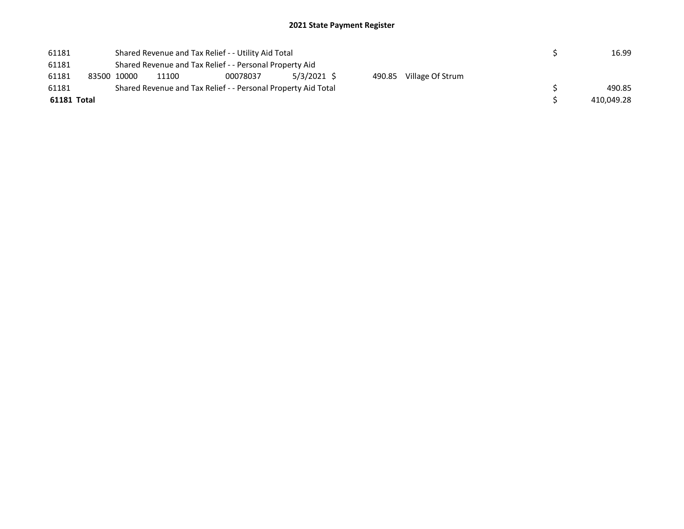| 61181       | Shared Revenue and Tax Relief - - Utility Aid Total     |       | 16.99                                                         |             |  |                         |  |            |  |  |  |
|-------------|---------------------------------------------------------|-------|---------------------------------------------------------------|-------------|--|-------------------------|--|------------|--|--|--|
| 61181       | Shared Revenue and Tax Relief - - Personal Property Aid |       |                                                               |             |  |                         |  |            |  |  |  |
| 61181       | 83500 10000                                             | 11100 | 00078037                                                      | 5/3/2021 \$ |  | 490.85 Village Of Strum |  |            |  |  |  |
| 61181       |                                                         |       | Shared Revenue and Tax Relief - - Personal Property Aid Total |             |  |                         |  | 490.85     |  |  |  |
| 61181 Total |                                                         |       |                                                               |             |  |                         |  | 410.049.28 |  |  |  |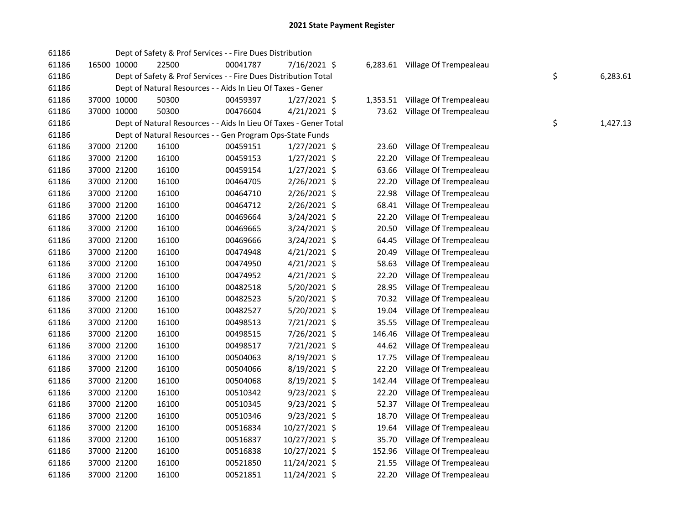| 61186 |             | Dept of Safety & Prof Services - - Fire Dues Distribution         |          |                |          |                                 |                |
|-------|-------------|-------------------------------------------------------------------|----------|----------------|----------|---------------------------------|----------------|
| 61186 | 16500 10000 | 22500                                                             | 00041787 | 7/16/2021 \$   |          | 6,283.61 Village Of Trempealeau |                |
| 61186 |             | Dept of Safety & Prof Services - - Fire Dues Distribution Total   |          |                |          |                                 | \$<br>6,283.61 |
| 61186 |             | Dept of Natural Resources - - Aids In Lieu Of Taxes - Gener       |          |                |          |                                 |                |
| 61186 | 37000 10000 | 50300                                                             | 00459397 | $1/27/2021$ \$ | 1,353.51 | Village Of Trempealeau          |                |
| 61186 | 37000 10000 | 50300                                                             | 00476604 | $4/21/2021$ \$ |          | 73.62 Village Of Trempealeau    |                |
| 61186 |             | Dept of Natural Resources - - Aids In Lieu Of Taxes - Gener Total |          |                |          |                                 | \$<br>1,427.13 |
| 61186 |             | Dept of Natural Resources - - Gen Program Ops-State Funds         |          |                |          |                                 |                |
| 61186 | 37000 21200 | 16100                                                             | 00459151 | $1/27/2021$ \$ | 23.60    | Village Of Trempealeau          |                |
| 61186 | 37000 21200 | 16100                                                             | 00459153 | $1/27/2021$ \$ | 22.20    | Village Of Trempealeau          |                |
| 61186 | 37000 21200 | 16100                                                             | 00459154 | 1/27/2021 \$   | 63.66    | Village Of Trempealeau          |                |
| 61186 | 37000 21200 | 16100                                                             | 00464705 | 2/26/2021 \$   | 22.20    | Village Of Trempealeau          |                |
| 61186 | 37000 21200 | 16100                                                             | 00464710 | 2/26/2021 \$   | 22.98    | Village Of Trempealeau          |                |
| 61186 | 37000 21200 | 16100                                                             | 00464712 | 2/26/2021 \$   | 68.41    | Village Of Trempealeau          |                |
| 61186 | 37000 21200 | 16100                                                             | 00469664 | 3/24/2021 \$   | 22.20    | Village Of Trempealeau          |                |
| 61186 | 37000 21200 | 16100                                                             | 00469665 | 3/24/2021 \$   | 20.50    | Village Of Trempealeau          |                |
| 61186 | 37000 21200 | 16100                                                             | 00469666 | 3/24/2021 \$   | 64.45    | Village Of Trempealeau          |                |
| 61186 | 37000 21200 | 16100                                                             | 00474948 | $4/21/2021$ \$ | 20.49    | Village Of Trempealeau          |                |
| 61186 | 37000 21200 | 16100                                                             | 00474950 | 4/21/2021 \$   | 58.63    | Village Of Trempealeau          |                |
| 61186 | 37000 21200 | 16100                                                             | 00474952 | $4/21/2021$ \$ | 22.20    | Village Of Trempealeau          |                |
| 61186 | 37000 21200 | 16100                                                             | 00482518 | 5/20/2021 \$   | 28.95    | Village Of Trempealeau          |                |
| 61186 | 37000 21200 | 16100                                                             | 00482523 | 5/20/2021 \$   | 70.32    | Village Of Trempealeau          |                |
| 61186 | 37000 21200 | 16100                                                             | 00482527 | 5/20/2021 \$   | 19.04    | Village Of Trempealeau          |                |
| 61186 | 37000 21200 | 16100                                                             | 00498513 | 7/21/2021 \$   | 35.55    | Village Of Trempealeau          |                |
| 61186 | 37000 21200 | 16100                                                             | 00498515 | 7/26/2021 \$   | 146.46   | Village Of Trempealeau          |                |
| 61186 | 37000 21200 | 16100                                                             | 00498517 | 7/21/2021 \$   | 44.62    | Village Of Trempealeau          |                |
| 61186 | 37000 21200 | 16100                                                             | 00504063 | 8/19/2021 \$   | 17.75    | Village Of Trempealeau          |                |
| 61186 | 37000 21200 | 16100                                                             | 00504066 | 8/19/2021 \$   | 22.20    | Village Of Trempealeau          |                |
| 61186 | 37000 21200 | 16100                                                             | 00504068 | 8/19/2021 \$   | 142.44   | Village Of Trempealeau          |                |
| 61186 | 37000 21200 | 16100                                                             | 00510342 | $9/23/2021$ \$ | 22.20    | Village Of Trempealeau          |                |
| 61186 | 37000 21200 | 16100                                                             | 00510345 | $9/23/2021$ \$ | 52.37    | Village Of Trempealeau          |                |
| 61186 | 37000 21200 | 16100                                                             | 00510346 | $9/23/2021$ \$ | 18.70    | Village Of Trempealeau          |                |
| 61186 | 37000 21200 | 16100                                                             | 00516834 | 10/27/2021 \$  | 19.64    | Village Of Trempealeau          |                |
| 61186 | 37000 21200 | 16100                                                             | 00516837 | 10/27/2021 \$  | 35.70    | Village Of Trempealeau          |                |
| 61186 | 37000 21200 | 16100                                                             | 00516838 | 10/27/2021 \$  | 152.96   | Village Of Trempealeau          |                |
| 61186 | 37000 21200 | 16100                                                             | 00521850 | 11/24/2021 \$  | 21.55    | Village Of Trempealeau          |                |
| 61186 | 37000 21200 | 16100                                                             | 00521851 | 11/24/2021 \$  | 22.20    | Village Of Trempealeau          |                |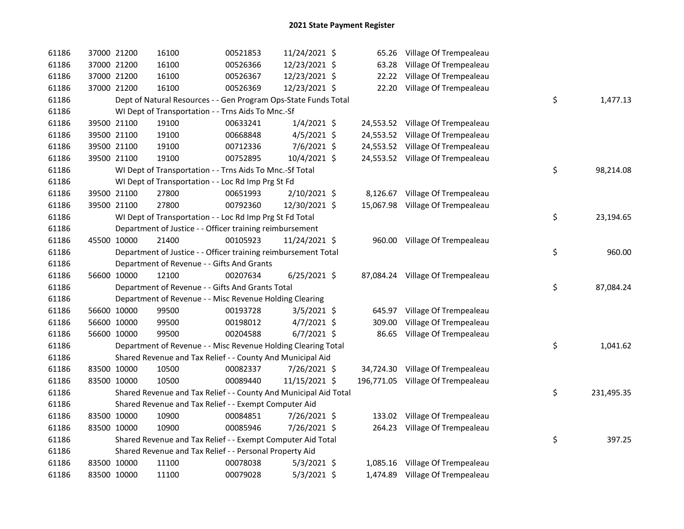| 61186 | 37000 21200 |             | 16100                                                            | 00521853 | 11/24/2021 \$  | 65.26  | Village Of Trempealeau            |    |            |
|-------|-------------|-------------|------------------------------------------------------------------|----------|----------------|--------|-----------------------------------|----|------------|
| 61186 |             | 37000 21200 | 16100                                                            | 00526366 | 12/23/2021 \$  | 63.28  | Village Of Trempealeau            |    |            |
| 61186 |             | 37000 21200 | 16100                                                            | 00526367 | 12/23/2021 \$  | 22.22  | Village Of Trempealeau            |    |            |
| 61186 |             | 37000 21200 | 16100                                                            | 00526369 | 12/23/2021 \$  | 22.20  | Village Of Trempealeau            |    |            |
| 61186 |             |             | Dept of Natural Resources - - Gen Program Ops-State Funds Total  |          |                |        |                                   | \$ | 1,477.13   |
| 61186 |             |             | WI Dept of Transportation - - Trns Aids To Mnc.-Sf               |          |                |        |                                   |    |            |
| 61186 |             | 39500 21100 | 19100                                                            | 00633241 | $1/4/2021$ \$  |        | 24,553.52 Village Of Trempealeau  |    |            |
| 61186 |             | 39500 21100 | 19100                                                            | 00668848 | 4/5/2021 \$    |        | 24,553.52 Village Of Trempealeau  |    |            |
| 61186 |             | 39500 21100 | 19100                                                            | 00712336 | 7/6/2021 \$    |        | 24,553.52 Village Of Trempealeau  |    |            |
| 61186 |             | 39500 21100 | 19100                                                            | 00752895 | 10/4/2021 \$   |        | 24,553.52 Village Of Trempealeau  |    |            |
| 61186 |             |             | WI Dept of Transportation - - Trns Aids To Mnc.-Sf Total         |          |                |        |                                   | \$ | 98,214.08  |
| 61186 |             |             | WI Dept of Transportation - - Loc Rd Imp Prg St Fd               |          |                |        |                                   |    |            |
| 61186 |             | 39500 21100 | 27800                                                            | 00651993 | 2/10/2021 \$   |        | 8,126.67 Village Of Trempealeau   |    |            |
| 61186 |             | 39500 21100 | 27800                                                            | 00792360 | 12/30/2021 \$  |        | 15,067.98 Village Of Trempealeau  |    |            |
| 61186 |             |             | WI Dept of Transportation - - Loc Rd Imp Prg St Fd Total         |          |                |        |                                   | \$ | 23,194.65  |
| 61186 |             |             | Department of Justice - - Officer training reimbursement         |          |                |        |                                   |    |            |
| 61186 |             | 45500 10000 | 21400                                                            | 00105923 | 11/24/2021 \$  |        | 960.00 Village Of Trempealeau     |    |            |
| 61186 |             |             | Department of Justice - - Officer training reimbursement Total   |          |                |        |                                   | \$ | 960.00     |
| 61186 |             |             | Department of Revenue - - Gifts And Grants                       |          |                |        |                                   |    |            |
| 61186 |             | 56600 10000 | 12100                                                            | 00207634 | $6/25/2021$ \$ |        | 87,084.24 Village Of Trempealeau  |    |            |
| 61186 |             |             | Department of Revenue - - Gifts And Grants Total                 |          |                |        |                                   | \$ | 87,084.24  |
| 61186 |             |             | Department of Revenue - - Misc Revenue Holding Clearing          |          |                |        |                                   |    |            |
| 61186 |             | 56600 10000 | 99500                                                            | 00193728 | 3/5/2021 \$    | 645.97 | Village Of Trempealeau            |    |            |
| 61186 |             | 56600 10000 | 99500                                                            | 00198012 | $4/7/2021$ \$  | 309.00 | Village Of Trempealeau            |    |            |
| 61186 |             | 56600 10000 | 99500                                                            | 00204588 | $6/7/2021$ \$  | 86.65  | Village Of Trempealeau            |    |            |
| 61186 |             |             | Department of Revenue - - Misc Revenue Holding Clearing Total    |          |                |        |                                   | \$ | 1,041.62   |
| 61186 |             |             | Shared Revenue and Tax Relief - - County And Municipal Aid       |          |                |        |                                   |    |            |
| 61186 |             | 83500 10000 | 10500                                                            | 00082337 | 7/26/2021 \$   |        | 34,724.30 Village Of Trempealeau  |    |            |
| 61186 | 83500 10000 |             | 10500                                                            | 00089440 | 11/15/2021 \$  |        | 196,771.05 Village Of Trempealeau |    |            |
| 61186 |             |             | Shared Revenue and Tax Relief - - County And Municipal Aid Total |          |                |        |                                   | \$ | 231,495.35 |
| 61186 |             |             | Shared Revenue and Tax Relief - - Exempt Computer Aid            |          |                |        |                                   |    |            |
| 61186 |             | 83500 10000 | 10900                                                            | 00084851 | 7/26/2021 \$   |        | 133.02 Village Of Trempealeau     |    |            |
| 61186 | 83500 10000 |             | 10900                                                            | 00085946 | 7/26/2021 \$   |        | 264.23 Village Of Trempealeau     |    |            |
| 61186 |             |             | Shared Revenue and Tax Relief - - Exempt Computer Aid Total      |          |                |        |                                   | \$ | 397.25     |
| 61186 |             |             | Shared Revenue and Tax Relief - - Personal Property Aid          |          |                |        |                                   |    |            |
| 61186 |             | 83500 10000 | 11100                                                            | 00078038 | $5/3/2021$ \$  |        | 1,085.16 Village Of Trempealeau   |    |            |
| 61186 | 83500 10000 |             | 11100                                                            | 00079028 | $5/3/2021$ \$  |        | 1,474.89 Village Of Trempealeau   |    |            |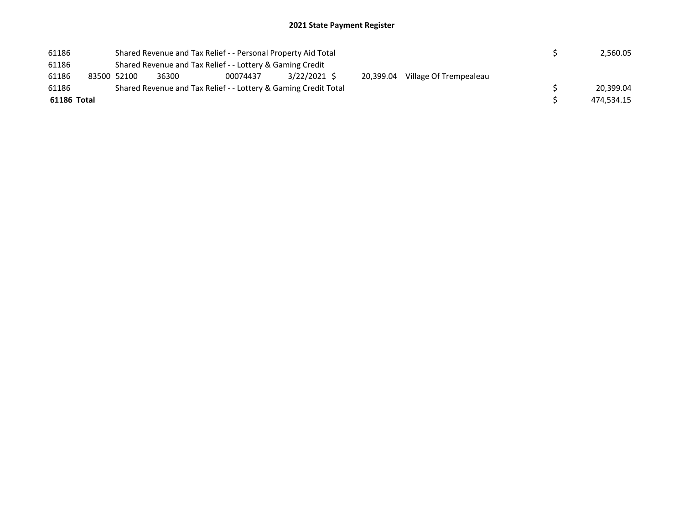| 61186       |                                                           | Shared Revenue and Tax Relief - - Personal Property Aid Total |                                                                 | 2,560.05     |           |                        |            |
|-------------|-----------------------------------------------------------|---------------------------------------------------------------|-----------------------------------------------------------------|--------------|-----------|------------------------|------------|
| 61186       | Shared Revenue and Tax Relief - - Lottery & Gaming Credit |                                                               |                                                                 |              |           |                        |            |
| 61186       | 83500 52100                                               | 36300                                                         | 00074437                                                        | 3/22/2021 \$ | 20.399.04 | Village Of Trempealeau |            |
| 61186       |                                                           |                                                               | Shared Revenue and Tax Relief - - Lottery & Gaming Credit Total |              |           |                        | 20.399.04  |
| 61186 Total |                                                           |                                                               |                                                                 |              |           |                        | 474.534.15 |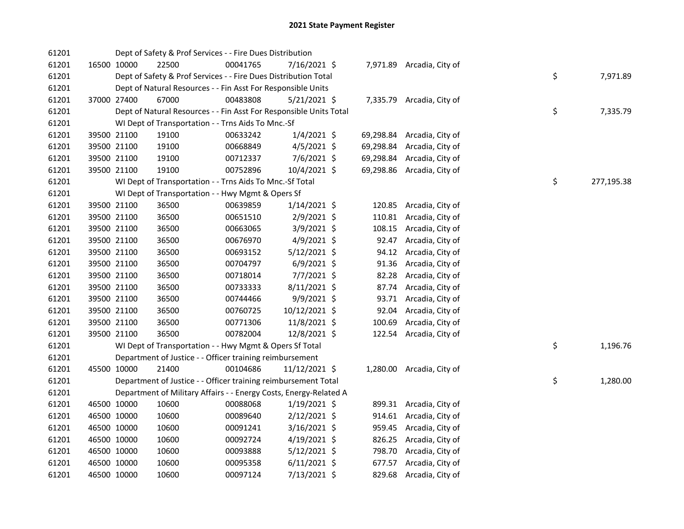| 61201 |             | Dept of Safety & Prof Services - - Fire Dues Distribution          |          |                |           |                           |    |            |
|-------|-------------|--------------------------------------------------------------------|----------|----------------|-----------|---------------------------|----|------------|
| 61201 | 16500 10000 | 22500                                                              | 00041765 | 7/16/2021 \$   |           | 7,971.89 Arcadia, City of |    |            |
| 61201 |             | Dept of Safety & Prof Services - - Fire Dues Distribution Total    |          |                |           |                           | \$ | 7,971.89   |
| 61201 |             | Dept of Natural Resources - - Fin Asst For Responsible Units       |          |                |           |                           |    |            |
| 61201 | 37000 27400 | 67000                                                              | 00483808 | $5/21/2021$ \$ |           | 7,335.79 Arcadia, City of |    |            |
| 61201 |             | Dept of Natural Resources - - Fin Asst For Responsible Units Total |          |                |           |                           | \$ | 7,335.79   |
| 61201 |             | WI Dept of Transportation - - Trns Aids To Mnc.-Sf                 |          |                |           |                           |    |            |
| 61201 | 39500 21100 | 19100                                                              | 00633242 | $1/4/2021$ \$  | 69,298.84 | Arcadia, City of          |    |            |
| 61201 | 39500 21100 | 19100                                                              | 00668849 | $4/5/2021$ \$  | 69,298.84 | Arcadia, City of          |    |            |
| 61201 | 39500 21100 | 19100                                                              | 00712337 | 7/6/2021 \$    | 69,298.84 | Arcadia, City of          |    |            |
| 61201 | 39500 21100 | 19100                                                              | 00752896 | 10/4/2021 \$   | 69,298.86 | Arcadia, City of          |    |            |
| 61201 |             | WI Dept of Transportation - - Trns Aids To Mnc.-Sf Total           |          |                |           |                           | \$ | 277,195.38 |
| 61201 |             | WI Dept of Transportation - - Hwy Mgmt & Opers Sf                  |          |                |           |                           |    |            |
| 61201 | 39500 21100 | 36500                                                              | 00639859 | $1/14/2021$ \$ |           | 120.85 Arcadia, City of   |    |            |
| 61201 | 39500 21100 | 36500                                                              | 00651510 | 2/9/2021 \$    | 110.81    | Arcadia, City of          |    |            |
| 61201 | 39500 21100 | 36500                                                              | 00663065 | 3/9/2021 \$    | 108.15    | Arcadia, City of          |    |            |
| 61201 | 39500 21100 | 36500                                                              | 00676970 | 4/9/2021 \$    | 92.47     | Arcadia, City of          |    |            |
| 61201 | 39500 21100 | 36500                                                              | 00693152 | $5/12/2021$ \$ | 94.12     | Arcadia, City of          |    |            |
| 61201 | 39500 21100 | 36500                                                              | 00704797 | $6/9/2021$ \$  | 91.36     | Arcadia, City of          |    |            |
| 61201 | 39500 21100 | 36500                                                              | 00718014 | 7/7/2021 \$    | 82.28     | Arcadia, City of          |    |            |
| 61201 | 39500 21100 | 36500                                                              | 00733333 | $8/11/2021$ \$ | 87.74     | Arcadia, City of          |    |            |
| 61201 | 39500 21100 | 36500                                                              | 00744466 | 9/9/2021 \$    |           | 93.71 Arcadia, City of    |    |            |
| 61201 | 39500 21100 | 36500                                                              | 00760725 | 10/12/2021 \$  | 92.04     | Arcadia, City of          |    |            |
| 61201 | 39500 21100 | 36500                                                              | 00771306 | 11/8/2021 \$   | 100.69    | Arcadia, City of          |    |            |
| 61201 | 39500 21100 | 36500                                                              | 00782004 | 12/8/2021 \$   |           | 122.54 Arcadia, City of   |    |            |
| 61201 |             | WI Dept of Transportation - - Hwy Mgmt & Opers Sf Total            |          |                |           |                           | \$ | 1,196.76   |
| 61201 |             | Department of Justice - - Officer training reimbursement           |          |                |           |                           |    |            |
| 61201 | 45500 10000 | 21400                                                              | 00104686 | 11/12/2021 \$  |           | 1,280.00 Arcadia, City of |    |            |
| 61201 |             | Department of Justice - - Officer training reimbursement Total     |          |                |           |                           | \$ | 1,280.00   |
| 61201 |             | Department of Military Affairs - - Energy Costs, Energy-Related A  |          |                |           |                           |    |            |
| 61201 | 46500 10000 | 10600                                                              | 00088068 | $1/19/2021$ \$ |           | 899.31 Arcadia, City of   |    |            |
| 61201 | 46500 10000 | 10600                                                              | 00089640 | $2/12/2021$ \$ |           | 914.61 Arcadia, City of   |    |            |
| 61201 | 46500 10000 | 10600                                                              | 00091241 | 3/16/2021 \$   |           | 959.45 Arcadia, City of   |    |            |
| 61201 | 46500 10000 | 10600                                                              | 00092724 | $4/19/2021$ \$ |           | 826.25 Arcadia, City of   |    |            |
| 61201 | 46500 10000 | 10600                                                              | 00093888 | $5/12/2021$ \$ |           | 798.70 Arcadia, City of   |    |            |
| 61201 | 46500 10000 | 10600                                                              | 00095358 | $6/11/2021$ \$ | 677.57    | Arcadia, City of          |    |            |
| 61201 | 46500 10000 | 10600                                                              | 00097124 | 7/13/2021 \$   |           | 829.68 Arcadia, City of   |    |            |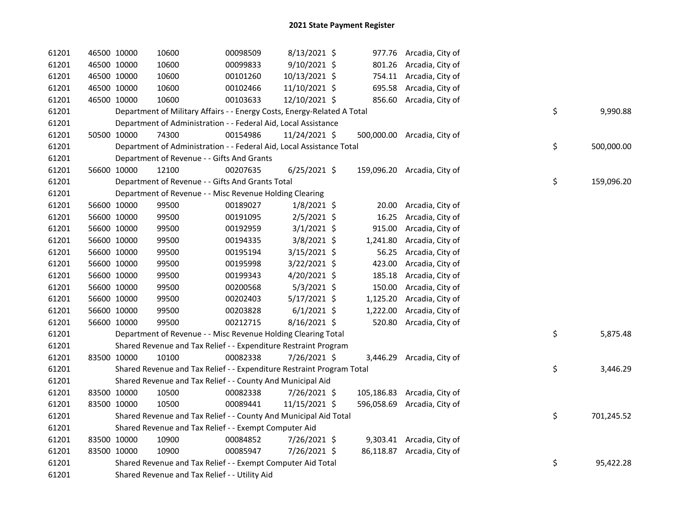| 61201 | 46500 10000 | 10600                                                                   | 00098509 | 8/13/2021 \$   |          | 977.76 Arcadia, City of     |    |            |
|-------|-------------|-------------------------------------------------------------------------|----------|----------------|----------|-----------------------------|----|------------|
| 61201 | 46500 10000 | 10600                                                                   | 00099833 | 9/10/2021 \$   |          | 801.26 Arcadia, City of     |    |            |
| 61201 | 46500 10000 | 10600                                                                   | 00101260 | 10/13/2021 \$  |          | 754.11 Arcadia, City of     |    |            |
| 61201 | 46500 10000 | 10600                                                                   | 00102466 | 11/10/2021 \$  |          | 695.58 Arcadia, City of     |    |            |
| 61201 | 46500 10000 | 10600                                                                   | 00103633 | 12/10/2021 \$  |          | 856.60 Arcadia, City of     |    |            |
| 61201 |             | Department of Military Affairs - - Energy Costs, Energy-Related A Total |          |                |          |                             | \$ | 9,990.88   |
| 61201 |             | Department of Administration - - Federal Aid, Local Assistance          |          |                |          |                             |    |            |
| 61201 | 50500 10000 | 74300                                                                   | 00154986 | 11/24/2021 \$  |          | 500,000.00 Arcadia, City of |    |            |
| 61201 |             | Department of Administration - - Federal Aid, Local Assistance Total    |          |                |          |                             | \$ | 500,000.00 |
| 61201 |             | Department of Revenue - - Gifts And Grants                              |          |                |          |                             |    |            |
| 61201 | 56600 10000 | 12100                                                                   | 00207635 | $6/25/2021$ \$ |          | 159,096.20 Arcadia, City of |    |            |
| 61201 |             | Department of Revenue - - Gifts And Grants Total                        |          |                |          |                             | \$ | 159,096.20 |
| 61201 |             | Department of Revenue - - Misc Revenue Holding Clearing                 |          |                |          |                             |    |            |
| 61201 | 56600 10000 | 99500                                                                   | 00189027 | $1/8/2021$ \$  |          | 20.00 Arcadia, City of      |    |            |
| 61201 | 56600 10000 | 99500                                                                   | 00191095 | $2/5/2021$ \$  | 16.25    | Arcadia, City of            |    |            |
| 61201 | 56600 10000 | 99500                                                                   | 00192959 | $3/1/2021$ \$  | 915.00   | Arcadia, City of            |    |            |
| 61201 | 56600 10000 | 99500                                                                   | 00194335 | $3/8/2021$ \$  | 1,241.80 | Arcadia, City of            |    |            |
| 61201 | 56600 10000 | 99500                                                                   | 00195194 | 3/15/2021 \$   | 56.25    | Arcadia, City of            |    |            |
| 61201 | 56600 10000 | 99500                                                                   | 00195998 | $3/22/2021$ \$ | 423.00   | Arcadia, City of            |    |            |
| 61201 | 56600 10000 | 99500                                                                   | 00199343 | 4/20/2021 \$   | 185.18   | Arcadia, City of            |    |            |
| 61201 | 56600 10000 | 99500                                                                   | 00200568 | $5/3/2021$ \$  | 150.00   | Arcadia, City of            |    |            |
| 61201 | 56600 10000 | 99500                                                                   | 00202403 | $5/17/2021$ \$ | 1,125.20 | Arcadia, City of            |    |            |
| 61201 | 56600 10000 | 99500                                                                   | 00203828 | $6/1/2021$ \$  | 1,222.00 | Arcadia, City of            |    |            |
| 61201 | 56600 10000 | 99500                                                                   | 00212715 | 8/16/2021 \$   | 520.80   | Arcadia, City of            |    |            |
| 61201 |             | Department of Revenue - - Misc Revenue Holding Clearing Total           |          |                |          |                             | \$ | 5,875.48   |
| 61201 |             | Shared Revenue and Tax Relief - - Expenditure Restraint Program         |          |                |          |                             |    |            |
| 61201 | 83500 10000 | 10100                                                                   | 00082338 | 7/26/2021 \$   |          | 3,446.29 Arcadia, City of   |    |            |
| 61201 |             | Shared Revenue and Tax Relief - - Expenditure Restraint Program Total   |          |                |          |                             | \$ | 3,446.29   |
| 61201 |             | Shared Revenue and Tax Relief - - County And Municipal Aid              |          |                |          |                             |    |            |
| 61201 | 83500 10000 | 10500                                                                   | 00082338 | 7/26/2021 \$   |          | 105,186.83 Arcadia, City of |    |            |
| 61201 | 83500 10000 | 10500                                                                   | 00089441 | 11/15/2021 \$  |          | 596,058.69 Arcadia, City of |    |            |
| 61201 |             | Shared Revenue and Tax Relief - - County And Municipal Aid Total        |          |                |          |                             | \$ | 701,245.52 |
| 61201 |             | Shared Revenue and Tax Relief - - Exempt Computer Aid                   |          |                |          |                             |    |            |
| 61201 | 83500 10000 | 10900                                                                   | 00084852 | 7/26/2021 \$   |          | 9,303.41 Arcadia, City of   |    |            |
| 61201 | 83500 10000 | 10900                                                                   | 00085947 | 7/26/2021 \$   |          | 86,118.87 Arcadia, City of  |    |            |
| 61201 |             | Shared Revenue and Tax Relief - - Exempt Computer Aid Total             |          |                |          |                             | \$ | 95,422.28  |
| 61201 |             | Shared Revenue and Tax Relief - - Utility Aid                           |          |                |          |                             |    |            |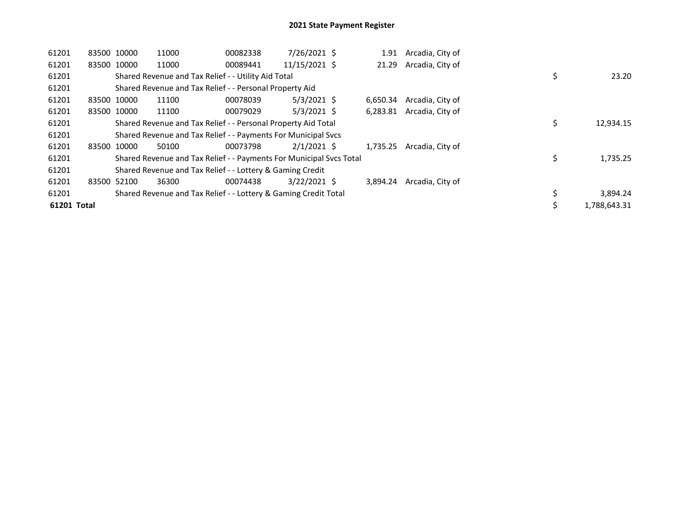| 61201       | 83500 10000 | 11000                                                               | 00082338 | 7/26/2021 \$   | 1.91     | Arcadia, City of |    |              |
|-------------|-------------|---------------------------------------------------------------------|----------|----------------|----------|------------------|----|--------------|
| 61201       | 83500 10000 | 11000                                                               | 00089441 | 11/15/2021 \$  | 21.29    | Arcadia, City of |    |              |
| 61201       |             | Shared Revenue and Tax Relief - - Utility Aid Total                 |          |                |          |                  | \$ | 23.20        |
| 61201       |             | Shared Revenue and Tax Relief - - Personal Property Aid             |          |                |          |                  |    |              |
| 61201       | 83500 10000 | 11100                                                               | 00078039 | $5/3/2021$ \$  | 6.650.34 | Arcadia, City of |    |              |
| 61201       | 83500 10000 | 11100                                                               | 00079029 | $5/3/2021$ \$  | 6,283.81 | Arcadia, City of |    |              |
| 61201       |             | Shared Revenue and Tax Relief - - Personal Property Aid Total       |          |                |          |                  | \$ | 12,934.15    |
| 61201       |             | Shared Revenue and Tax Relief - - Payments For Municipal Svcs       |          |                |          |                  |    |              |
| 61201       | 83500 10000 | 50100                                                               | 00073798 | $2/1/2021$ \$  | 1.735.25 | Arcadia, City of |    |              |
| 61201       |             | Shared Revenue and Tax Relief - - Payments For Municipal Svcs Total |          |                |          |                  | \$ | 1,735.25     |
| 61201       |             | Shared Revenue and Tax Relief - - Lottery & Gaming Credit           |          |                |          |                  |    |              |
| 61201       | 83500 52100 | 36300                                                               | 00074438 | $3/22/2021$ \$ | 3.894.24 | Arcadia, City of |    |              |
| 61201       |             | Shared Revenue and Tax Relief - - Lottery & Gaming Credit Total     |          |                |          |                  | \$ | 3,894.24     |
| 61201 Total |             |                                                                     |          |                |          |                  |    | 1.788.643.31 |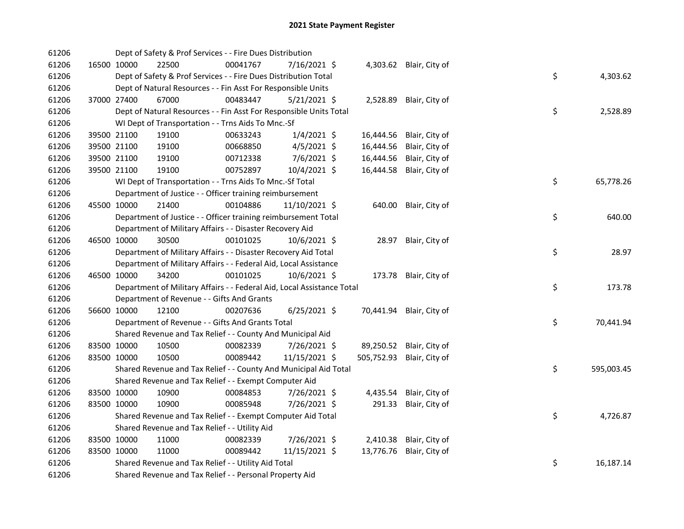| 61206 |             | Dept of Safety & Prof Services - - Fire Dues Distribution              |          |                |            |                         |    |            |
|-------|-------------|------------------------------------------------------------------------|----------|----------------|------------|-------------------------|----|------------|
| 61206 | 16500 10000 | 22500                                                                  | 00041767 | 7/16/2021 \$   |            | 4,303.62 Blair, City of |    |            |
| 61206 |             | Dept of Safety & Prof Services - - Fire Dues Distribution Total        |          |                |            |                         | \$ | 4,303.62   |
| 61206 |             | Dept of Natural Resources - - Fin Asst For Responsible Units           |          |                |            |                         |    |            |
| 61206 | 37000 27400 | 67000                                                                  | 00483447 | $5/21/2021$ \$ | 2,528.89   | Blair, City of          |    |            |
| 61206 |             | Dept of Natural Resources - - Fin Asst For Responsible Units Total     |          |                |            |                         | \$ | 2,528.89   |
| 61206 |             | WI Dept of Transportation - - Trns Aids To Mnc.-Sf                     |          |                |            |                         |    |            |
| 61206 | 39500 21100 | 19100                                                                  | 00633243 | $1/4/2021$ \$  | 16,444.56  | Blair, City of          |    |            |
| 61206 | 39500 21100 | 19100                                                                  | 00668850 | $4/5/2021$ \$  | 16,444.56  | Blair, City of          |    |            |
| 61206 | 39500 21100 | 19100                                                                  | 00712338 | $7/6/2021$ \$  | 16,444.56  | Blair, City of          |    |            |
| 61206 | 39500 21100 | 19100                                                                  | 00752897 | 10/4/2021 \$   | 16,444.58  | Blair, City of          |    |            |
| 61206 |             | WI Dept of Transportation - - Trns Aids To Mnc.-Sf Total               |          |                |            |                         | \$ | 65,778.26  |
| 61206 |             | Department of Justice - - Officer training reimbursement               |          |                |            |                         |    |            |
| 61206 | 45500 10000 | 21400                                                                  | 00104886 | 11/10/2021 \$  | 640.00     | Blair, City of          |    |            |
| 61206 |             | Department of Justice - - Officer training reimbursement Total         |          |                |            |                         | \$ | 640.00     |
| 61206 |             | Department of Military Affairs - - Disaster Recovery Aid               |          |                |            |                         |    |            |
| 61206 | 46500 10000 | 30500                                                                  | 00101025 | 10/6/2021 \$   | 28.97      | Blair, City of          |    |            |
| 61206 |             | Department of Military Affairs - - Disaster Recovery Aid Total         |          |                |            |                         | \$ | 28.97      |
| 61206 |             | Department of Military Affairs - - Federal Aid, Local Assistance       |          |                |            |                         |    |            |
| 61206 | 46500 10000 | 34200                                                                  | 00101025 | 10/6/2021 \$   |            | 173.78 Blair, City of   |    |            |
| 61206 |             | Department of Military Affairs - - Federal Aid, Local Assistance Total |          |                |            |                         | \$ | 173.78     |
| 61206 |             | Department of Revenue - - Gifts And Grants                             |          |                |            |                         |    |            |
| 61206 | 56600 10000 | 12100                                                                  | 00207636 | 6/25/2021 \$   | 70,441.94  | Blair, City of          |    |            |
| 61206 |             | Department of Revenue - - Gifts And Grants Total                       |          |                |            |                         | \$ | 70,441.94  |
| 61206 |             | Shared Revenue and Tax Relief - - County And Municipal Aid             |          |                |            |                         |    |            |
| 61206 | 83500 10000 | 10500                                                                  | 00082339 | 7/26/2021 \$   | 89,250.52  | Blair, City of          |    |            |
| 61206 | 83500 10000 | 10500                                                                  | 00089442 | 11/15/2021 \$  | 505,752.93 | Blair, City of          |    |            |
| 61206 |             | Shared Revenue and Tax Relief - - County And Municipal Aid Total       |          |                |            |                         | \$ | 595,003.45 |
| 61206 |             | Shared Revenue and Tax Relief - - Exempt Computer Aid                  |          |                |            |                         |    |            |
| 61206 | 83500 10000 | 10900                                                                  | 00084853 | 7/26/2021 \$   | 4,435.54   | Blair, City of          |    |            |
| 61206 | 83500 10000 | 10900                                                                  | 00085948 | 7/26/2021 \$   | 291.33     | Blair, City of          |    |            |
| 61206 |             | Shared Revenue and Tax Relief - - Exempt Computer Aid Total            |          |                |            |                         | \$ | 4,726.87   |
| 61206 |             | Shared Revenue and Tax Relief - - Utility Aid                          |          |                |            |                         |    |            |
| 61206 | 83500 10000 | 11000                                                                  | 00082339 | 7/26/2021 \$   | 2,410.38   | Blair, City of          |    |            |
| 61206 | 83500 10000 | 11000                                                                  | 00089442 | 11/15/2021 \$  | 13,776.76  | Blair, City of          |    |            |
| 61206 |             | Shared Revenue and Tax Relief - - Utility Aid Total                    |          |                |            |                         | \$ | 16,187.14  |
| 61206 |             | Shared Revenue and Tax Relief - - Personal Property Aid                |          |                |            |                         |    |            |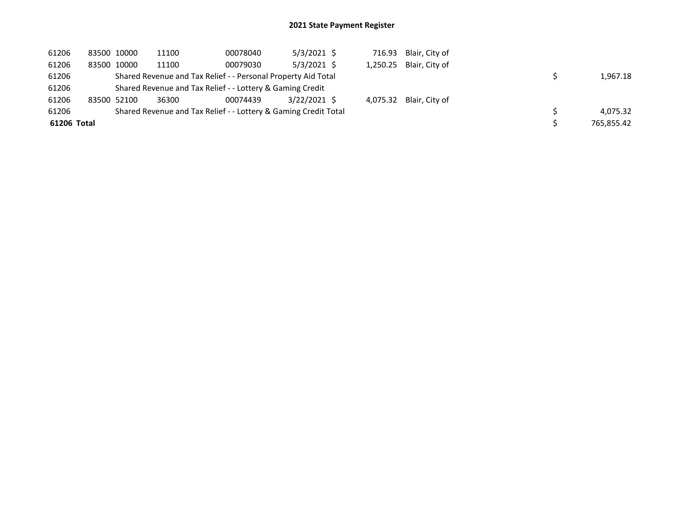| 61206       | 83500 10000 | 11100                                                     | 00078040                                                        | $5/3/2021$ \$ |  | 716.93 Blair, City of   |            |
|-------------|-------------|-----------------------------------------------------------|-----------------------------------------------------------------|---------------|--|-------------------------|------------|
| 61206       | 83500 10000 | 11100                                                     | 00079030                                                        | $5/3/2021$ \$ |  | 1,250.25 Blair, City of |            |
| 61206       |             |                                                           | Shared Revenue and Tax Relief - - Personal Property Aid Total   |               |  |                         | 1,967.18   |
| 61206       |             | Shared Revenue and Tax Relief - - Lottery & Gaming Credit |                                                                 |               |  |                         |            |
| 61206       | 83500 52100 | 36300                                                     | 00074439                                                        | 3/22/2021 \$  |  | 4,075.32 Blair, City of |            |
| 61206       |             |                                                           | Shared Revenue and Tax Relief - - Lottery & Gaming Credit Total |               |  |                         | 4.075.32   |
| 61206 Total |             |                                                           |                                                                 |               |  |                         | 765.855.42 |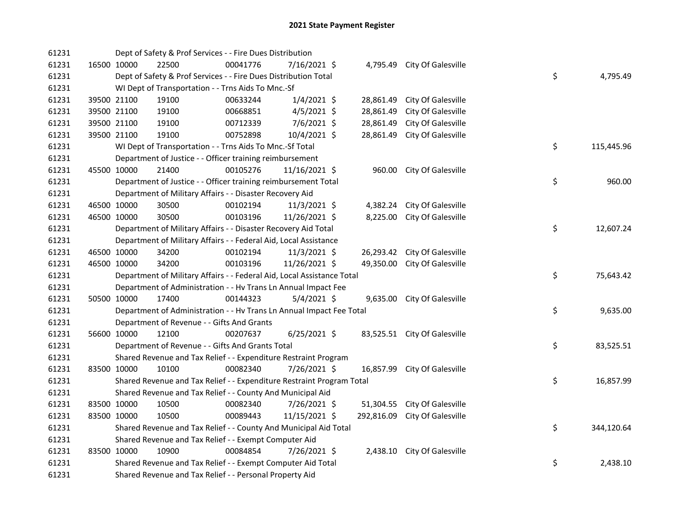| 61231 |             | Dept of Safety & Prof Services - - Fire Dues Distribution              |          |                |            |                              |    |            |
|-------|-------------|------------------------------------------------------------------------|----------|----------------|------------|------------------------------|----|------------|
| 61231 | 16500 10000 | 22500                                                                  | 00041776 | 7/16/2021 \$   | 4,795.49   | City Of Galesville           |    |            |
| 61231 |             | Dept of Safety & Prof Services - - Fire Dues Distribution Total        |          |                |            |                              | \$ | 4,795.49   |
| 61231 |             | WI Dept of Transportation - - Trns Aids To Mnc.-Sf                     |          |                |            |                              |    |            |
| 61231 | 39500 21100 | 19100                                                                  | 00633244 | $1/4/2021$ \$  | 28,861.49  | City Of Galesville           |    |            |
| 61231 | 39500 21100 | 19100                                                                  | 00668851 | $4/5/2021$ \$  | 28,861.49  | City Of Galesville           |    |            |
| 61231 | 39500 21100 | 19100                                                                  | 00712339 | 7/6/2021 \$    | 28,861.49  | City Of Galesville           |    |            |
| 61231 | 39500 21100 | 19100                                                                  | 00752898 | 10/4/2021 \$   | 28,861.49  | City Of Galesville           |    |            |
| 61231 |             | WI Dept of Transportation - - Trns Aids To Mnc.-Sf Total               |          |                |            |                              | \$ | 115,445.96 |
| 61231 |             | Department of Justice - - Officer training reimbursement               |          |                |            |                              |    |            |
| 61231 | 45500 10000 | 21400                                                                  | 00105276 | 11/16/2021 \$  | 960.00     | City Of Galesville           |    |            |
| 61231 |             | Department of Justice - - Officer training reimbursement Total         |          |                |            |                              | \$ | 960.00     |
| 61231 |             | Department of Military Affairs - - Disaster Recovery Aid               |          |                |            |                              |    |            |
| 61231 | 46500 10000 | 30500                                                                  | 00102194 | 11/3/2021 \$   | 4,382.24   | City Of Galesville           |    |            |
| 61231 | 46500 10000 | 30500                                                                  | 00103196 | 11/26/2021 \$  | 8,225.00   | City Of Galesville           |    |            |
| 61231 |             | Department of Military Affairs - - Disaster Recovery Aid Total         |          |                |            |                              | \$ | 12,607.24  |
| 61231 |             | Department of Military Affairs - - Federal Aid, Local Assistance       |          |                |            |                              |    |            |
| 61231 | 46500 10000 | 34200                                                                  | 00102194 | $11/3/2021$ \$ | 26,293.42  | City Of Galesville           |    |            |
| 61231 | 46500 10000 | 34200                                                                  | 00103196 | 11/26/2021 \$  | 49,350.00  | City Of Galesville           |    |            |
| 61231 |             | Department of Military Affairs - - Federal Aid, Local Assistance Total |          |                |            |                              | \$ | 75,643.42  |
| 61231 |             | Department of Administration - - Hv Trans Ln Annual Impact Fee         |          |                |            |                              |    |            |
| 61231 | 50500 10000 | 17400                                                                  | 00144323 | $5/4/2021$ \$  | 9,635.00   | City Of Galesville           |    |            |
| 61231 |             | Department of Administration - - Hv Trans Ln Annual Impact Fee Total   |          |                |            |                              | \$ | 9,635.00   |
| 61231 |             | Department of Revenue - - Gifts And Grants                             |          |                |            |                              |    |            |
| 61231 | 56600 10000 | 12100                                                                  | 00207637 | $6/25/2021$ \$ |            | 83,525.51 City Of Galesville |    |            |
| 61231 |             | Department of Revenue - - Gifts And Grants Total                       |          |                |            |                              | \$ | 83,525.51  |
| 61231 |             | Shared Revenue and Tax Relief - - Expenditure Restraint Program        |          |                |            |                              |    |            |
| 61231 | 83500 10000 | 10100                                                                  | 00082340 | 7/26/2021 \$   | 16,857.99  | City Of Galesville           |    |            |
| 61231 |             | Shared Revenue and Tax Relief - - Expenditure Restraint Program Total  |          |                |            |                              | \$ | 16,857.99  |
| 61231 |             | Shared Revenue and Tax Relief - - County And Municipal Aid             |          |                |            |                              |    |            |
| 61231 | 83500 10000 | 10500                                                                  | 00082340 | 7/26/2021 \$   | 51,304.55  | City Of Galesville           |    |            |
| 61231 | 83500 10000 | 10500                                                                  | 00089443 | 11/15/2021 \$  | 292,816.09 | City Of Galesville           |    |            |
| 61231 |             | Shared Revenue and Tax Relief - - County And Municipal Aid Total       |          |                |            |                              | \$ | 344,120.64 |
| 61231 |             | Shared Revenue and Tax Relief - - Exempt Computer Aid                  |          |                |            |                              |    |            |
| 61231 | 83500 10000 | 10900                                                                  | 00084854 | 7/26/2021 \$   | 2,438.10   | City Of Galesville           |    |            |
| 61231 |             | Shared Revenue and Tax Relief - - Exempt Computer Aid Total            |          |                |            |                              | \$ | 2,438.10   |
| 61231 |             | Shared Revenue and Tax Relief - - Personal Property Aid                |          |                |            |                              |    |            |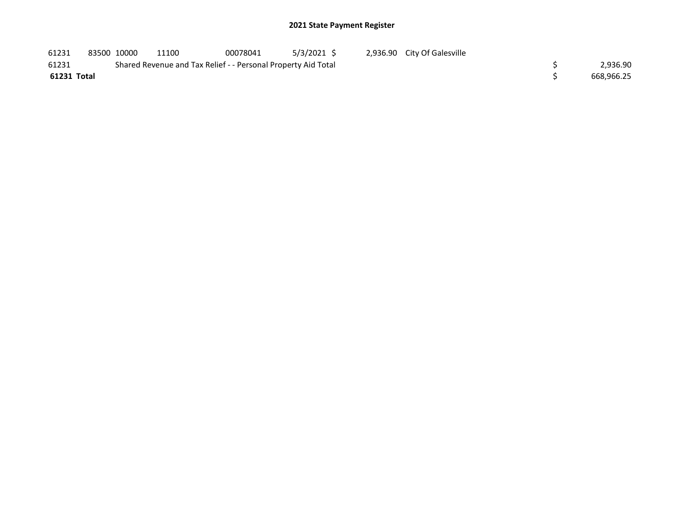| 61231       | 83500 10000 | 11100                                                         | 00078041 | 5/3/2021 S | 2,936.90 City Of Galesville |            |
|-------------|-------------|---------------------------------------------------------------|----------|------------|-----------------------------|------------|
| 61231       |             | Shared Revenue and Tax Relief - - Personal Property Aid Total |          |            |                             | 2,936.90   |
| 61231 Total |             |                                                               |          |            |                             | 668,966.25 |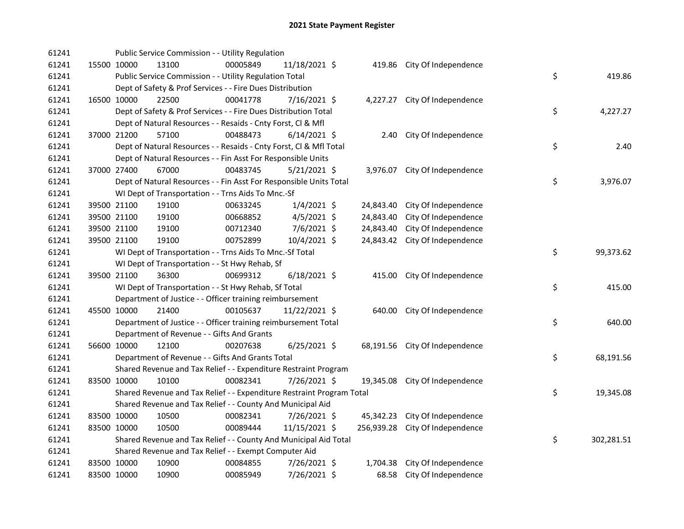| 61241 |             |             | Public Service Commission - - Utility Regulation                      |          |                |            |                                |    |            |
|-------|-------------|-------------|-----------------------------------------------------------------------|----------|----------------|------------|--------------------------------|----|------------|
| 61241 |             | 15500 10000 | 13100                                                                 | 00005849 | 11/18/2021 \$  |            | 419.86 City Of Independence    |    |            |
| 61241 |             |             | Public Service Commission - - Utility Regulation Total                |          |                |            |                                | \$ | 419.86     |
| 61241 |             |             | Dept of Safety & Prof Services - - Fire Dues Distribution             |          |                |            |                                |    |            |
| 61241 |             | 16500 10000 | 22500                                                                 | 00041778 | 7/16/2021 \$   |            | 4,227.27 City Of Independence  |    |            |
| 61241 |             |             | Dept of Safety & Prof Services - - Fire Dues Distribution Total       |          |                |            |                                | \$ | 4,227.27   |
| 61241 |             |             | Dept of Natural Resources - - Resaids - Cnty Forst, Cl & Mfl          |          |                |            |                                |    |            |
| 61241 |             | 37000 21200 | 57100                                                                 | 00488473 | $6/14/2021$ \$ |            | 2.40 City Of Independence      |    |            |
| 61241 |             |             | Dept of Natural Resources - - Resaids - Cnty Forst, Cl & Mfl Total    |          |                |            |                                | \$ | 2.40       |
| 61241 |             |             | Dept of Natural Resources - - Fin Asst For Responsible Units          |          |                |            |                                |    |            |
| 61241 |             | 37000 27400 | 67000                                                                 | 00483745 | $5/21/2021$ \$ |            | 3,976.07 City Of Independence  |    |            |
| 61241 |             |             | Dept of Natural Resources - - Fin Asst For Responsible Units Total    |          |                |            |                                | \$ | 3,976.07   |
| 61241 |             |             | WI Dept of Transportation - - Trns Aids To Mnc.-Sf                    |          |                |            |                                |    |            |
| 61241 |             | 39500 21100 | 19100                                                                 | 00633245 | $1/4/2021$ \$  | 24,843.40  | City Of Independence           |    |            |
| 61241 |             | 39500 21100 | 19100                                                                 | 00668852 | $4/5/2021$ \$  | 24,843.40  | City Of Independence           |    |            |
| 61241 |             | 39500 21100 | 19100                                                                 | 00712340 | 7/6/2021 \$    | 24,843.40  | City Of Independence           |    |            |
| 61241 |             | 39500 21100 | 19100                                                                 | 00752899 | 10/4/2021 \$   | 24,843.42  | City Of Independence           |    |            |
| 61241 |             |             | WI Dept of Transportation - - Trns Aids To Mnc.-Sf Total              |          |                |            |                                | \$ | 99,373.62  |
| 61241 |             |             | WI Dept of Transportation - - St Hwy Rehab, Sf                        |          |                |            |                                |    |            |
| 61241 |             | 39500 21100 | 36300                                                                 | 00699312 | $6/18/2021$ \$ |            | 415.00 City Of Independence    |    |            |
| 61241 |             |             | WI Dept of Transportation - - St Hwy Rehab, Sf Total                  |          |                |            |                                | \$ | 415.00     |
| 61241 |             |             | Department of Justice - - Officer training reimbursement              |          |                |            |                                |    |            |
| 61241 |             | 45500 10000 | 21400                                                                 | 00105637 | 11/22/2021 \$  |            | 640.00 City Of Independence    |    |            |
| 61241 |             |             | Department of Justice - - Officer training reimbursement Total        |          |                |            |                                | \$ | 640.00     |
| 61241 |             |             | Department of Revenue - - Gifts And Grants                            |          |                |            |                                |    |            |
| 61241 |             | 56600 10000 | 12100                                                                 | 00207638 | $6/25/2021$ \$ |            | 68,191.56 City Of Independence |    |            |
| 61241 |             |             | Department of Revenue - - Gifts And Grants Total                      |          |                |            |                                | \$ | 68,191.56  |
| 61241 |             |             | Shared Revenue and Tax Relief - - Expenditure Restraint Program       |          |                |            |                                |    |            |
| 61241 |             | 83500 10000 | 10100                                                                 | 00082341 | 7/26/2021 \$   |            | 19,345.08 City Of Independence |    |            |
| 61241 |             |             | Shared Revenue and Tax Relief - - Expenditure Restraint Program Total |          |                |            |                                | \$ | 19,345.08  |
| 61241 |             |             | Shared Revenue and Tax Relief - - County And Municipal Aid            |          |                |            |                                |    |            |
| 61241 |             | 83500 10000 | 10500                                                                 | 00082341 | 7/26/2021 \$   | 45,342.23  | City Of Independence           |    |            |
| 61241 |             | 83500 10000 | 10500                                                                 | 00089444 | 11/15/2021 \$  | 256,939.28 | City Of Independence           |    |            |
| 61241 |             |             | Shared Revenue and Tax Relief - - County And Municipal Aid Total      |          |                |            |                                | \$ | 302,281.51 |
| 61241 |             |             | Shared Revenue and Tax Relief - - Exempt Computer Aid                 |          |                |            |                                |    |            |
| 61241 |             | 83500 10000 | 10900                                                                 | 00084855 | 7/26/2021 \$   | 1,704.38   | City Of Independence           |    |            |
| 61241 | 83500 10000 |             | 10900                                                                 | 00085949 | 7/26/2021 \$   | 68.58      | City Of Independence           |    |            |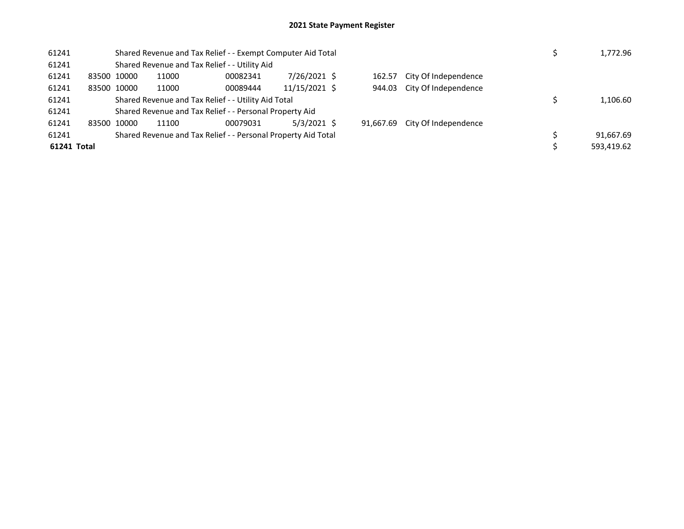| 61241       |       |             | Shared Revenue and Tax Relief - - Exempt Computer Aid Total |                                                               |               | 1,772.96 |           |                      |  |  |            |  |
|-------------|-------|-------------|-------------------------------------------------------------|---------------------------------------------------------------|---------------|----------|-----------|----------------------|--|--|------------|--|
| 61241       |       |             |                                                             | Shared Revenue and Tax Relief - - Utility Aid                 |               |          |           |                      |  |  |            |  |
| 61241       |       | 83500 10000 | 11000                                                       | 00082341                                                      | 7/26/2021 \$  |          | 162.57    | City Of Independence |  |  |            |  |
| 61241       |       | 83500 10000 | 11000                                                       | 00089444                                                      | 11/15/2021 \$ |          | 944.03    | City Of Independence |  |  |            |  |
| 61241       |       |             | Shared Revenue and Tax Relief - - Utility Aid Total         |                                                               |               |          |           |                      |  |  |            |  |
| 61241       |       |             |                                                             | Shared Revenue and Tax Relief - - Personal Property Aid       |               |          |           |                      |  |  |            |  |
| 61241       | 83500 | 10000       | 11100                                                       | 00079031                                                      | $5/3/2021$ \$ |          | 91.667.69 | City Of Independence |  |  |            |  |
| 61241       |       |             |                                                             | Shared Revenue and Tax Relief - - Personal Property Aid Total |               |          |           |                      |  |  | 91.667.69  |  |
| 61241 Total |       |             |                                                             |                                                               |               |          |           |                      |  |  | 593.419.62 |  |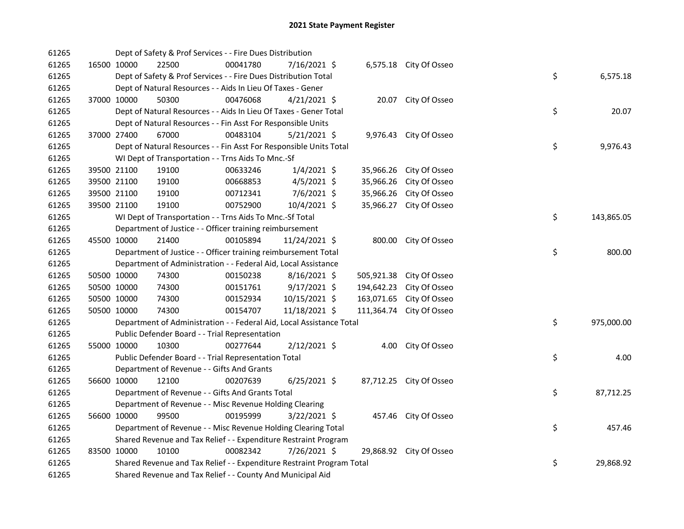| 61265 |             | Dept of Safety & Prof Services - - Fire Dues Distribution             |          |                |            |                          |    |            |
|-------|-------------|-----------------------------------------------------------------------|----------|----------------|------------|--------------------------|----|------------|
| 61265 | 16500 10000 | 22500                                                                 | 00041780 | 7/16/2021 \$   |            | 6,575.18 City Of Osseo   |    |            |
| 61265 |             | Dept of Safety & Prof Services - - Fire Dues Distribution Total       |          |                |            |                          | \$ | 6,575.18   |
| 61265 |             | Dept of Natural Resources - - Aids In Lieu Of Taxes - Gener           |          |                |            |                          |    |            |
| 61265 | 37000 10000 | 50300                                                                 | 00476068 | $4/21/2021$ \$ |            | 20.07 City Of Osseo      |    |            |
| 61265 |             | Dept of Natural Resources - - Aids In Lieu Of Taxes - Gener Total     |          |                |            |                          | \$ | 20.07      |
| 61265 |             | Dept of Natural Resources - - Fin Asst For Responsible Units          |          |                |            |                          |    |            |
| 61265 | 37000 27400 | 67000                                                                 | 00483104 | $5/21/2021$ \$ |            | 9,976.43 City Of Osseo   |    |            |
| 61265 |             | Dept of Natural Resources - - Fin Asst For Responsible Units Total    |          |                |            |                          | \$ | 9,976.43   |
| 61265 |             | WI Dept of Transportation - - Trns Aids To Mnc.-Sf                    |          |                |            |                          |    |            |
| 61265 | 39500 21100 | 19100                                                                 | 00633246 | $1/4/2021$ \$  | 35,966.26  | City Of Osseo            |    |            |
| 61265 | 39500 21100 | 19100                                                                 | 00668853 | 4/5/2021 \$    | 35,966.26  | City Of Osseo            |    |            |
| 61265 | 39500 21100 | 19100                                                                 | 00712341 | 7/6/2021 \$    | 35,966.26  | City Of Osseo            |    |            |
| 61265 | 39500 21100 | 19100                                                                 | 00752900 | 10/4/2021 \$   | 35,966.27  | City Of Osseo            |    |            |
| 61265 |             | WI Dept of Transportation - - Trns Aids To Mnc.-Sf Total              |          |                |            |                          | \$ | 143,865.05 |
| 61265 |             | Department of Justice - - Officer training reimbursement              |          |                |            |                          |    |            |
| 61265 | 45500 10000 | 21400                                                                 | 00105894 | 11/24/2021 \$  |            | 800.00 City Of Osseo     |    |            |
| 61265 |             | Department of Justice - - Officer training reimbursement Total        |          |                |            |                          | \$ | 800.00     |
| 61265 |             | Department of Administration - - Federal Aid, Local Assistance        |          |                |            |                          |    |            |
| 61265 | 50500 10000 | 74300                                                                 | 00150238 | $8/16/2021$ \$ |            | 505,921.38 City Of Osseo |    |            |
| 61265 | 50500 10000 | 74300                                                                 | 00151761 | $9/17/2021$ \$ | 194,642.23 | City Of Osseo            |    |            |
| 61265 | 50500 10000 | 74300                                                                 | 00152934 | 10/15/2021 \$  | 163,071.65 | City Of Osseo            |    |            |
| 61265 | 50500 10000 | 74300                                                                 | 00154707 | 11/18/2021 \$  |            | 111,364.74 City Of Osseo |    |            |
| 61265 |             | Department of Administration - - Federal Aid, Local Assistance Total  |          |                |            |                          | \$ | 975,000.00 |
| 61265 |             | Public Defender Board - - Trial Representation                        |          |                |            |                          |    |            |
| 61265 | 55000 10000 | 10300                                                                 | 00277644 | $2/12/2021$ \$ |            | 4.00 City Of Osseo       |    |            |
| 61265 |             | Public Defender Board - - Trial Representation Total                  |          |                |            |                          | \$ | 4.00       |
| 61265 |             | Department of Revenue - - Gifts And Grants                            |          |                |            |                          |    |            |
| 61265 | 56600 10000 | 12100                                                                 | 00207639 | $6/25/2021$ \$ |            | 87,712.25 City Of Osseo  |    |            |
| 61265 |             | Department of Revenue - - Gifts And Grants Total                      |          |                |            |                          | \$ | 87,712.25  |
| 61265 |             | Department of Revenue - - Misc Revenue Holding Clearing               |          |                |            |                          |    |            |
| 61265 | 56600 10000 | 99500                                                                 | 00195999 | $3/22/2021$ \$ |            | 457.46 City Of Osseo     |    |            |
| 61265 |             | Department of Revenue - - Misc Revenue Holding Clearing Total         |          |                |            |                          | \$ | 457.46     |
| 61265 |             | Shared Revenue and Tax Relief - - Expenditure Restraint Program       |          |                |            |                          |    |            |
| 61265 | 83500 10000 | 10100                                                                 | 00082342 | 7/26/2021 \$   |            | 29,868.92 City Of Osseo  |    |            |
| 61265 |             | Shared Revenue and Tax Relief - - Expenditure Restraint Program Total |          |                |            |                          | \$ | 29,868.92  |
| 61265 |             | Shared Revenue and Tax Relief - - County And Municipal Aid            |          |                |            |                          |    |            |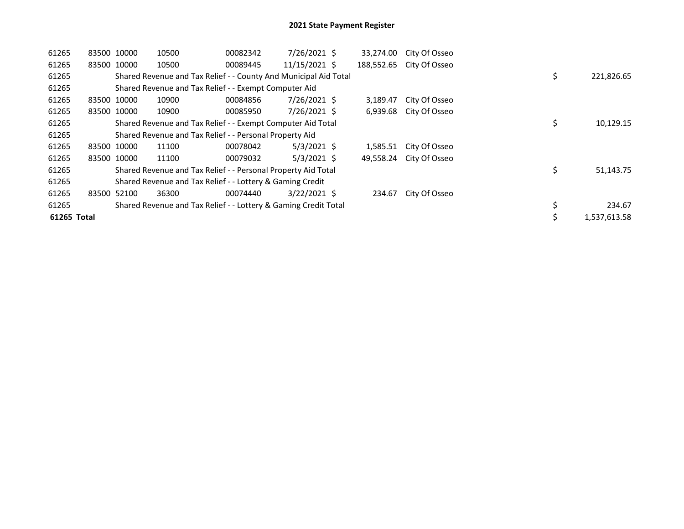| 61265       | 83500 10000 |             | 10500                                                            | 00082342 | 7/26/2021 \$   | 33,274.00 | City Of Osseo            |    |              |
|-------------|-------------|-------------|------------------------------------------------------------------|----------|----------------|-----------|--------------------------|----|--------------|
| 61265       |             | 83500 10000 | 10500                                                            | 00089445 | 11/15/2021 \$  |           | 188,552.65 City Of Osseo |    |              |
| 61265       |             |             | Shared Revenue and Tax Relief - - County And Municipal Aid Total |          |                |           |                          | \$ | 221,826.65   |
| 61265       |             |             | Shared Revenue and Tax Relief - - Exempt Computer Aid            |          |                |           |                          |    |              |
| 61265       |             | 83500 10000 | 10900                                                            | 00084856 | 7/26/2021 \$   | 3,189.47  | City Of Osseo            |    |              |
| 61265       |             | 83500 10000 | 10900                                                            | 00085950 | 7/26/2021 \$   | 6,939.68  | City Of Osseo            |    |              |
| 61265       |             |             | Shared Revenue and Tax Relief - - Exempt Computer Aid Total      |          |                |           |                          | \$ | 10,129.15    |
| 61265       |             |             | Shared Revenue and Tax Relief - - Personal Property Aid          |          |                |           |                          |    |              |
| 61265       | 83500 10000 |             | 11100                                                            | 00078042 | $5/3/2021$ \$  | 1.585.51  | City Of Osseo            |    |              |
| 61265       |             | 83500 10000 | 11100                                                            | 00079032 | $5/3/2021$ \$  | 49,558.24 | City Of Osseo            |    |              |
| 61265       |             |             | Shared Revenue and Tax Relief - - Personal Property Aid Total    |          |                |           |                          | \$ | 51,143.75    |
| 61265       |             |             | Shared Revenue and Tax Relief - - Lottery & Gaming Credit        |          |                |           |                          |    |              |
| 61265       | 83500       | 52100       | 36300                                                            | 00074440 | $3/22/2021$ \$ | 234.67    | City Of Osseo            |    |              |
| 61265       |             |             | Shared Revenue and Tax Relief - - Lottery & Gaming Credit Total  |          |                |           |                          | \$ | 234.67       |
| 61265 Total |             |             |                                                                  |          |                |           |                          |    | 1.537.613.58 |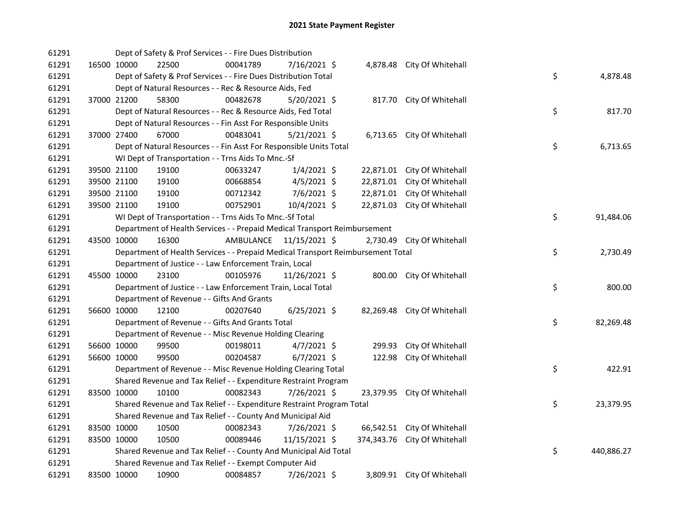| 61291 |             | Dept of Safety & Prof Services - - Fire Dues Distribution                       |           |                |        |                              |    |            |
|-------|-------------|---------------------------------------------------------------------------------|-----------|----------------|--------|------------------------------|----|------------|
| 61291 | 16500 10000 | 22500                                                                           | 00041789  | 7/16/2021 \$   |        | 4,878.48 City Of Whitehall   |    |            |
| 61291 |             | Dept of Safety & Prof Services - - Fire Dues Distribution Total                 |           |                |        |                              | \$ | 4,878.48   |
| 61291 |             | Dept of Natural Resources - - Rec & Resource Aids, Fed                          |           |                |        |                              |    |            |
| 61291 | 37000 21200 | 58300                                                                           | 00482678  | $5/20/2021$ \$ |        | 817.70 City Of Whitehall     |    |            |
| 61291 |             | Dept of Natural Resources - - Rec & Resource Aids, Fed Total                    |           |                |        |                              | \$ | 817.70     |
| 61291 |             | Dept of Natural Resources - - Fin Asst For Responsible Units                    |           |                |        |                              |    |            |
| 61291 | 37000 27400 | 67000                                                                           | 00483041  | $5/21/2021$ \$ |        | 6,713.65 City Of Whitehall   |    |            |
| 61291 |             | Dept of Natural Resources - - Fin Asst For Responsible Units Total              |           |                |        |                              | \$ | 6,713.65   |
| 61291 |             | WI Dept of Transportation - - Trns Aids To Mnc.-Sf                              |           |                |        |                              |    |            |
| 61291 | 39500 21100 | 19100                                                                           | 00633247  | $1/4/2021$ \$  |        | 22,871.01 City Of Whitehall  |    |            |
| 61291 | 39500 21100 | 19100                                                                           | 00668854  | $4/5/2021$ \$  |        | 22,871.01 City Of Whitehall  |    |            |
| 61291 | 39500 21100 | 19100                                                                           | 00712342  | $7/6/2021$ \$  |        | 22,871.01 City Of Whitehall  |    |            |
| 61291 | 39500 21100 | 19100                                                                           | 00752901  | 10/4/2021 \$   |        | 22,871.03 City Of Whitehall  |    |            |
| 61291 |             | WI Dept of Transportation - - Trns Aids To Mnc.-Sf Total                        |           |                |        |                              | \$ | 91,484.06  |
| 61291 |             | Department of Health Services - - Prepaid Medical Transport Reimbursement       |           |                |        |                              |    |            |
| 61291 | 43500 10000 | 16300                                                                           | AMBULANCE | 11/15/2021 \$  |        | 2,730.49 City Of Whitehall   |    |            |
| 61291 |             | Department of Health Services - - Prepaid Medical Transport Reimbursement Total |           |                |        |                              | \$ | 2,730.49   |
| 61291 |             | Department of Justice - - Law Enforcement Train, Local                          |           |                |        |                              |    |            |
| 61291 | 45500 10000 | 23100                                                                           | 00105976  | 11/26/2021 \$  |        | 800.00 City Of Whitehall     |    |            |
| 61291 |             | Department of Justice - - Law Enforcement Train, Local Total                    |           |                |        |                              | \$ | 800.00     |
| 61291 |             | Department of Revenue - - Gifts And Grants                                      |           |                |        |                              |    |            |
| 61291 | 56600 10000 | 12100                                                                           | 00207640  | $6/25/2021$ \$ |        | 82,269.48 City Of Whitehall  |    |            |
| 61291 |             | Department of Revenue - - Gifts And Grants Total                                |           |                |        |                              | \$ | 82,269.48  |
| 61291 |             | Department of Revenue - - Misc Revenue Holding Clearing                         |           |                |        |                              |    |            |
| 61291 | 56600 10000 | 99500                                                                           | 00198011  | $4/7/2021$ \$  | 299.93 | City Of Whitehall            |    |            |
| 61291 | 56600 10000 | 99500                                                                           | 00204587  | $6/7/2021$ \$  | 122.98 | City Of Whitehall            |    |            |
| 61291 |             | Department of Revenue - - Misc Revenue Holding Clearing Total                   |           |                |        |                              | \$ | 422.91     |
| 61291 |             | Shared Revenue and Tax Relief - - Expenditure Restraint Program                 |           |                |        |                              |    |            |
| 61291 | 83500 10000 | 10100                                                                           | 00082343  | 7/26/2021 \$   |        | 23,379.95 City Of Whitehall  |    |            |
| 61291 |             | Shared Revenue and Tax Relief - - Expenditure Restraint Program Total           |           |                |        |                              | \$ | 23,379.95  |
| 61291 |             | Shared Revenue and Tax Relief - - County And Municipal Aid                      |           |                |        |                              |    |            |
| 61291 | 83500 10000 | 10500                                                                           | 00082343  | 7/26/2021 \$   |        | 66,542.51 City Of Whitehall  |    |            |
| 61291 | 83500 10000 | 10500                                                                           | 00089446  | 11/15/2021 \$  |        | 374,343.76 City Of Whitehall |    |            |
| 61291 |             | Shared Revenue and Tax Relief - - County And Municipal Aid Total                |           |                |        |                              | \$ | 440,886.27 |
| 61291 |             | Shared Revenue and Tax Relief - - Exempt Computer Aid                           |           |                |        |                              |    |            |
| 61291 | 83500 10000 | 10900                                                                           | 00084857  | 7/26/2021 \$   |        | 3,809.91 City Of Whitehall   |    |            |